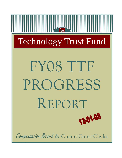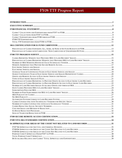| PERCENTAGE OF CLERKS REPORTING TO PROVIDE REMOTE ACCESS TO ELECTRONIC LAND RECORDS22 |  |
|--------------------------------------------------------------------------------------|--|
|                                                                                      |  |
|                                                                                      |  |
|                                                                                      |  |
|                                                                                      |  |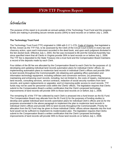<span id="page-3-0"></span>Introduction

The purpose of this report is to provide an annual update of the Technology Trust Fund and the progress Clerks are making in providing secure remote access (SRA) to land records on or before July 1, 2008.

#### **The Technology Trust Fund**

The Technology Trust Fund (TTF) originated in 1996 with § 17.1-279, Code of Virginia, that legislated a \$3 fee, known as the TTF Fee, to be assessed by the Clerk of the Circuit Court (Clerk) in every law and chancery action, upon each instrument recorded in the deed book, and upon each judgment docketed in the lien docket book. Effective July 1, 2004, the fee was increased to \$5 and the General Assembly has since specified intent that all Clerks in Virginia provide SRA to land records on or before July 1, 2008. The TTF fee is deposited to the State Treasury into a trust fund and the Compensation Board maintains a record of the deposits made by each Clerk.

Four dollars of the \$5 fee are allocated by the Compensation Board to each Clerk for the purposes of: (i) developing and updating individual land records automation plans for individual Clerks' offices; (ii) implementing automation plans to modernize land records in individual Clerk's offices and provide SRA to land records throughout the Commonwealth; (iii) obtaining and updating office automation and information technology equipment, including software and conversion services; (iv) preserving, maintaining and enhancing court records, including, but not limited to, the costs of repairs, maintenance, land records, consulting services, service contracts, redaction of social security numbers from land records, and system replacements or upgrades; and (v) improving public access to court records. TTF funds may not be used for personnel costs within the Clerks' offices. The legislation requires that Clerks submit to the Compensation Board a written certification that the Clerk's proposed technology improvements of land records will provide SRA to those land records on or before July 1, 2008.

The remaining \$1 of the TTF fee collected by each Clerk is amassed into a fund known as the \$1 Fund. The Compensation Board may allocate from the \$1 Fund (i) for the purposes of funding studies to develop and update individual land records automation plans for individual Clerk's offices and (ii) for the purposes enumerated in the above paragraph to implement the plan to modernize land records in individual Clerk's offices and provide SRA to land records throughout the Commonwealth. Priority for allocation from the \$1 Fund may be given to those individual Clerks' offices whose deposits into the trust fund would not be sufficient to implement its modernization plan. The legislation requires that Clerks submit to the Compensation Board a written certification that the Clerk's proposed technology improvements of land records will provide SRA to those land records on or before July 1, 2008.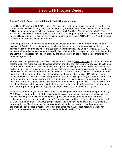#### **Secure Remote Access to Land Records in the Code of Virginia**

In the Code of Virginia, § 17.1-279 requires Clerks or their designated application service provider(s) to certify compliance with security standards developed by the Virginia Information Technologies Agency (VITA) found in the document *Secure Remote Access to Online Court Documents Standard, ITRM STANDARD SEC503-02* (dated March 28, 2005), and all subsequent revisions. This document is located on the VITA website at [http://www.vita.virginia.gov](http://www.vita.virginia.gov/) under the tab Library / ITRM Policies, Standards, and Guidelines / Information Security Standards.

The safeguards in VITA's security standard define what is meant by "secure" land records. Remote access is defined in the security standard as allowing inspection to a court record without the need to physically visit the courthouse where the court record is maintained. The Code of Virginia, § 17.1-292, defines land records as any writing authorized by law to be recorded on paper or in electronic format that the Clerk records affecting title to real property, including but not limited to instruments, orders, or any other writings recorded.

Further definitions pertaining to SRA are contained in § 17.1-295, Code of Virginia. Public access means that the Clerk has made available to subscribers that are other than governmental agencies SRA to land records maintained by the Clerk. SRA is defined as public access by electronic means on a network or system to land records maintained by the Clerk or the Clerk's designated application service provider(s), in compliance with the SRA standards developed by VITA. A subscriber is any person who has entered into a Subscriber Agreement with the Clerk authorizing the subscriber to have SRA to land records maintained by the Clerk or the Clerk's designated application services provider(s). If the subscriber is an entity with more than one person who will use the network or system to access land records, each individual user shall execute a Subscriber Agreement and obtain a separate user ID and password from the Clerk. The subscriber is responsible for the fees and proper use of the SRA system pursuant to the Subscriber Agreement, applicable Virginia law, and the SRA standards developed by VITA.

In the Code of Virginia, § 17.1-276 allows that a Clerk who provides SRA to land records pursuant to § 17.1-294 may charge a fee established by the Clerk to cover operational expenses of such electronic access, including, but not limited to, computer support, maintenance, enhancements, upgrades, replacements, and consulting services. A flat fee may be assessed for each subscriber, as defined in § 17.1-295, in an amount not to exceed \$50 per month. The fees shall be paid to the Clerk's office and deposited by the Clerk into a special non-reverting local fund to be used to cover the operational expenses of such electronic access. The Clerk shall enter into a Subscriber Agreement with each subscriber in accordance with the security standards developed by VITA.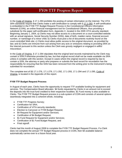In the Code of Virginia, § 17.1-293 prohibits the posting of certain information on the Internet. The VITA SRA standards require that Clerks make a self-certification to comply with § 17.1-293. A self-certification is embedded in the FY09 TTF Budget Request Process in the Constitutional Officers Information Network (COIN), an online financial management tool for Constitutional Officers, thus providing a substitute for the paper self-certification form, Appendix C, located in the 2005 VITA security standard. Beginning January 1, 2004, a) Clerks may not allow access to a document on a court-controlled website with an actual signature, Social Security Number (SSN), date of birth, maiden name, financial account number, or name/age of a minor child; b) Clerks must post a list of documents routinely found on the court-controlled Web site; c) Clerks must allow public access to the original document, as provided by law; and d) Clerks are immune from suit arising from any acts or omissions relating to providing SRA on the Internet pursuant to this section unless the Clerk was grossly negligent or engaged in willful misconduct.

In the Code of Virginia, § 17.1-294 stipulates that the original land records maintained by the Clerk may contain a SSN if otherwise provided by law, but that original record shall not be made available via SRA unless it complies with this section. Except in cases where the original record is required by law to contain a SSN, the attorney or party who prepares or submits the land record for recordation has the responsibility for ensuring that the SSN has been removed from the writing prior to the instrument's being submitted for recordation.

The complete text of §§ 17.1-276, 17.1-279, 17.1-292, 17.1-293, 17.1-294 and 17.1-295, Code of Virginia, is located in the Appendix of this report.

### **FY09 TTF Budget Request Process**

In August of each year, Clerks have the opportunity to request TTF available funding for equipment and services. The Compensation Board allocates \$4 funds requested by Clerks in an amount not to exceed the deposits into the trust fund credited to their respective localities. \$1 Fund money is also available to Clerks. The FY09 TTF Budget Request process is a sub-system of COIN and consists of several options seamlessly integrated into a coherent whole, including:

- FY08 TTF Progress Survey;
- Certification for SRA:
- Certification of VITA security standards;
- Election to Carryover or FY09 Budget Request;
- \$4 Request for Equipment and/or Services;
- Certification of \$4 Budget Request;
- \$1 Fund Request for Equipment and/or Services;
- Certification of \$1 Fund Budget Request, and
- Final signoff.

Clerks had the month of August 2008 to complete the FY09 TTF Budget Request Process. If a Clerk does not complete the annual TTF Budget Request process in COIN, their \$4 available balance automatically carries-over to a future fiscal year.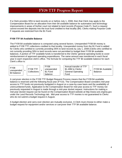If a Clerk provides SRA to land records on or before July 1, 2008, then that Clerk may apply to the Compensation Board for an allocation from their \$4 available balance for automation and technology improvements in areas of his/her court not related to land records (Purpose Code F). Such a request cannot exceed the deposits into the trust fund credited to that locality (\$4). Clerks making Purpose Code F requests are restricted from the \$1 Fund.

#### **FY09 TTF \$4 Available Balance**

The FY09 \$4 available balance is computed using several factors. Unexpended FY08 \$4 money is added to FY08 TTF collections credited to that locality. Unexpended money from the \$1 Fund is added for Clerks who certified to currently providing SRA to land records by July 1, 2008 (Clerks who certified to not currently providing SRA to land records were not permitted to budget their FY09 \$4 available balance). A portion of TTF available funds is transferred to the Clerks' general operating funds to cover reimbursement of approved operating expenditures. The same amount was transferred in each fiscal year in each respective clerk's office. The formula for computing the TTF \$4 available balance for each Clerk's office is:



A carryover election in the FY09 TTF Budget Request Process means that the FY09 \$4 available balance is reserved until the following fiscal year (FY10). The Compensation Board considers mid-year access to TTF funds not previously budgeted in August on a case-by-case basis and the availability of unencumbered funds. Application to the Compensation Board for mid-year access to TTF money not previously requested in August is made through a mid-year docket request. Instructions for making a mid-year docket request can be found on the Compensation Board website at [http://www.scb.virginia.gov](http://www.scb.virginia.gov/)  under the Land Records Technology tab. Mid-year access to TTF monies is not guaranteed to Clerks who do not submit a budget request in August.

A budget election and carry-over election are mutually exclusive. A Clerk must choose to either make a budget request for equipment and/or services or carryover their TTF \$4 available balance.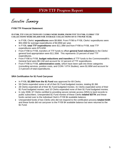<span id="page-7-0"></span>Executive Summary

#### **FY08 TTF Financial Statement**

#### **IN FY08, TTF COLLECTIONS BY CLERKS WERE \$9.09M. FROM FY97 TO FY08, CLERKS' TTF COLLECTIONS WERE \$93.26M FOR AVERAGE COLLECTIONS OF \$7.77M PER YEAR.**

- In FY08, Clerks' **expenditures** were \$9.86M. From FY98 to FY08, Clerks' expenditures were \$53.35M for average expenditures of \$4.85M per year.
- In FY08, **total TTF expenditures** were \$11.39M and from FY98 to FY08, total TTF expenditures were \$75.62M.
- From FY98 to FY08, transfers of TTF funds to offset **general fund reductions** to the Clerks' general fund appropriation were \$11.35M. This represents 15 percent of total TTF expenditures.
- From FY98 to FY08, **budget reductions and transfers** of TTF funds to the Commonwealth's General fund were \$9.11M and account for 12 percent of TTF expenditures.
- From FY98 to FY08, **administrative costs**, which have been split into three categories (consulting services, position costs, and COIN / VITA Studies), were \$1.80M and account for 2.4 percent of total expenditures.

#### **SRA Certification for \$1 Fund Carryover**

- In FY08, **\$2.28M from the \$1 Fund** was approved for 69 Clerks.
- 59 Clerks expended some or all of their \$1 Fund budgeted monies, totaling \$1.9M.
- 28 Clerks expended all of their \$1 Fund budgeted monies; 31 Clerks expended some of their \$1 Fund budgeted monies; and 10 Clerks expended none of their \$1 Fund budgeted monies.
- In July 2008, 67 Clerks certified to providing secure remote access (SRA) to land records to public subscribers. Unexpended \$1 Fund monies of these Clerks **totaled \$377K** and these funds carried over to the individual Clerk's FY09 \$4 available balance.
- Unexpended funds of two Clerks who did not respond to the certification process **totaled \$15K** and these funds did not carryover to the FY09 \$4 available balance but were returned to the \$1 Fund.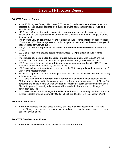#### **FY08 TTF Progress Survey**

- In the TTF Progress Survey, 120 Clerks (100 percent) listed a **website address** owned and operated by their court or operated by a public or private agent that provides SRA to land records' images.
- 119 Clerks (99 percent) reported to providing **continuous years** of electronic land records indices and 120 Clerks provide continuous years of electronic land records' images of deeds / deeds of trust.
- The **average year of continuous years** of electronic land records' **indices** of deeds / deeds of trust was 1953; the average year of continuous years of electronic land records' **images** of deeds / deeds of trust was 1955.
- The year of 1653 was reported as the **oldest reported electronic land records** index and image.
- 120 Clerks reported to provide secure remote access **(SRA)** to electronic land records' images.
- The **number of electronic land records' images** available **onsite** was 196.7M and the number of land electronic land records' images available through **SRA** was 191.0M.
- 120 Clerks report to be accepting **public** (non-governmental) **subscribers** to SRA. The total number of subscribers reported by Clerks is 5,723.
- 107 Clerks (89 percent) reporting to currently provide SRA have **publicized** the availability of SRA to land records' images.
- 22 Clerks (18 percent) reported a **linkage** of their land records system with title transfer history automated system.
- 120 Clerks have **signed a contract with a vendor** for a land records management system, SRA internet hosting, and technology equipment, software, and maintenance; 114 Clerks (95 percent) have signed a contract with a vendor for redaction of social security numbers; and 97 Clerks (81 percent) have signed a contract with a vendor for back scanning of images / conversion services.
- 105 Clerks (88 percent) have begun **back-file redaction** of social security numbers. The total number redacted images reported by Clerks in FY08 are 111.0M for a total cost of \$4.1M.

### **FY09 SRA Certification**

• 120 Clerks reported that their office currently provides to public subscribers **SRA** to land records' images on a website or system owned and operated by their court or operated by a public or private agent.

### **FY09 VITA Standards Certification**

• 120 Clerks certified current compliance with VITA **SRA standards**.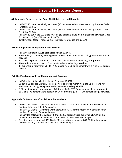### **\$4 Approvals for Areas of the Court Not Related to Land Records**

- In FY07, 15 out of the 39 eligible Clerks (38 percent) made a \$4 request using Purpose Code F, totaling \$1.61M.
- In FY08, 24 out of the 86 eligible Clerks (28 percent) made a \$4 request using Purpose Code F, totaling \$2.53M.
- In FY09, 18 out of the 120 eligible Clerks (15 percent) made a \$4 request using Purpose Code F, totaling \$1M (as of November 1, 2008).
- Total Purpose Code F requests over the three-year period are \$5.13M.

### **FY09 \$4 Approvals for Equipment and Services**

- In FY09, the total **\$4 Available Balance** was \$12.64M.
- 120 Clerks (100 percent) were approved a **total of \$10.85M** for technology equipment and/or services.
- 11 Clerks (9 percent) were approved \$1.06M in \$4 funds for technology **equipment**.
- 120 Clerks were approved \$9.79M in \$4 funds for technology **services**.
- \$4 expenditure rate from FY04 to FY08 ranged from 69 to 62 percent with a high of 87 percent in FY05.

### **FY09 \$1 Fund Approvals for Equipment and Services**

- In FY09, the total available in the \$1 Fund was **\$2.03M.**
- 60 out of 81 eligible Clerks (74 percent) were approved money from the \$1 TTF Fund for additional technology equipment and/or services, **totaling \$1.64M**.
- 5 Clerks (8 percent) were approved \$42K from the \$1 TTF Fund for technology **equipment**.
- 59 Clerks (98 percent) were approved \$1.60M from the \$1 TTF Fund for technology **services**.

### **Approvals for Redaction of Social Security Numbers**

- In FY07, 25 Clerks (21 percent) were approved \$1.32M for the redaction of social security numbers for a total of 34.67M images.
- In FY08, 90 Clerks (75 percent) were approved \$3.14M for the redaction of social security numbers for a total of 89.03M images.
- In FY09 (as of November 1, 2008) 88 Clerks (73 percent) were approved \$1.77M for the redaction of social security numbers for a total of 50.29M **back-file** images.
- Over the three-year period, 111 Clerks (92 percent) were approved \$6.23M for the redaction of social security numbers for a total of 173.99M images.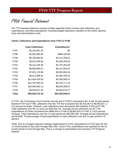<span id="page-10-0"></span>FY08 Financial Statement

The TTF financial statement consists of data regarding Clerks' annual cash collections and expenditures, and total expenditures, including budget reductions, transfers to the Clerks' general fund, and administrative costs.

#### **Clerks' Collections and Expenditures from FY97 to FY08**

|             | <b>Cash Collections</b> | <b>Expenditures*</b> |
|-------------|-------------------------|----------------------|
| FY97        | \$4,243,367.42          | \$0                  |
| FY98        | \$4,822,885.65          | \$886,404.38         |
| FY99        | \$5,768,994.81          | \$2,214,766.32       |
| <b>FY00</b> | \$5,051,605.90          | \$2,526,303.63       |
| FY01        | \$5,122,196.96          | \$4,757,461.69       |
| FY02        | \$6,586,856.51          | \$5,141,600.61       |
| FY03        | \$7,921,175.89          | \$4,802,609.45       |
| FY04        | \$8,512,088.24          | \$3,384,769.22       |
| FY05        | \$12,404,426.50         | \$4,385,882.67       |
| <b>FY06</b> | \$12,787,943.26         | \$6,755,771.76       |
| <b>FY07</b> | \$10,949,662.12         | \$8,630,099.87       |
| FY08        | \$9,093,527.93          | \$9,864,876.47       |
| Total       | \$93,264,731.19         | \$53,350,546.07      |

In FY97, the Technology Trust Fund fee was \$3 and in FY05 it increased to \$5. In the 12-year period between FY97 and FY08, collections from the TTF fee increased from \$4,243,367 to \$9,093,527, a 114 percent increase. However, cash collections have decreased 29% between FY06 and FY08. Total collections over the 12 years are \$93,264,731. Average annual collections are \$7.77M. Expenditures of Clerks increased from \$886,404 in FY98 to \$9,864,876 in FY08, a 1,013 percent increase. Total expenditures over the 11-year period are \$53,350,546. Average annual expenditures are \$4.85M. The percentage of total expenditures to total collections over the 12-year period is 57 percent.

\*Note: Due to a budget reduction strategy implemented in FY02, expenditures in FY02 were for the 11-month period of July 2001 through May 2002. Since FY03, expenditures are reported for the 12 month period of June through May. This is a change in presentation from previous TTF Progress Reports.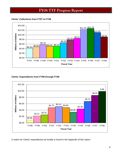<span id="page-11-0"></span>**Clerks' Collections from FY97 to FY08** 



### **Clerks' Expenditures from FY98 through FY08**



A matrix for Clerks' expenditures by locality is found in the Appendix of this report.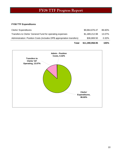### <span id="page-12-0"></span>**FY08 TTF Expenditures**

| Total                                                                 | \$11,390,958.95 | 100%   |
|-----------------------------------------------------------------------|-----------------|--------|
| Administration: Position Costs (includes DPB appropriation transfers) | \$36,869.50     | 0.32%  |
| Transfers to Clerks' General Fund for operating expenses              | \$1,489,212.98  | 13.07% |
| Clerks' Expenditures                                                  | \$9,864,876.47  | 86.60% |

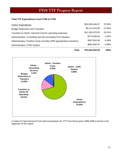#### <span id="page-13-0"></span>**Total TTF Expenditures from FY98 to FY08**

| Clerks' Expenditures                                                  | \$53,350,546.07 | 70.55%   |
|-----------------------------------------------------------------------|-----------------|----------|
| <b>Budget Reductions and Transfers</b>                                | \$9,112,414.00  | 12.05%   |
| Transfers to Clerks' General Fund for operating expenses              | \$11,352,678.53 | 15.01%   |
| Administration: Consulting services (including VITA Studies)          | \$774,558.64    | $1.02\%$ |
| Administration: Position Costs (includes DPB appropriation transfers) | \$367,854.36    | 0.49%    |
| <b>Administration: COIN System</b>                                    | \$664,000.44    | 0.88%    |
|                                                                       |                 |          |

**Total \$75,622,052.04 100%**



A matrix for Non-General Fund cash transactions for TTF from fiscal years 1998-2008 is found in the Appendix of this report.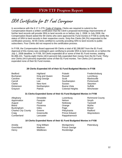<span id="page-14-0"></span>SRA Certification for \$1 Fund Carryover

In accordance with the § 17.1-279, Code of Virginia, Clerks are required to submit to the Compensation Board a written certification that the Clerk's proposed technology improvements of his/her land records will provide SRA to land records on or before July 1, 2008. In July 2008, the Compensation Board asked the 69 Clerks who were approved \$1 Fund monies in FY08 to certify the status of SRA to land records in their respective courts. Sixty-five Clerks (94.2%) responded to the certification process. All 65 Clerks certified to currently providing SRA to land records to public subscribers. Four Clerks did not respond to the certification process.

In FY08, the Compensation Board approved 69 Clerks a total of \$2,288,887 from the \$1 Fund. Approval of this money was contingent upon certifying to provide SRA to land records on or before the July 1, 2008 deadline. In FY08, 59 Clerks expended all or some of their \$1 Fund monies, totaling \$1,896,101. Twenty-eight Clerks (40.6 percent) fully expended their money from the \$1 Fund. Thirtyone Clerks (44.9 percent) expended some of their \$1 Fund monies. Ten Clerks (14.5 percent) expended none of their \$1 Fund monies.

#### **28 Clerks Expended All of their \$1 Fund Budgeted Monies in FY08**

Buchanan King and Queen Russell Lynchburg Caroline **King George** Scott **Martinsville** Carroll **Carroll** Lee **Carroll** Lee Southampton **Portsmouth** Clarke New Kent Sussex Staunton Dickenson Northampton Buena Vista Suffolk Grayson Patrick Colonial Heights Winchester

Bedford Highland Pulaski Fredericksburg

#### **31 Clerks Expended Some of their \$1 Fund Budgeted Monies in FY08**

| Alleghany                  | <b>Dinwiddie</b> | Lunenburg            | <b>Richmond County</b> |
|----------------------------|------------------|----------------------|------------------------|
| Appomattox                 | Fauquier         | Nelson               | Smyth                  |
| August                     | Floyd            | Nottoway             | <b>Tazewell</b>        |
| <b>Bland</b>               | Fluvanna         | Orange               | Wythe                  |
| <b>Buckingham</b>          | Giles            | Page                 | <b>Bristol</b>         |
| <b>Charles City County</b> | Greene           | Pittsylvania         | Radford                |
| Craig                      | Greensville      | <b>Prince Edward</b> | Waynesboro             |
| Cumberland                 | Lancaster        | Rappahannock         |                        |

#### **10 Clerks Expended None of their \$1 Fund Budgeted Monies in FY08**

| Amelia    | King William | Montgomery           | Petersburg |
|-----------|--------------|----------------------|------------|
| Goochland | Madison      | <b>Prince George</b> |            |
| Henry     | Middlesex    | Rockbridge           |            |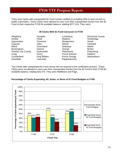<span id="page-15-0"></span>Thirty-nine Clerks with unexpended \$1 Fund monies certified to providing SRA to land records to public subscribers. These Clerks were allowed to carry over their unexpended monies from the \$1 Fund to their respective FY09 \$4 available balance, totaling \$377,415. They were:

#### **39 Clerks With \$1 Fund Carryover to FY09**

| Alleghany                  | Fauquier     | Lunenburg            | <b>Richmond County</b> |
|----------------------------|--------------|----------------------|------------------------|
| Amelia                     | Floyd        | Madison              | Rockbridge             |
| Appomattox                 | Fluvanna     | Montgomery           | Smyth                  |
| Augusta                    | Giles        | <b>Nelson</b>        | <b>Tazewell</b>        |
| <b>Bland</b>               | Goochland    | Nottoway             | Wythe                  |
| <b>Buckingham</b>          | Greene       | Orange               | <b>Bristol</b>         |
| <b>Charles City County</b> | Greensville  | Pittsylvania         | Petersburg             |
| Craig                      | Henry        | <b>Prince Edward</b> | Radford                |
| Cumberland                 | King William | <b>Prince George</b> | Waynesboro             |
| Dinwiddie                  | Lancaster    | Rappahannock         |                        |

Two Clerks with unexpended \$1 Fund money did not respond to the certification process. These Clerks were not allowed to carry over their unexpended monies from the \$1 Fund to their FY09 \$4 available balance, totaling \$15,370. They were Middlesex and Page.



#### **Percentage of Clerks Expending All, Some, or None of \$1 Fund Budgets in FY08**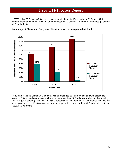<span id="page-16-0"></span>In FY08, 28 of 69 Clerks (40.6 percent) expended all of their \$1 Fund budgets; 31 Clerks (44.9 percent) expended some of their \$1 Fund budgets; and 10 Clerks (14.5 percent) expended \$0 of their \$1 Fund budgets.



**Percentage of Clerks with Carryover / Non-Carryover of Unexpended \$1 Fund** 

Thirty-nine of the 41 Clerks (95.1 percent) with unexpended \$1 Fund monies and who certified to providing SRA to land records were allowed to carryover their \$1 Fund unexpended monies, totaling \$377,415 (96.1 percent). The two Clerks (4.9 percent) with unexpended \$1 Fund monies and who did not respond to the certification process were not approved to carryover their \$1 Fund monies, totaling \$15,370 (3.9 percent).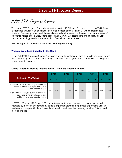<span id="page-17-0"></span>FY08 TTF Progress Survey

The annual TTF Progress Survey is integrated into the TTF Budget Request process in COIN. Clerks are required to answer 60 questions in order to proceed to the \$4 and \$1 Fund budget request screens. Survey topics included the website owned and operated by the court, continuous years of electronic indices and images, onsite access and SRA, SRA subscriptions and publicity for SRA service, technology vendors, and redaction of social security numbers.

See the Appendix for a copy of the FY08 TTF Progress Survey.

#### **Website Owned and Operated by the Court**

In the FY08 TTF Progress Survey, Clerks were asked to confirm providing a website or system owned and operated by their court or operated by a public or private agent for the purpose of providing SRA to land records' images.

#### **Clerks Reporting Website that Provides SRA to Land Records' Images**

|                                                                                                                                                                                                                                                     |    | <b>FY04</b>   |    | <b>FY05</b>   |    | <b>FY06</b>   |    | <b>FY07</b>   |     | FY <sub>08</sub> |  |
|-----------------------------------------------------------------------------------------------------------------------------------------------------------------------------------------------------------------------------------------------------|----|---------------|----|---------------|----|---------------|----|---------------|-----|------------------|--|
| <b>Clerks with SRA Website</b>                                                                                                                                                                                                                      | n  | $\frac{1}{2}$ | n  | $\frac{9}{6}$ | n  | $\frac{9}{6}$ | n  | $\frac{1}{2}$ | n   | $\frac{1}{2}$    |  |
| From FY07 to FY08, the survey question was<br>posed as a website that provides SRA to<br>land records' images<br>From FY03 to FY06, the survey question was<br>posed as a website that provides up-to-date<br>public notice of land records' images | 30 | 25%           | 15 | 13%           | 59 | 49%           | 86 | 72%           | 120 | 100%             |  |

In FY08, 120 out of 120 Clerks (100 percent) reported to have a website or system owned and operated by the court or operated by a public or private agent for the purpose of providing SRA to land records' images. All of the Clerks listed a website address that currently provides SRA to land records' images.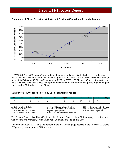

<span id="page-18-0"></span>**Percentage of Clerks Reporting Website that Provides SRA to Land Records' Images** 

In FY04, 30 Clerks (25 percent) reported that their court had a website that offered up-to-date public notice of electronic land records available through SRA; 15 Clerks (13 percent) in FY05; 59 Clerks (49 percent) in FY06 and 86 Clerks (72 percent) in FY07. In FY08, 120 Clerks (100 percent) reported to have a website or system owned and operated by their court or operated by a public or private agent that provides SRA to land records' images.

### **Number of SRA Websites Hosted by Each Technology Vendor**

| AmCad |  | In-House | Cott | DTS - | Eagle | a ka | Logan | SCV |  |
|-------|--|----------|------|-------|-------|------|-------|-----|--|
|       |  |          |      |       |       |      |       |     |  |

 $ILS = International Land Systems$ 

Cott = Cott Systems **DTS = Document Technology Systems** Eagle = Eagle Computer Systems<br>
ILS = International Land Systems **Example 2010** Logan = Logan Systems **Eagle = Eagle Computer Systems** SCV = Supreme Court of Virginia Unity = Unity Systems (formerly Reams)

AmCad = American Cadastre  $ACS = ACS$  State and Local Solutions BIS = Business Information Systems

The Clerk of Pulaski listed both Eagle and the Supreme Court as their SRA web page host. In-house web hosting are Arlington, Fairfax, and York Counties, and Alexandria City.

Twenty-eight out of 120 Clerks (23 percent) have a SRA web page specific to their locality; 92 Clerks (77 percent) have a generic SRA website.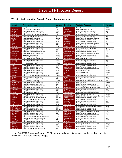#### <span id="page-19-0"></span>**Website Addresses that Provide Secure Remote Access**

| Locality                  | <b>Website Address</b>                                                   | <b>Vendor</b>             | <b>Locality</b>         | <b>Website Address</b>                                                        | Vendor                    |
|---------------------------|--------------------------------------------------------------------------|---------------------------|-------------------------|-------------------------------------------------------------------------------|---------------------------|
| Accomack                  | https://csa.landrecords.com/lronline                                     | ILS                       | <b>Nelson</b>           | https://risweb.courts.state.va.us/                                            | SCV                       |
| Albemarle                 | www.albemarle.org/landrecs                                               | Cott                      | <b>New Kent</b>         | www.newkentvacocc.org                                                         | Logan                     |
| Alleghany                 | https://risweb.courts.state.va.us/                                       | SCV                       | Northampton             | https://risweb.courts.state.va.us/                                            | SCV                       |
| Amelia                    | https://csa.landsystems.com/lronline                                     | <b>ILS</b>                | Northumberland          | https://csa.landsystems.com/lronline                                          | ILS                       |
| Amherst                   | https://landrecords.countyofamherst.com/                                 | Cott                      | Nottoway                | https://csa.landsystems.com/lronline                                          | <b>ILS</b>                |
| <b>Appomattox</b>         | https://csa.landrecords.com/lronline                                     | <b>ILS</b>                | Orange                  | https://risweb.courts.state.va.us/                                            | SCV                       |
| Arlington                 | http://landrec.arlingtonva.us/                                           | County                    | Page                    | https://csa.landsystems.com/lronline                                          | $\overline{\mathsf{L}}$ s |
| Augusta                   | https://risweb.courts.state.va.us/                                       | SCV                       | Patrick                 | https://risweb.courts.state.va.us/                                            | SCV                       |
| <b>Bath</b>               | https://risweb.courts.state.va.us/                                       | SCV                       | Pittsylvania            | https://risweb.courts.state.va.us/                                            | SCV                       |
| <b>Bedford</b>            | https://risweb.courts.state.va.us/                                       | SCV                       | Powhatan                | https://csa.landsystems.com/lronline                                          | <b>ILS</b>                |
| <b>Bland</b>              | https://risweb.courts.state.va.us/                                       | SCV                       | <b>Prince Edward</b>    | https://csa.landsystems.com/lronline                                          | <b>ILS</b>                |
| <b>Botetourt</b>          | https://risweb.courts.state.va.us/                                       | <b>SCV</b>                | <b>Prince George</b>    | https://risweb.courts.state.va.us/                                            | SCV                       |
| <b>Brunswick</b>          | https://risweb.courts.state.va.us/                                       | SCV                       | <b>Prince William</b>   | https://www3.pwcgov.org/panet                                                 | <b>DTS</b>                |
| <b>Buchanan</b>           | https://risweb.courts.state.va.us/                                       | SCV                       | Pulaski                 | http://records.pulaskicircuitcourt.com                                        | Eagle/SCV                 |
| <b>Buckingham</b>         | https://csa.landrecords.com/lronline                                     | ILS                       | Rappahannock            | https://risweb.courts.state.va.us/                                            | SCV                       |
| Campbell                  | https://risweb.courts.state.va.us/                                       | SCV                       | <b>Richmond Co</b>      | https://csa.landsystems.com/lronline                                          | <b>ILS</b>                |
| Caroline                  | www.carolinevacocc.org                                                   | Logan                     | Roanoke Co              | https://risweb.courts.state.va.us/                                            | SCV                       |
| Carroll                   | www.carrollvacocc.org                                                    | Logan                     | Rockbridge              | https://risweb.courts.state.va.us/                                            | SCV                       |
| <b>Charles City</b>       | https://risweb.courts.state.va.us/                                       | <b>SCV</b>                | Rockingham              | www.uslandrecords.com                                                         | <b>ACS</b>                |
| Charlotte                 | https://risweb.courts.state.va.us/                                       | SCV                       | <b>Russell</b>          | https://risweb.courts.state.va.us/                                            | SCV                       |
| Chesterfield              | www.ccclandrecords.org/                                                  | Logan                     | <b>Scott</b>            | www.titlesearcher.com                                                         | <b>BIS</b>                |
| Clarke                    | www.clarkevacocc.org                                                     | Logan                     | Shenandoah              | https://risweb.courts.state.va.us/                                            | SCV                       |
| Craig                     | https://risweb.courts.state.va.us/                                       | SCV                       | Smyth                   | https://risweb.courts.state.va.us/                                            | SCV                       |
| Culpeper                  | https://risweb.courts.state.va.us/                                       | <b>SCV</b>                | Southampton             | https://risweb.courts.state.va.us/                                            | SCV                       |
| Cumberland                | https://risweb.courts.state.va.us/                                       | SCV                       | Spotsylvania            | https://csa.landsystems.com/lronline                                          | <b>ILS</b>                |
| <b>Dickenson</b>          | https://risweb.courts.state.va.us/                                       | <b>SCV</b>                | <b>Stafford</b>         | http://staffordcocc.org/                                                      | Logan                     |
| <b>Dinwiddie</b>          | https://risweb.courts.state.va.us/                                       | SCV                       | <b>Surry</b>            | www.surrvacocc.org                                                            | Logan                     |
| <b>Essex</b>              | https://risweb.courts.state.va.us/                                       | SCV                       | <b>Sussex</b>           | www.sussexvacocc.org                                                          | Logan                     |
| Fairfax                   | http://www.fairfaxcounty.gov/cpan/index.cfm                              | County                    | <b>Tazewell</b>         | https://risweb.courts.state.va.us/                                            | SCV                       |
| Fauquier                  | https://clerk.fauguiercounty.gov                                         | Cott                      | Warren                  | https://risweb.courts.state.va.us/                                            | SCV                       |
| Floyd                     | https://risweb.courts.state.va.us/                                       | SCV                       | Washington              | https://risweb.courts.state.va.us/                                            | SCV                       |
| Fluvanna                  | www://fluvannavacocc.org                                                 | Logan                     | Westmoreland            | http://landrecords.westmoreland-county.org                                    | Cott<br>Mixnet            |
| <b>Franklin Co</b>        | https://risweb.courts.state.va.us/                                       | SCV<br>SCV                | Wise<br>Wythe           | www.courtbar.org                                                              | SCV                       |
| Frederick<br><b>Giles</b> | https://risweb.courts.state.va.us/                                       | ILS                       | York                    | https://risweb.courts.state.va.us/                                            | County                    |
| Gloucester                | https://csa.landrecords.com/lronline                                     | SCV                       | Alexandria              | http://countyofyorkva.net/crmsdotnet                                          | City                      |
| Goochland                 | https://risweb.courts.state.va.us/<br>https://risweb.courts.state.va.us/ | SCV                       | <b>Bristol</b>          | https://cheyenne.alexandriava.gov/ajis/<br>https://risweb.courts.state.va.us/ | SCV                       |
| Grayson                   | https://risweb.courts.state.va.us/                                       | SCV                       | <b>Buena Vista</b>      | https://risweb.courts.state.va.us/                                            | <b>SCV</b>                |
| Greene                    | http://landrecords.gcva.us                                               | Cott                      | Charlottesville         | https://csa.landsystems.com/lronline                                          | <b>ILS</b>                |
| Greensville               | https://risweb.courts.state.va.us/                                       | SCV                       | Chesapeake              | www.chesapeakeccland.org/                                                     | Logan                     |
| <b>Halifax</b>            | https://risweb.courts.state.va.us/                                       | SCV                       | <b>Colonial Heights</b> | http://colonialheights.landrecordsonline.com                                  | AmCad                     |
| Hanover                   | http://hanover.landrecordsonline.com/                                    | AmCad                     | <b>Danville</b>         | https://risweb.courts.state.va.us/                                            | SCV                       |
| Henrico                   | https://csa.landrecords.com/lronline                                     | ILS                       | Fredericksburg          | https://risweb.courts.state.va.us/                                            | SCV                       |
| Henry                     | https://risweb.courts.state.va.us/                                       | SCV                       | Hampton                 | https://risweb.courts.state.va.us/                                            | SCV                       |
| Highland                  | https://risweb.courts.state.va.us/                                       | <b>SCV</b>                | Hopewell                | https://risweb.courts.state.va.us/                                            | <b>SCV</b>                |
| Isle of Wight             | https://risweb.courts.state.va.us/                                       | <b>SCV</b>                | Lynchburg               | https://risweb.courts.state.va.us/                                            | SCV                       |
| <b>James City</b>         | https://risweb.courts.state.va.us/                                       | SCV                       | <b>Martinsville</b>     | http://www.ci.martinsville.va.us/circuitclerk                                 | Untiy                     |
| King & Queen              | https://risweb.courts.state.va.us/                                       | SCV                       | <b>Newport News</b>     | https://risweb.courts.state.va.us/                                            | SCV                       |
| <b>King George</b>        | http://kg.landrecordsonline.com/                                         | AmCad                     | <b>Norfolk</b>          | https://risweb.courts.state.va.us/                                            | SCV                       |
| <b>King William</b>       | https://risweb.courts.state.va.us/                                       | SCV                       | Petersburg              | https://csa.landsystems.com/lronline                                          | <b>ILS</b>                |
| Lancaster                 | https://risweb.courts.state.va.us/                                       | SCV                       | Portsmouth              | https://risweb.courts.state.va.us/                                            | SCV                       |
| Lee                       | https://risweb.courts.state.va.us/                                       | SCV                       | Radford                 | https://csa.landsystems.com/lronline                                          | <b>ILS</b>                |
| Loudoun                   | https://lisweb.loudoun.gov/recpublic/logon                               | <b>DTS</b>                | <b>Richmond City</b>    | https://risweb.courts.state.va.us/                                            | SCV                       |
| Louisa                    | http://landreocrds.countyoflouisa.com/                                   | Cott                      | <b>Roanoke City</b>     | https://risweb.courts.state.va.us/                                            | SCV                       |
| Lunenburg                 | https://risweb.courts.state.va.us/                                       | <b>SCV</b>                | Salem                   | https://risweb.courts.state.va.us/                                            | <b>SCV</b>                |
| Madison                   | https://risweb.courts.state.va.us/                                       | SCV                       | Staunton                | https://risweb.courts.state.va.us/                                            | SCV                       |
| <b>Mathews</b>            | https://risweb.courts.state.va.us/                                       | SCV                       | <b>Suffolk</b>          | http:://suffolk.landrecordsonline.com/                                        | AmCad                     |
| Mecklenburg               | https://risweb.courts.state.va.us/                                       | <b>SCV</b>                | Virginia Beach          | www.vblandrecords.com                                                         | AmCad                     |
| Middlesex                 | https://risweb.courts.state.va.us/                                       | <b>SCV</b>                | Waynesboro              | https://risweb.courts.state.va.us/                                            | <b>SCV</b>                |
| Montgomery                | https://csa.landrecords.com/lronline                                     | $\overline{\mathsf{L}}$ s | Winchester              | https://risweb.courts.state.va.us/                                            | <b>SCV</b>                |

In the FY08 TTF Progress Survey, 120 Clerks reported a website or system address that currently provides SRA to land records' images.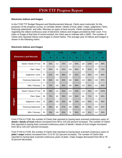#### <span id="page-20-0"></span>**Electronic Indices and Images**

In the FY08 TTF Budget Request and Reimbursement Manual, Clerks were instructed, for the purposes of the progress survey, to consider deeds / deeds of trust, plats / maps, judgments / liens, financing statements, and wills / fiduciary as types of land records. Clerks answered questions regarding the oldest continuous year of electronic indices and images provided by their court. If no index or image of that kind of record existed, the Clerk was to indicate with a 0000. The number of Clerks who reported indices and images is shown below. The average year of indices and images is shown in the following matrix.

|                |                                | <b>FY04</b> |      | <b>FY05</b> |      | <b>FY06</b> |      | <b>FY07</b> |      | <b>FY08</b> |      |
|----------------|--------------------------------|-------------|------|-------------|------|-------------|------|-------------|------|-------------|------|
|                | <b>Electronic Land Records</b> | $\mathbf n$ | $\%$ | $\mathbf n$ | $\%$ | $\mathbf n$ | $\%$ | $\mathbf n$ | %    | $\mathbf n$ | $\%$ |
|                | Deeds / Deeds of Trust         | 99          | 83%  | 111         | 93%  | 114         | 95%  | 120         | 100% | 119         | 99%  |
|                | Plats / Maps                   | 72          | 60%  | 78          | 65%  | 104         | 86%  | 97          | 81%  | 87          | 73%  |
| <b>Indices</b> | Judgments / Liens              | 97          | 81%  | 105         | 88%  | 97          | 81%  | 119         | 99%  | 119         | 99%  |
|                | <b>Financing Statements</b>    | 96          | 80%  | 100         | 83%  | 108         | 90%  | 115         | 96%  | 116         | 97%  |
|                | Wills / Fiduciary              | 91          | 76%  | 102         | 85%  | 106         | 88%  | 110         | 92%  | 112         | 93%  |
|                | Deeds / Deeds of Trust         | 58          | 48%  | 111         | 93%  | 112         | 93%  | 119         | 99%  | 120         | 100% |
|                | Plats / Maps                   | 86          | 72%  | 69          | 58%  | 103         | 86%  | 86          | 72%  | 78          | 65%  |
| Images         | Judgments / Liens              | 75          | 63%  | 100         | 83%  | 89          | 74%  | 114         | 95%  | 115         | 96%  |
|                | <b>Financing Statements</b>    | 82          | 68%  | 80          | 67%  | 102         | 85%  | 96          | 80%  | 104         | 87%  |
|                | Wills / Fiduciary              | 65          | 54%  | 100         | 83%  | 75          | 63%  | 110         | 92%  | 112         | 93%  |

#### **Electronic Indices and Images**

From FY04 to FY08, the number of Clerks that reported to having back scanned continuous years of **deeds / deeds of trust** indices increased from 99 to 119 (20 percent increase). The number of Clerks that reported to having back scanned continuous years of deeds / deeds of trust images increased from 58 to 120 (107 percent increase).

From FY04 to FY08, the number of Clerks that reported to having back scanned continuous years of **plats / maps** indices increased from 72 to 87 (21 percent increase). The number of Clerks that reported to having back scanned continuous years of plats / maps images decreased from 86 to 78 (9 percent decrease).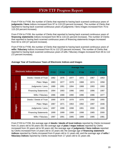<span id="page-21-0"></span>From FY04 to FY08, the number of Clerks that reported to having back scanned continuous years of **judgments / liens** indices increased from 97 to 119 (23 percent increase). The number of Clerks that reported to having back scanned continuous years of judgments / liens images increased from 75 to 115 (53 percent increase).

From FY04 to FY08, the number of Clerks that reported to having back scanned continuous years of **financing statements** indices increased from 96 to 116 (21 percent increase). The number of Clerks that reported to having back scanned continuous years of financing statements images increased from 82 to 104 (27 percent increase).

From FY04 to FY08, the number of Clerks that reported to having back scanned continuous years of **wills / fiduciary** indices increased from 91 to 112 (23 percent increase). The number of Clerks that reported to having back scanned continuous years of wills / fiduciary images increased from 65 to 112 (72 percent increase).

|         |                                      |             |             |             | <b>Average Year</b> |             |             |
|---------|--------------------------------------|-------------|-------------|-------------|---------------------|-------------|-------------|
|         | <b>Electronic Indices and Images</b> | <b>FY03</b> | <b>FY04</b> | <b>FY05</b> | <b>FY06</b>         | <b>FY07</b> | <b>FY08</b> |
|         | Deeds / Deeds of Trust               | 1982        | 1976        | 1977        | 1972                | 1967        | 1953        |
|         | Plats / Maps                         | 1983        | 1977        | 1978        | 1988                | 1974        | 1958        |
| Indices | Judgments / Liens                    | 1989        | 1991        | 1994        | 1988                | 1993        | 1993        |
|         | <b>Financing Statements</b>          | 1994        | 1993        | 1996        | 1993                | 1996        | 1997        |
|         | Wills / Fiduciary                    | 1986        | 1988        | 1990        | 1996                | 1986        | 1977        |
|         | Deeds / Deeds of Trust               | 1990        | 1978        | 1978        | 1976                | 1958        | 1955        |
|         | Plats / Maps                         | 1987        | 1971        | 1963        | 1992                | 1997        | 1946        |
| Images  | Judgments / Liens                    | 1997        | 1998        | 1998        | 1991                | 2000        | 1995        |
|         | <b>Financing Statements</b>          | 1999        | 1999        | 1999        | 1998                | 1985        | 2000        |
|         | Wills / Fiduciary                    | 1997        | 1991        | 1995        | 1999                | 1985        | 1981        |

#### **Average Year of Continuous Years of Electronic Indices and Images**

From FY03 to FY08, the average age of **deeds / deeds of trust indices** reported by Clerks increased from 21 years old to 55 years old; the average age of **plats / maps indices** reported by Clerks increased from 20 years old to 50 years old; the average age of **judgments / liens indices** reported by Clerks increased from 14 years old to 15 years old; the average age of **financing statement indices** reported by Clerks increased from 9 years old to 11 years old; and the average age of **wills / fiduciary indices** reported by Clerks increased from 17 years old to 31 years old.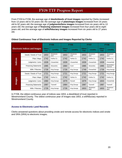<span id="page-22-0"></span>From FY03 to FY08, the average age of **deeds/deeds of trust images** reported by Clerks increased from 13 years old to 53 years old; the average age of **plats/maps images** increased from 16 years old to 62 years old; the average age of **judgments/liens images** increased from six years old to 13 years old; the average age of **financing statement images** increased from four years old to eight years old; and the average age of **wills/fiduciary images** increased from six years old to 27 years old.

|                                      |                             |                       | <b>FY05</b>       |                       | <b>FY06</b>       |                       | FY07              |                       | <b>FY08</b>             |
|--------------------------------------|-----------------------------|-----------------------|-------------------|-----------------------|-------------------|-----------------------|-------------------|-----------------------|-------------------------|
| <b>Electronic Indices and Images</b> |                             | <b>Oldest</b><br>Year | Locality          | <b>Oldest</b><br>Year | Locality          | <b>Oldest</b><br>Year | Locality          | <b>Oldest</b><br>Year | Locality                |
|                                      | Deeds / Deeds of Trust      | 1653                  | Westmore-<br>land | 1653                  | Westmore-<br>land | 1653                  | Westmore-<br>land | 1653                  | Westmore-<br>land       |
|                                      | Plats / Maps                | 1742                  | Fairfax Co        | 1742                  | Fairfax Co        | 1742                  | Fairfax Co        | 1742                  | Fairfax Co              |
| <b>Indices</b>                       | Judgments / Liens           | 1939                  | Chesterfield      | 1939                  | Chesterfield      | 1939                  | Chesterfield      | 1939                  | Chesterfield            |
|                                      | <b>Financing Statements</b> | 1985                  | Alexandria        | 1984                  | Scott             | 1985                  | Alexandria        | 1985                  | Alexandria /<br>Hanover |
|                                      | Wills / Fiduciary           | 1726                  | King George       | 1726                  | King George       | 1749                  | Chesterfield      | 1726                  | King George             |
|                                      | Deeds / Deeds of Trust      | 1721                  | King George       | 1721                  | King George       | 1721                  | King George       | 1721                  | King George             |
|                                      | Plats / Maps                | 1742                  | Fairfax Co        | 1742                  | Fairfax Co        | 1742                  | Fairfax Co        | 1742                  | Fairfax Co              |
| <b>Images</b>                        | Judgments / Liens           | 1980                  | King George       | 1979                  | Russell           | 1979                  | King George       | 1843                  | Chesterfield            |
|                                      | <b>Financing Statements</b> | 1987                  | Tazewell          | 1984                  | King George       | 1987                  | Tazewell          | 1987                  | Tazewell                |
|                                      | Wills / Fiduciary           | 1726                  | King George       | 1726                  | King George       | 1653                  | Westmore-<br>land | 1653                  | Westmore-<br>land       |

#### **Oldest Continuous Year of Electronic Indices and Images Reported by Clerks**

In FY08, the oldest continuous year of indices was 1653, a deed/deed of trust reported in Westmoreland County. The oldest continuous year of images was 1653, a will/fiduciary reported in Westmoreland County.

#### **Access to Electronic Land Records**

Clerks answered questions about providing onsite and remote access for electronic indices and onsite and SRA (SRA) to electronic images.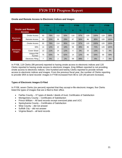|                                           |                          | <b>FY04</b>  |               | <b>FY05</b> |               | <b>FY06</b> |     | <b>FY07</b>  |               | <b>FY08</b> |      |
|-------------------------------------------|--------------------------|--------------|---------------|-------------|---------------|-------------|-----|--------------|---------------|-------------|------|
| <b>Onsite and Remote</b><br><b>Access</b> |                          | $\mathsf{n}$ | $\frac{9}{6}$ | $\mathbf n$ | $\frac{1}{2}$ | $\mathbf n$ | %   | $\mathsf{n}$ | $\frac{1}{2}$ | n           | $\%$ |
|                                           | Onsite Access            | 93           | 78%           | 112         | 93%           | 116         | 97% | 120          | 100%          | 119         | 99%  |
| <b>Electronic</b><br><b>Indices</b>       | <b>Remote Access</b>     | 30           | 25%           | 35          | 29%           | 67          | 56% | 96           | 80%           | 120         | 100% |
|                                           | <b>Onsite Access</b>     | 93           | 78%           | 114         | 95%           | 116         | 97% | 120          | 100%          | 120         | 100% |
|                                           | <b>SRA</b>               | 14           | 12%           | 22          | 18%           | 59          | 49% | 86           | 72%           | 120         | 100% |
| <b>Electronic</b><br><b>Images</b>        | <b>Cover Sheet</b>       | 13           | 11%           | 14          | 12%           | 4           | 3%  | 15           | 13%           | 5           | 4%   |
|                                           | Unique PIN<br>Number     | 75           | 63%           | 74          | 62%           | 14          | 12% | 65           | 54%           | 59          | 49%  |
|                                           | <b>Electronic Filing</b> | 7            | 6%            | 2           | 2%            | 59          | 49% | 7            | 6%            | 7           | 6%   |

#### <span id="page-23-0"></span>**Onsite and Remote Access to Electronic Indices and Images**

In FY08, 119 Clerks (99 percent) reported to having onsite access to electronic indices and 120 Clerks reported to having onsite access to electronic images. King William reported to not providing onsite access to electronic indices. One hundred and twenty Clerks reported to provide remote access to electronic indices and images. From the previous fiscal year, the number of Clerks reporting to provide SRA to land records' images in FY08 increased from 86 to 120 (40 percent increase).

### **Types of Electronic Images E-Filed**

In FY08, seven Clerks (six percent) reported that they accept e-file electronic images; five Clerks listed the types of images that are e-filed to their office.

- Fairfax County 37 types of deeds / deeds of trust; Certificates of Satisfaction
- Montgomery County Certificates of Satisfaction
- Prince William All land records except oversized plats and UCC
- Spotsylvania County Certificates of Satisfaction
- Wise County did not answer
- Suffolk City did not answer
- Virginia Beach all land records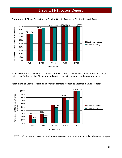

#### <span id="page-24-0"></span>**Percentage of Clerks Reporting to Provide Onsite Access to Electronic Land Records**

In the FY08 Progress Survey, 99 percent of Clerks reported onsite access to electronic land records' indices and 100 percent of Clerks reported onsite access to electronic land records' images.



#### **Percentage of Clerks Reporting to Provide Remote Access to Electronic Land Records**

In FY08, 100 percent of Clerks reported remote access to electronic land records' indices and images.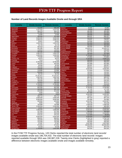#### <span id="page-25-0"></span>**Number of Land Records Images Available Onsite and through SRA**

| Locality                        | <b>Onsite Access</b> | <b>Remote Access</b> | <b>Locality</b>                  | <b>Onsite Access</b> | <b>Remote Access</b> |
|---------------------------------|----------------------|----------------------|----------------------------------|----------------------|----------------------|
| Accomack                        | 722,000              | 695,000              | Nelson                           | 44,866               | 44,866               |
| Albemarle                       | 2.227.016            | 2,227,016            | <b>New Kent</b>                  | 70,000               | 68,000               |
| Alleghany                       | 364,370              | 364,370              | Northampton                      | 491,000              | 491,000              |
| Amelia                          | 247,984              | 231,000              | Northumberland                   | 352,000              | 351,000              |
| Amherst                         | 13,000               | 13,000               | Nottoway                         | 256,000              | 220,000              |
| Appomattox                      | 280,000              | 251,000              | Orange                           | 868,297              | 868,297              |
| Arlington                       | 3,000,000            | 3,000,000            | Page                             | 546,000              | 520,000              |
| Augusta                         | 2,058,423            | 2,058,423            | Patrick                          | 178,021              | 178,021              |
| <b>Bath</b>                     | 53,621               | 53,621               | Pittsylvania                     | 220,000              | 220,000              |
| <b>Bedford</b>                  | 1,920,230            | 1,920,230            | Powhatan                         | 631,000              | 630,000              |
| <b>Bland</b>                    | 54,749               | 54,749               | <b>Prince Edward</b>             | 405,000              | 350,000              |
| <b>Botetourt</b>                | 442,510              | 442,510              | <b>Prince George</b>             | 400,000              | 400,000              |
| <b>Brunswick</b>                | 401,365              | 401,365              | <b>Prince William</b>            | 12,629,474           | 12,629,474           |
| <b>Buchanan</b>                 | 116,910              | 116,910              | Pulaski                          | 539,598              | 539,598              |
| <b>Buckingham</b>               | 264,000              | 243,000              | Rappahannock                     | 201,724              | 201,724              |
| Campbell                        | 1,061,075            | 1,061,075            | <b>Richmond Co</b>               | 265,000              | 257,000              |
| Caroline                        | 1,050,000            | 1,050,000            | Roanoke Co                       | 2,700,000            | 1,031,301            |
| Carroll                         | 770,000              | 770,000              | Rockbridge                       | 473,864              | 473,864              |
| <b>Charles City</b>             | 40,670               | 40,670               | Rockingham                       | 2,704,505            | 2,649,374            |
| Charlotte                       | 7,618                | 7,618                | Russell                          | 669,000              | 631,000              |
| Chesterfield                    | 9,700,000            | 9,700,000            | Scott                            | 958,503              | 958,503              |
| Clarke                          | 463,000              | 463,000              | Shenandoah                       | 663,989              | 663,989              |
| Craig                           | 40,300               | 40.300               | Smyth                            | 265,057              | 265,057              |
| Culpeper                        | 700,359              | 700,359              | Southampton                      | 659,612              | 659,612              |
| Cumberland                      | 149,000              | 131,000              | Spotsylvania                     | 3,930,000            | 3,930,000            |
| <b>Dickenson</b>                | 119,880              | 119,880              | Stafford                         | 573,944              | 573,944              |
| Dinwiddie                       | 629,000              | 575,000              | Surry                            | 150,000              | 150.000              |
| <b>Essex</b>                    | 50,704               | 50,704               | <b>Sussex</b>                    | 150,000              | 150.000              |
| Fairfax                         | 37, 161, 872         | 37,161,872           | <b>Tazewell</b>                  | 717,318              | 713,318              |
| Fauquier                        | 1,862,000            | 1,862,000            | Warren                           | 885,520              | 885,520              |
| Floyd                           | 292,166              | 292,166              | Washington                       | 811,148              | 811,148              |
| Fluvanna                        | 700,000              | 700,000              | Westmoreland                     | 629,294              | 629,294              |
| Franklin Co                     | 470,653              | 350,000              | Wise                             | 352,672              | 352,672              |
| Frederick                       | 2,700,000            | 2,700,000            | Wythe                            | 254,628              | 254,628              |
| <b>Giles</b>                    | 125,000              | 114,000              | York                             | 2,216,108            | 2,005,908            |
| Gloucester                      | 842,000              | 842,000              | Alexandria                       | 3,750,000            | 3,750,000            |
| Goochland                       | 323,306              | 287,376              | <b>Bristol</b>                   | 147,438              | 147,438              |
| Grayson                         | 313,040              | 313,040              | <b>Buena Vista</b>               | 90,269               | 90,269               |
| Greene                          | 4,000                | 4,000                | Charlottesville                  | 877,000              | 13,000               |
| Greensville                     | 10,580               | 4,810                | Chesapeake                       | 6,000,000            | 6,000,000            |
| <b>Halifax</b>                  | 455,714              | 455,714              | <b>Colonial Heights</b>          | 194,872              | 194,872              |
| Hanover                         | 2,600,000            | 2,600,000            | Danville                         | 687,220              | 687,220              |
| Henrico                         | 9,000,000            | 9,000,000            | Fredericksburg                   | 252,680              | 252,680              |
| Henry                           | 423,932              | 423,932              | Hampton                          | 2,541,557            | 2,541,557            |
| Highland                        | 9,800                | 9,800                | Hopewell                         | 444,238              | 444.238              |
| Isle of Wight                   | 793,888              | 793,888              | Lynchburg                        | 1,408,039            | 1.408.039            |
| <b>James City</b>               | 2,334,504            | 2,334,504            | Martinsville                     | 485,000              | 485,000              |
| King & Queen                    | 42,661               | 23,172               | <b>Newport News</b>              | 4,000,000            | 3,030,652            |
| <b>King George</b>              | 1,000,000            | 1,000,000            | Norfolk                          | 5,500,000            | 5,500,000            |
| King William                    | 227,555              | 227,555              | Petersburg                       | 294,000              | 265,000              |
| Lancaster                       | 254,646              | 254,646              | Portsmouth                       | 2,443,055            | 2,443,055            |
| Lee                             | 576,242              | 576,242              | Radford                          | 127,000              | 99.000               |
| Loudoun                         | 6,650,000            | 6,650,000            | <b>Richmond City</b>             | 4,450,000            | 3,200,000            |
| Louisa                          | 858,051              | 858,051              | <b>Roanoke City</b>              | 1,754,716            | 1,754,716            |
| Lunenburg                       | 150,000              | 150,000              | Salem                            | 258,658              | 258,658              |
| Madison                         | 132,000              | 132,000              | Staunton                         | 500,000              | 500,000              |
| <b>Mathews</b>                  | 37,097               | 37,097               | <b>Suffolk</b><br>Virginia Beach | 2,007,605            | 2,007,605            |
| Mecklenburg<br><b>Middlesex</b> | 572,834              | 572,834              | Waynesboro                       | 20,000,000           | 20,000,000           |
| Montgomery                      | 43,539<br>1,735,000  | 43,539<br>1,622,000  | Winchester                       | 378,079<br>600,000   | 387,079<br>600,000   |
|                                 |                      |                      |                                  |                      |                      |

In the FY08 TTF Progress Survey, 120 Clerks reported the total number of electronic land records' images available onsite was 196,704,432. The total number of electronic land records' images reported available through SRA was 190,987,228. Twenty-nine Clerks (highlighted in gray) reported a difference between electronic images available onsite and images available remotely.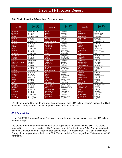#### <span id="page-26-0"></span>**Date Clerks Provided SRA to Land Records' Images**

| <b>Locality</b>            | Date SRA<br><b>Provided</b> | Locality                 | Date SRA<br><b>Provided</b> | <b>Locality</b>         | Date SRA<br><b>Provided</b> |
|----------------------------|-----------------------------|--------------------------|-----------------------------|-------------------------|-----------------------------|
| Accomack                   | September 2008              | <b>Halifax</b>           | <b>July 2008</b>            | Scott                   | <b>July 2006</b>            |
| Albemarle                  | <b>July 2007</b>            | Hanover                  | <b>July 2008</b>            | Shenandoah              | January 2007                |
| Alleghany                  | <b>July 2007</b>            | Henrico                  | <b>July 2008</b>            | Smyth                   | January 2008                |
| Amelia                     | December 2008               | Henry                    | <b>July 2008</b>            | Southampton             | <b>June 2006</b>            |
| Amherst                    | <b>June 2007</b>            | Highland                 | <b>July 2007</b>            | Spotsylvania            | <b>July 2006</b>            |
| Appomattox                 | May 2007                    | <b>Isle of Wight</b>     | <b>July 2006</b>            | <b>Stafford</b>         | May 2005                    |
| Arlington                  | January 2000                | <b>James City County</b> | <b>July 2008</b>            | Surry                   | December 2006               |
| Augusta                    | <b>June 2008</b>            | King & Queen             | <b>July 2008</b>            | <b>Sussex</b>           | <b>July 2006</b>            |
| <b>Bath</b>                | <b>July 2007</b>            | <b>King George</b>       | <b>July 2006</b>            | <b>Tazewell</b>         | <b>June 2008</b>            |
| <b>Bedford</b>             | <b>July 2008</b>            | <b>King William</b>      | <b>July 2008</b>            | Warren                  | May 2004                    |
| <b>Bland</b>               | August 2007                 | Lancaster                | <b>July 2008</b>            | Washington              | August 2008                 |
| <b>Botetourt</b>           | <b>July 2008</b>            | Lee                      | April 2006                  | Westmoreland            | <b>June 2008</b>            |
| <b>Brunswick</b>           | <b>July 2006</b>            | Loudoun                  | February 2004               | Wise                    | November 1998               |
| <b>Buchanan</b>            | August 2005                 | Louisa                   | August 2007                 | Wythe                   | <b>May 2008</b>             |
| <b>Buckingham</b>          | <b>July 2008</b>            | Lunenburg                | <b>July 2008</b>            | York                    | September 2008              |
| Campbell                   | <b>July 2008</b>            | Madison                  | March 2007                  | Alexandria              | <b>July 2008</b>            |
| Caroline                   | <b>July 2006</b>            | <b>Mathews</b>           | August 2008                 | <b>Bristol</b>          | <b>July 2006</b>            |
| Carroll                    | February 2002               | Mecklenburg              | <b>July 2008</b>            | <b>Buena Vista</b>      | <b>July 2007</b>            |
| <b>Charles City County</b> | May 2008                    | Middlesex                | <b>July 2008</b>            | Charlottesville         | May 2008                    |
| Charlotte                  | <b>July 2007</b>            | Montgomery               | May 2007                    | Chesapeake              | <b>June 2007</b>            |
| Chesterfield               | <b>July 2008</b>            | <b>Nelson</b>            | <b>July 2008</b>            | <b>Colonial Heights</b> | February 2007               |
| Clarke                     | December 2005               | <b>New Kent</b>          | <b>July 2006</b>            | <b>Danville</b>         | January 2005                |
| Craig                      | <b>July 2008</b>            | Northampton              | March 2006                  | Fredericksburg          | <b>July 2006</b>            |
| Culpeper                   | September 2006              | Northumberland           | <b>July 2008</b>            | Hampton                 | May 2006                    |
| Cumberland                 | <b>June 2008</b>            | Nottoway                 | <b>July 2006</b>            | Hopewell                | <b>July 2008</b>            |
| <b>Dickenson</b>           | <b>July 2008</b>            | Orange                   | <b>July 2006</b>            | Lynchburg               | <b>July 2008</b>            |
| <b>Dinwiddie</b>           | <b>June 2008</b>            | Page                     | August 2008                 | <b>Martinsville</b>     | February 2000               |
| <b>Essex</b>               | March 2006                  | Patrick                  | <b>July 2008</b>            | <b>Newport News</b>     | <b>July 2000</b>            |
| Fairfax                    | May 1999                    | Pittsylvania             | January 2008                | <b>Norfolk</b>          | <b>July 2004</b>            |
| Fauguier                   | <b>July 2006</b>            | Powhatan                 | <b>July 2006</b>            | Petersburg              | <b>July 2008</b>            |
| Floyd                      | <b>July 2006</b>            | <b>Prince Edward</b>     | <b>June 2008</b>            | Portsmouth              | October 2006                |
| Fluvanna                   | <b>June 2006</b>            | <b>Prince George</b>     | January 2006                | Radford                 | September 2008              |
| <b>Franklin Co</b>         | <b>July 2008</b>            | <b>Prince William</b>    | December 2001               | <b>Richmond City</b>    | <b>July 2008</b>            |
| Frederick                  | <b>July 2006</b>            | Pulaski                  | September 1998              | <b>Roanoke City</b>     | <b>July 2008</b>            |
| <b>Giles</b>               | August 2008                 | Rappahannock             | <b>July 2007</b>            | Salem                   | <b>July 2008</b>            |
| Gloucester                 | <b>July 2006</b>            | <b>Richmond Co</b>       | August 2008                 | <b>Staunton</b>         | <b>July 2008</b>            |
| Goochland                  | <b>July 2006</b>            | Roanoke Co               | <b>July 2008</b>            | <b>Suffolk</b>          | August 2006                 |
| Grayson                    | August 2007                 | Rockbridge               | <b>July 2008</b>            | <b>Virginia Beach</b>   | <b>July 2002</b>            |
| Greene                     | <b>July 2008</b>            | Rockingham               | October 2006                | Waynesboro              | <b>July 2008</b>            |
| Greensville                | January 2008                | Russell                  | <b>July 2007</b>            | Winchester              | <b>July 2006</b>            |

120 Clerks reported the month and year they began providing SRA to land records' images. The Clerk of Pulaski County reported the first to provide SRA in September 1998.

#### **SRA Subscription**

In the FY08 TTF Progress Survey, Clerks were asked to report the subscription fees for SRA to land records' images.

120 Clerks reported that their office approves all applications for subscription to SRA. 120 Clerks reported to be currently accepting public (non-governmental) subscribers to SRA. One hundred and nineteen Clerks (99 percent) reported a fee schedule for SRA subscription. The Clerk of Dickenson County did not report a fee schedule for SRA. The subscription fees ranged from \$50 a quarter to \$50 per month.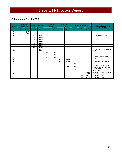### <span id="page-27-0"></span>**Subscription Fees for SRA**

| <b>Clerks</b>           |             | <b>Monthly</b><br><b>Subscription</b> | <b>Monthly / Annual</b> |           | Quarterly /<br><b>Annual</b> |       | Biannual /<br><b>Annual</b> |           |       | <b>Annual Subscription</b> |                      | <b>Additional Users, Fees</b>                                   |
|-------------------------|-------------|---------------------------------------|-------------------------|-----------|------------------------------|-------|-----------------------------|-----------|-------|----------------------------|----------------------|-----------------------------------------------------------------|
|                         | <b>User</b> | $2+$<br><b>Users</b>                  | <b>Month</b>            | 1<br>Year | 3<br><b>Months</b>           | Year  | 6<br><b>Months</b>          | 1<br>Year | Year  | <b>User</b>                | $2+$<br><b>Users</b> | and Discounts                                                   |
| 1                       | \$25        | \$50                                  |                         |           |                              |       |                             |           |       |                            |                      |                                                                 |
| 1                       | \$50        | \$100                                 |                         |           |                              |       |                             |           |       |                            |                      |                                                                 |
| 8                       |             |                                       | \$25                    | \$300     |                              |       |                             |           |       |                            |                      | 1 Clerk - \$50 sign-on fee                                      |
| $\overline{2}$          |             |                                       | \$30                    | \$300     |                              |       |                             |           |       |                            |                      |                                                                 |
| 1                       |             |                                       | \$30                    | \$360     |                              |       |                             |           |       |                            |                      |                                                                 |
| $\overline{2}$          |             |                                       | \$35                    | \$420     |                              |       |                             |           |       |                            |                      |                                                                 |
| 1                       |             |                                       | \$40                    | \$480     |                              |       |                             |           |       |                            |                      |                                                                 |
| 3                       |             |                                       | \$50                    | \$500     |                              |       |                             |           |       |                            |                      |                                                                 |
| $\overline{\mathbf{c}}$ |             |                                       | \$50                    | \$550     |                              |       |                             |           |       |                            |                      |                                                                 |
| 66                      |             |                                       | \$50                    | \$600     |                              |       |                             |           |       |                            |                      | 1 Clerk - 5% discount for 6/12<br>months terms                  |
| 1                       |             |                                       |                         |           | \$50                         | \$200 |                             |           |       |                            |                      |                                                                 |
| $\overline{2}$          |             |                                       |                         |           | \$105                        | \$400 |                             |           |       |                            |                      |                                                                 |
| 5                       |             |                                       |                         |           | \$150                        | \$600 |                             |           |       |                            |                      | 1 Clerk - \$0 for corporate<br>usage                            |
| 1                       |             |                                       |                         |           |                              |       | \$300                       | \$420     |       |                            |                      |                                                                 |
| 3                       |             |                                       |                         |           |                              |       | \$300                       | \$600     |       |                            |                      | 1 Clerk - pre-paid accounts                                     |
| 3                       |             |                                       |                         |           |                              |       |                             |           | \$300 |                            |                      |                                                                 |
| 3                       |             |                                       |                         |           |                              |       |                             | N/A       | \$500 |                            |                      | 2 Clerks - \$500 for 3 users;<br>\$100 for each additional user |
| 11                      |             |                                       |                         |           |                              |       |                             |           | \$600 |                            |                      | 1 Clerk - \$100 for each<br>additional user                     |
| 1                       |             |                                       |                         |           |                              |       |                             |           |       |                            | \$500                | Corporate is 3 users; \$100 for<br>each additional user         |
| 1                       |             |                                       |                         |           |                              |       |                             |           |       | \$300                      | \$600                | Corporate is 2 users                                            |
| 1                       |             |                                       |                         |           |                              |       |                             |           |       | \$600                      | \$1200               | Corporate is 4 users                                            |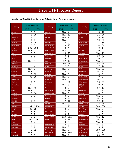### <span id="page-28-0"></span>**Number of Paid Subscribers for SRA to Land Records' Images**

| <b>Locality</b>        | <b>Paid Subscribers</b> |                | Locality              |                | <b>Paid Subscribers</b> | <b>Locality</b>      | <b>Paid Subscribers</b> |                 |
|------------------------|-------------------------|----------------|-----------------------|----------------|-------------------------|----------------------|-------------------------|-----------------|
|                        | <b>FY07</b>             | <b>FY08</b>    |                       | <b>FY07</b>    | <b>FY08</b>             |                      | <b>FY07</b>             | <b>FY08</b>     |
| Accomack               | 8                       | 6              | <b>Halifax</b>        | N/A            | $\overline{4}$          | Scott                | 5                       | 12              |
| Albemarle              | 8                       | 29             | Hanover               | N/A            | 12                      | Shenandoah           | 21                      | 24              |
| Alleghany              | $\overline{2}$          | 5              | Henrico               | N/A            | 9                       | Smyth                | 6                       | 12              |
| Amelia                 | 0                       | $\mathbf 0$    | Henry                 | N/A            | 0                       | Southampton          | 10                      | 22              |
| Amherst                | $\overline{2}$          | 10             | Highland              | 0              | 0                       | Spotsylvania         | 31                      | 54              |
| Appomattox             | 0                       | $\overline{0}$ | Isle of Wight         | 13             | 15                      | <b>Stafford</b>      | 34                      | 54              |
| Arlington              | 300                     | 368            | James City Co         | 0              | $\overline{4}$          | <b>Surry</b>         | 0                       | 1               |
| Augusta                | N/A                     | 13             | King & Queen          | N/A            | $\mathbf 0$             | <b>Sussex</b>        | 0                       | $\mathbf 0$     |
| <b>Bath</b>            | 0                       | $\mathbf 0$    | <b>King George</b>    | 23             | 25                      | <b>Tazewell</b>      | N/A                     | 11              |
| Bedford                | 0                       | 7              | King William          | 0              |                         | Warren               | 38                      | 40              |
| <b>Bland</b>           | 0                       | 0              | Lancaster             | 3              | 3                       | Washington           | 0                       | $6\phantom{1}6$ |
| <b>Botetourt</b>       | N/A                     | 4              | Lee                   | 17             | 17                      | Westmoreland         | N/A                     | $\mathbf 0$     |
| <b>Brunswick</b>       | 1                       | $\overline{2}$ | Loudoun               | 205            | 451                     | Wise                 | 46                      | 44              |
| <b>Buchanan</b>        | 1                       | $\overline{4}$ | Louisa                | $\overline{2}$ | 8                       | Wythe                | 7                       | 14              |
| <b>Buckingham</b>      | N/A                     | 0              | Lunenburg             | N/A            | 3                       | York                 | N/A                     | 30              |
| Campbell               | N/A                     | $\overline{2}$ | Madison               | 0              | $\overline{0}$          | Alexandria           | N/A                     | 21              |
| Caroline               | 10                      | 12             | <b>Mathews</b>        | N/A            | $\mathbf 0$             | <b>Bristol</b>       | 0                       | $\mathbf 0$     |
| Carroll                | 38                      | 38             | Mecklenburg           | N/A            | $\overline{7}$          | <b>Buena Vista</b>   | 0                       | $\overline{2}$  |
| <b>Charles City Co</b> | 0                       | $\mathbf 0$    | <b>Middlesex</b>      | N/A            | 0                       | Charlottesville      | N/A                     | $\mathbf 0$     |
| Charlotte              | 0                       | 1              | Montgomery            | 1              | 23                      | Chesapeake           | 16                      | 55              |
| Chesterfield           | 21                      | 22             | <b>Nelson</b>         | N/A            | 3                       | Colonial<br>Heights  | 0                       | 1               |
| Clarke                 | N/A                     | 41             | <b>New Kent</b>       | 0              | $\overline{2}$          | <b>Danville</b>      | 17                      | 18              |
| Craig                  | N/A                     | $\mathbf 0$    | Northampton           | 80             | 35                      | Fredericksburg       | 4                       | 6               |
| Culpeper               | 9                       | 14             | Northumberland        | N/A            | $\mathbf 0$             | <b>Hampton</b>       | 4                       | 3               |
| Cumberland             | 0                       | 0              | Nottoway              | 0              | 3                       | Hopewell             | N/A                     | $\mathbf 0$     |
| <b>Dickenson</b>       | $\mathbf 0$             | $\mathbf 0$    | Orange                | 15             | 23                      | Lynchburg            | N/A                     | 3               |
| <b>Dinwiddie</b>       | 0                       | 1              | Page                  | 7              | 12                      | <b>Martinsville</b>  | 12                      | 18              |
| <b>Essex</b>           | 0                       | $\mathbf 0$    | <b>Patrick</b>        | N/A            | 0                       | <b>Newport News</b>  | 3                       | 46              |
| <b>Fairfax Co</b>      | 2,194                   | 1,164          | Pittsylvania          | 2              | 13                      | Norfolk              | 340                     | 350             |
| Fauquier               | 22                      | 68             | Powhatan              | 0              | 3                       | Petersburg           | N/A                     | $\mathbf 0$     |
| Floyd                  | 5                       | 8              | <b>Prince Edward</b>  | 0              | 0                       | Portsmouth           | 23                      | 30              |
| Fluvanna               | 0                       | 7              | <b>Prince George</b>  | 0              | 1                       | Radford              | 0                       | $\mathbf 0$     |
| Franklin Co            | $\mathbf 0$             | 8              | <b>Prince William</b> | 810            | 791                     | <b>Richmond City</b> | N/A                     | 15              |
| Frederick Co           | 106                     | 120            | Pulaski               | 10             | 14                      | <b>Roanoke City</b>  | N/A                     | $\overline{2}$  |
| Giles                  | 0                       | 4              | Rappahannock          | 0              | $\sqrt{3}$              | Salem                | N/A                     | 1               |
| Gloucester             | $\mathbf 0$             | $\mathbf 0$    | <b>Richmond Co</b>    | 0              | 3                       | Staunton             | N/A                     | 8               |
| Goochland              | 0                       | $\overline{2}$ | Roanoke Co            | N/A            | $\,6$                   | <b>Suffolk</b>       | 15                      | $\overline{9}$  |
| Grayson                | 0                       | 22             | Rockbridge            | N/A            | $\mathfrak{B}$          | Virginia Beach       | 900                     | 900             |
| Greene                 | N/A                     | $\mathbf 0$    | Rockingham            | 406            | 369                     | Waynesboro           | N/A                     | 1               |
| Greensville            | $\mathbf 0$             | $\mathbf 0$    | <b>Russell</b>        | N/A            | $\overline{2}$          | Winchester           | 60                      | 60              |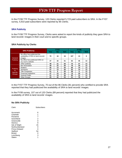<span id="page-29-0"></span>In the FY08 TTF Progress Survey, 120 Clerks reported 5,723 paid subscribers to SRA. In the FY07 survey, 5,910 paid subscribers were reported by 85 Clerks.

#### **SRA Publicity**

In the FY08 TTF Progress Survey, Clerks were asked to report the kinds of publicity they gave SRA to land records' images in their court and to specific groups.

#### **SRA Publicity by Clerks**

|                                        |                                                                                 |     | <b>FY07</b> |     |            | <b>FY08</b> |     |
|----------------------------------------|---------------------------------------------------------------------------------|-----|-------------|-----|------------|-------------|-----|
|                                        | <b>SRA Publicity</b>                                                            | Yes | <b>No</b>   | N/A | <b>Yes</b> | <b>No</b>   | N/A |
| General                                | My office has publicized the<br>availability of SRA to land records'<br>images. | 70  | 16          | 34  | 107        | 13          | 0   |
| <b>Publicity</b>                       | My office has publicized SRA on<br>my court's website.                          | 37  | 32          | 51  | 62         | 45          | 13  |
|                                        | Other publicity                                                                 | 49  | 21          | 50  | 70         | 37          | 13  |
|                                        | <b>Bar Association</b>                                                          | 48  | 22          | 50  | 78         | 29          | 13  |
|                                        | <b>Realtors</b>                                                                 | 56  | 14          | 50  | 88         | 19          | 13  |
| Publicity                              | Surveyors                                                                       | 57  | 13          | 50  | 93         | 14          | 13  |
| to<br><b>Specific</b><br><b>Groups</b> | <b>Title Companies</b>                                                          | 61  | 9           | 50  | 98         | 9           | 13  |
|                                        | <b>Financial Institutions</b>                                                   | 47  | 23          | 50  | 78         | 29          | 13  |
|                                        | <b>General Public</b>                                                           | 51  | 19          | 50  | 95         | 12          | 13  |
|                                        | <b>Other Groups</b>                                                             | 25  | 42          | 53  | 31         | 76          | 13  |

In the FY07 TTF Progress Survey, 70 out of the 86 Clerks (81 percent) who certified to provide SRA reported that they had publicized the availability of SRA to land records' images.

In the FY08 survey, 107 out of 120 Clerks (89 percent) reported that they had publicized the availability of SRA to land records' images.

#### **No SRA Publicity**

| Clerk                | Subscribers |  |  |  |  |  |
|----------------------|-------------|--|--|--|--|--|
| Accomack             | 6           |  |  |  |  |  |
| Charlotte            | 1           |  |  |  |  |  |
| Fluvanna             | 7           |  |  |  |  |  |
| Goochland            | 2           |  |  |  |  |  |
| Greensville          | 0           |  |  |  |  |  |
| Henrico              | 9           |  |  |  |  |  |
| Isle of Wight        | 15          |  |  |  |  |  |
| Northumberland       | 0           |  |  |  |  |  |
| <b>Prince Edward</b> | ი           |  |  |  |  |  |
| Stafford             | 54          |  |  |  |  |  |
| <b>Bristol</b>       | O           |  |  |  |  |  |
| Lynchburg            | 3           |  |  |  |  |  |
| Salem                | 1           |  |  |  |  |  |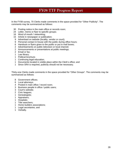In the FY08 survey, 70 Clerks made comments in the space provided for "Other Publicity". The comments may be summarized as follows:

- 30 Posting notice in the main office or records room;
- 24 Letter, memo or flyer to specific groups;
- 16 Word of mouth / networking;
- 15 Article in newspaper or publication;
- 9 Advertised on website (locality, vendor or court);
- 9 Personal contact in-house with the public during office hours;
- 6 Handouts or flyers given to the public or put in mail boxes;
- 2 Advertisements on public television or local channel;
- 2 Announcements or presentations at public meetings;
- 2 Email or fax;
- 1 Law library;
- 1 Political brochure;
- 1 Continuing legal education;
- 1 Documents located in visible place within the Clerk's office; and
- 1 Since SRA is required, publicity should not be necessary.

Thirty-one Clerks made comments in the space provided for "Other Groups". The comments may be summarized as follows:

- 8 Government offices;
- 6 Local attorneys;
- 4 Posted in main office / record room;
- 3 Business people in office / public users;
- 3 Court's website;
- 2 Civic leagues;
- 1 Genealogists;
- 1 Appraisers;
- 1 Hospitals;
- 1 Title searchers;
- 1 Home builders associations;
- 1 Legal secretaries; and
- 1 Verbally.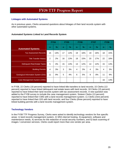#### <span id="page-31-0"></span>**Linkages with Automated Systems**

As in previous years, Clerks answered questions about linkages of their land records system with other automated systems.

### **Automated Systems Linked to Land Records System**

|                                     | <b>FY04</b> |               | <b>FY05</b> |               | <b>FY06</b> |               | <b>FY07</b>    |      | <b>FY08</b>    |               |
|-------------------------------------|-------------|---------------|-------------|---------------|-------------|---------------|----------------|------|----------------|---------------|
| <b>Automated Systems</b>            | n           | $\frac{1}{2}$ | $\mathbf n$ | $\frac{9}{6}$ | $\mathbf n$ | $\frac{9}{6}$ | $\mathbf n$    | $\%$ | $\mathbf n$    | $\frac{9}{6}$ |
| <b>Tax Assessment Records</b>       | 15          | 13%           | 17          | 14%           | 19          | 16%           | 19             | 16%  | 18             | 15%           |
| <b>Title Transfer History</b>       | 2           | 2%            | 16          | 13%           | 18          | 15%           | 20             | 17%  | 22             | 18%           |
| <b>Delinguent Real Estate Taxes</b> | 5           | 4%            | 15          | 13%           | 13          | 12%           | 14             | 12%  | 15             | 13%           |
| <b>Building Permits</b>             | 4           | 3%            | 3           | 3%            | 4           | 3%            | $\overline{4}$ | 3%   | $\overline{4}$ | 3%            |
| Geological Information System (GIS) | 11          | 9%            | 5           | 4%            | 6           | 5%            | 9              | 8%   | 11             | 9%            |
| Case Management System (CMS)        |             |               |             |               |             |               |                |      | 16             | 13%           |

In FY08, 22 Clerks (18 percent) reported to have linked title transfers to land records; 15 Clerks (13 percent) reported to have linked delinquent real estate taxes with land records; 18 Clerks (15 percent) reported to have linked their land records system with tax assessment records. A new question was added to the FY08 survey to include the case management system. Sixteen Clerks (13 percent) reported to have linked their CMS with a land records management system; 11 Clerks (nine percent) reported to have linked their GIS with land records; and four Clerks (three percent) reported to have linked building permits with a land records management system.

### **Technology Vendors**

In the FY08 TTF Progress Survey, Clerks were asked to identify technology vendors for five specific areas: 1) land records management system, 2) SRA internet hosting, 3) equipment, software and maintenance needs, 4) services for the redaction of social security numbers, and 5) back scanning of images / conversion services. Clerks could report more than one vendor per area.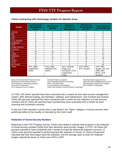<span id="page-32-0"></span>

| <b>Vendor</b>    | <b>Land Records</b><br><b>Management</b><br><b>System</b> | <b>SRA Internet</b><br><b>Hosting</b>   | Hardware,<br>Software, &<br><b>Maintenance</b>                     | <b>Redaction of</b><br><b>Social Security</b><br><b>Numbers</b> | <b>Back Scanning</b><br>and Conversion                  |
|------------------|-----------------------------------------------------------|-----------------------------------------|--------------------------------------------------------------------|-----------------------------------------------------------------|---------------------------------------------------------|
| AmCad            | 5                                                         | 5                                       | 6                                                                  |                                                                 | 6                                                       |
| <b>BIS</b>       |                                                           |                                         |                                                                    |                                                                 | 2                                                       |
| Cott             | 7                                                         |                                         |                                                                    | 6                                                               | 6                                                       |
| <b>CSI</b>       | 0                                                         | O                                       | U                                                                  | $\overline{2}$                                                  | 0                                                       |
| C.W. Warthen     | 0                                                         | 0                                       | 0                                                                  | 0                                                               | 2                                                       |
| <b>Databanks</b> | 0                                                         | 0                                       | 0                                                                  | 0                                                               | 2                                                       |
| <b>DTS</b>       | 2                                                         | 2                                       | 2                                                                  | 2                                                               | 2                                                       |
| Image America    | 0                                                         | 0                                       | 0                                                                  | 0                                                               | 2                                                       |
| In-House         | 2                                                         |                                         | 6                                                                  |                                                                 | 17                                                      |
| ILS.             | 18                                                        | 16                                      | 18                                                                 | 18                                                              | 17                                                      |
| Logan            | 12                                                        | 11                                      | 12                                                                 | 11                                                              | 14                                                      |
| <b>Meadows</b>   | 0                                                         | 0                                       | 0                                                                  | 0                                                               | 2                                                       |
| <b>SCV</b>       | 73                                                        | 73                                      | 73                                                                 | 70                                                              | 28                                                      |
| <b>Sutton</b>    | 0                                                         | 0                                       | 0                                                                  | 0                                                               | 4                                                       |
| Unity            | $\overline{c}$                                            |                                         |                                                                    | 0                                                               | 0                                                       |
| No Vendor        | 0                                                         | 0                                       | $\Omega$                                                           | 6                                                               | 23                                                      |
| Other            | ACS, Eagle,<br>ImageVision,<br><b>Nortel</b>              | ACS, Eagle,<br>Kaballero.com,<br>Mixnet | ACS, Carasoft,<br>Eagle, ESI,<br>Govolution, GTSI,<br>ImageVision, | ACS, Mixnet,<br>W.R. Systems                                    | ACS, A&E<br>Supply, AIS, CSI,<br>DMS, DRS<br>MSTC, W.R. |
|                  |                                                           |                                         | Inego                                                              |                                                                 | Systems                                                 |

GTSI=GTSI Corporation **ILS=International Land Systems ICS**<br>SCV=Supreme Court of Virginia **Incorporational Unity-Unity Systems**, formerly R

ACS=ACS Government Record Services AmCad=American Cadastre AIS=Alternative Images Service BIS=Business Information Systems CSI=Computing Systems Innovations DMS=Document Management Services DTS=Document Technology Systems DRS= The DRS Group ESI=Electronic Solutions for Imaging<br>GTSI=GTSI Corporation ILS=International Land Systems MSTC=MSTC Incorporated Unity=Unity Systems, formerly Reams Corporation

In FY08, 120 Clerks reported they have contracted with a vendor for their land records management system, SRA internet hosting, and hardware, software, and maintenance. One hundred and fourteen Clerks (95 percent) reported they have contracted with a vendor for the redaction of social security numbers and 97 Clerks (81 percent) have reported they have contracted with a vendor for back scanning and conversion services.

If only one Clerk reported a vendor then it was listed in the "Other" category. In-house services were performed either by the locality or internally by the Clerk's staff.

### **Redaction of Social Security Numbers**

Beginning in the FY07 Progress Survey, Clerks were asked to indicate their progress in the redaction of social security numbers (SSN) from their electronic land records' images. In FY07, 64 Clerks (53 percent) reported to have contracted with a vendor for back-file (historical) redaction services; 11 Clerks (nine percent) reported to performing back-file redaction in-house; 21 Clerks (18 percent) indicated that they have begun back-file redaction; and the average span of years for redacted images reported by those 21 Clerks was 1970 to 2007.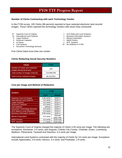#### <span id="page-33-0"></span>**Number of Clerks Contracting with each Technology Vendor**

In the FY08 survey, 105 Clerks (88 percent) reported to have redacted electronic land records' images. These Clerks reported the technology vendors with whom they contracted.

- 
- 
- 
- 6 American Cadastre 1 M&W Printers
- 
- 
- 2 Document Technology Services

Five Clerks listed more than one vendor.

#### **Clerks Redacting Social Security Numbers**

| <b>Clerks</b>                                              | <b>FY08</b> |  |  |
|------------------------------------------------------------|-------------|--|--|
| Number of Clerks who redacted<br>images during fiscal year | 105         |  |  |
| Total number of images redacted                            | 110,996,593 |  |  |
| Total cost for redacted images                             | \$4,120,924 |  |  |

#### **Cost per Image and Method of Redaction**

| <b>Vendors</b>                         | <b>FY08</b>  |               |  |
|----------------------------------------|--------------|---------------|--|
|                                        | Cost         | <b>Method</b> |  |
| <b>Supreme Court of Virginia</b>       | 3.35 cents   | OCR+1         |  |
| <b>International Land Systems</b>      | 3.0 cents    | OCR+1         |  |
| <b>Logan Systems</b>                   | 4.0 cents    | OCR+1         |  |
| <b>American Cadastre</b>               | 4.0 cents    | $OCR+1$       |  |
| <b>Cott Systems</b>                    | various      | OCR+1         |  |
| <b>Document Technology Services</b>    | 3.8 cents    | OCR+2         |  |
| <b>ACS State &amp; Local Solutions</b> | 3.5 cents    | OCR+1         |  |
| <b>Business Information Systems</b>    | $0.95$ cents | OCR+1         |  |
|                                        | 4.0 cents    | Manual        |  |
| <b>Mixnet Corporation</b>              |              | pass only     |  |
| <b>M&amp;W Printers</b>                | 4.0 cents    | OCR only      |  |
| W.R. Systems                           | 1.7 cents    | OCR only      |  |

The Supreme Court of Virginia charged the majority of Clerks 3.35 cents per image. The following are exceptions: Buchanan, 3.4 cents; and Augusta, Charles City County, Charlotte, Essex, Lunenburg, Madison, Pittsylvania, Tazewell and Staunton, 4.0 cents per image.

International Land Systems contracted with the majority of Clerks for 3.0 cents per image. Exceptions include Appomattox, 3.9 cents; Henrico, 3.3 cents; and Powhatan, 2.9 cents.

- 67 Supreme Court of Virginia 1 ACS State and Local Solutions
- 14 International Land Systems 1 Business Information Systems
- 9 Logan Systems 1 Mixnet Corporation
	-
- 4 In-House 1 W.R. Systems
- 3 Cott Systems 15 No redaction in FY08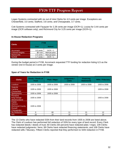<span id="page-34-0"></span>Logan Systems contracted with six out of nine Clerks for 4.0 cents per image. Exceptions are Chesterfield, 3.0 cents; Stafford, 3.8 cents; and Chesapeake, 3.7 cents.

Cott Systems contracted with Fauquier for 2.28 cents per image (OCR+1); Louisa for 3.44 cents per image (OCR software only); and Richmond City for 3.25 cents per image (OCR+1).

#### **In-House Redaction Programs**

| <b>Clerks</b>           | <b>FY08</b> |               |  |
|-------------------------|-------------|---------------|--|
|                         | Cost        | <b>Method</b> |  |
| <b>Accomack</b>         | 3.0 cents   | $OCR + 1$     |  |
| <b>Colonial Heights</b> | \$0 cost    | Manual pass   |  |
| <b>Martinsville</b>     | 2.5 cents   | Manual pass   |  |
| Norfolk                 | 1.7 cents   | $OCR + 1$     |  |

During the budget period in FY08, Accomack requested TTF funding for redaction listing ILS as the vendor (not in-house) at 3 cents per image.

#### **Span of Years for Redaction in FY08**

| <b>Clerks</b>                                                               | Deeds / Deeds of<br><b>Trust</b> | <b>Plats / Maps</b> | Judgments /<br><b>Liens</b> | <b>Financing</b><br><b>Statements</b> | <b>Wills / Fiduciary</b> |
|-----------------------------------------------------------------------------|----------------------------------|---------------------|-----------------------------|---------------------------------------|--------------------------|
| Loudoun                                                                     | 1935 to 2008                     | 1935 to 2008        | 1935 to 2008                | 1935 to 2008                          | 1935 to 2008             |
| Augusta<br>Caroline<br><b>Chesterfield</b>                                  | 1935 to 2008                     | 1935 to 2008        |                             |                                       | 1935 to 2008             |
| Spotsylvania                                                                | 1935 to 2008                     | 1935 to 2008        |                             |                                       |                          |
| <b>Fluvanna</b><br>King George<br>Westmoreland                              | 1935 to 2008                     |                     |                             |                                       | 1935 to 2008             |
| Clarke<br>Henrico<br><b>Richmond County</b><br><b>Russell</b><br>Chesapeake | 1935 to 2008                     |                     |                             |                                       |                          |
| No Redaction                                                                | 0                                | 60                  | 11                          | 21                                    | 12                       |
| N/A                                                                         | 15                               | 15                  | 15                          | 15                                    | 15                       |

The 13 Clerks who have redacted SSN from their land records from 1935 to 2008 are listed above. The Clerk of Loudoun has performed full redaction of SSN for every type of land record. Every Clerk has redacted deeds / deeds of trust; 60 Clerks (50 percent) have redacted plats / maps; 109 Clerks have redacted judgments / liens; 99 Clerks have redacted financing statements; and 108 Clerks have redacted wills / fiduciary. Fifteen Clerks reported that they performed no SSN redaction in FY08.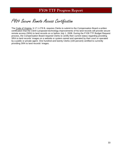# <span id="page-35-0"></span>FY09 Secure Remote Access Certification

The Code of Virginia, § 17.1-279 B, requires Clerks to submit to the Compensation Board a written certification that the Clerk's proposed technology improvements of his land records will provide secure remote access (SRA) to land records on or before July 1, 2008. During the FY09 TTF Budget Request process, the Compensation Board required Clerks to certify their current status regarding providing SRA to land records' images on a website or system owned and operated by their court or operated by a public or private agent. One hundred and twenty Clerks (100 percent) certified to currently providing SRA to land records' images.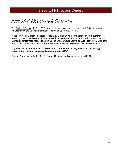# FY09 VITA SRA Standards Certification

The Code of Virginia, § 17.1-279 D, requires Clerks to certify compliance with SRA standards established by the Virginia Information Technologies Agency (VITA).

In the FY09 TTF Budget Request process, 120 Clerks (100 percent) that certified to currently providing SRA to land records further certified their compliance with the VITA document, "Security Standards for Remote Access to Court Documents on Court-Controlled Websites" (ITRM Standard SEC503-02), effective March 28, 2005, and any subsequent revisions. They also certified that:

### *"My website or remote access system is in compliance and any proposed technology improvement to land records will accommodate SRA."*

See the Appendix for the FY09 TTF Budget Request certification screens in COIN.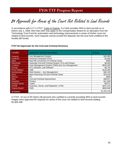# \$4 Approvals for Areas of the Court Not Related to Land Records

In accordance with § 17.1-279 F, Code of Virginia, if a Clerk provides SRA to land records on or before July 1, 2008, then that clerk may apply to the Compensation Board for an allocation from the Technology Trust Fund for automation and technology improvements in areas of his/her court not related to land records. Such requests cannot exceed the deposits into the trust fund credited to the locality (\$4 funds).

### **FY07 \$4 Approvals for the Civil and Criminal Divisions**

| Locality              | <b>Equipment / Services Description</b>              | Amount      |
|-----------------------|------------------------------------------------------|-------------|
| Fauguier              | Jury Management System                               | \$15,000    |
| <b>Frederick</b>      | Personal Computers (PCs)                             | \$1,600     |
| Giles                 | <b>Back-file Conversion of Criminal Cases</b>        | \$360       |
| Gloucester            | Automate Civil and Criminal System, PCs and Printers | \$6,500     |
| Loudoun               | Case Management System (CMS) and Jury Management     | \$625,000   |
| Orange                | PCs, Monitors, and Software                          | \$6,703     |
| <b>Prince William</b> | CMS                                                  | \$125,000   |
| Spotsylvania          | Web Solution - Jury Management                       | \$40,100    |
| Surry                 | <b>Back Scanning Civil and Criminal Cases</b>        | \$19,433    |
| Warren                | PC.                                                  | \$500       |
| <b>Wise</b>           | Civil and Criminal Improvement                       | \$36,871    |
| <b>Hampton</b>        | <b>Printers</b>                                      | \$11,590    |
| <b>Newport News</b>   | Copier                                               | \$9,571     |
| <b>Norfolk</b>        | Scanners, Server, and Redaction / e-File             | \$207,210   |
| Virginia Beach        | <b>CMS</b>                                           | \$500,000   |
| <b>15 Clerks</b>      |                                                      | \$1,605,438 |

In FY07, 15 out of 39 Clerks (38 percent) who certified to currently providing SRA to land records' images were approved \$4 requests for areas of the court not related to land records totaling \$1,605,438.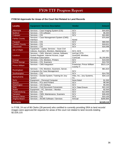## **FY08 \$4 Approvals for Areas of the Court Not Related to Land Records**

| <b>Locality</b>        | <b>Equipment / Services Description</b>                                                                                  | <b>Vendor</b>                                | <b>Amount</b> |
|------------------------|--------------------------------------------------------------------------------------------------------------------------|----------------------------------------------|---------------|
| Albemarle              | Services - Case Imaging System (CIS)                                                                                     | SCV                                          | \$44,600      |
| <b>Bedford</b>         | Services - CIS software                                                                                                  | <b>SCV</b>                                   | \$5,000       |
| Culpeper               | Services - CIS                                                                                                           | <b>SCV</b>                                   | \$24,965      |
| <b>Fairfax County</b>  | Services - Case Management System (CMS)<br>Interface                                                                     | Nortel                                       | \$75,000      |
| Fauquier               | Services - CIS                                                                                                           | <b>SCV</b>                                   | \$68,565      |
| <b>Franklin County</b> | Services - CIS                                                                                                           | <b>SCV</b>                                   | \$18,621      |
| Gloucester             | Services - CIS                                                                                                           | <b>SCV</b>                                   | \$16,596      |
| Isle of Wight          | Equipment - Laptop; Services - Scan Civil<br>Indexes, Scanners, Monitors, Maintenance                                    | SCV; ACS                                     | \$27,757      |
| Loudoun                | Services - CMS, Warrant, License, Software,<br>System Register, Internet Access, Legal<br><b>Periodical Subscription</b> | AmCad; DTS;<br>ScanSoft; Westlaw;<br>ComCast | \$1,200,850   |
| Orange                 | Services - CIS, Monitors, Printers                                                                                       | SCV                                          | \$19,030      |
| <b>Prince George</b>   | Services - CIS, Scanners                                                                                                 | <b>SCV</b>                                   | \$10,700      |
| <b>Prince William</b>  | Services - CMS Integration                                                                                               | Praetorian; Prince William<br>County IT      | \$523,124     |
| <b>Rockingham</b>      | Services - CIS, Monitors, Scanners, Server,<br><b>Computers for Case Management</b>                                      | SCV                                          | \$61,623      |
| Southampton            | Services - CIS                                                                                                           | <b>SCV</b>                                   | \$14,750      |
| Spotsylvania           | Services - Docket System; Training for Jury<br>System                                                                    | Infax, Inc.; Jury Systems,<br>Inc.           | \$34,110      |
| <b>Surry</b>           | Equipment - Personal Computer                                                                                            | None listed                                  | \$1,500       |
| Warren                 | Services - PCs and Printers                                                                                              | SCV                                          | \$8,360       |
| Washington             | Services - CIS Interface                                                                                                 | SCV                                          | \$5,000       |
| Wise                   | Services - Civil Document Conversion                                                                                     | SCV; Data Ensure                             | \$22,245      |
| Wythe                  | Equipment - PC; Services - Monitor                                                                                       | SCV                                          | \$2,500       |
| Fredericksburg         | Services - CIS                                                                                                           | <b>SCV</b>                                   | \$13,909      |
| Hampton                | Services - CMS, Maintenance, Scanners                                                                                    | <b>SCV</b>                                   | \$39,400      |
| <b>Newport News</b>    | Services - CIS                                                                                                           | <b>SCV</b>                                   | \$10,100      |
| Virginia Beach         | Services - AICMS Software / Services                                                                                     | AmCad                                        | \$280,805     |
| 24 Clerks              |                                                                                                                          |                                              | \$2,529,110   |

In FY08, 24 out of 86 Clerks (28 percent) who certified to currently providing SRA to land records' images were approved \$4 requests for areas of the court not related to land records totaling \$2,529,110.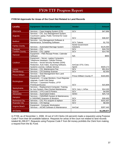## **FY09 \$4 Approvals for Areas of the Court Not Related to Land Records**

| <b>Locality</b>        | <b>Equipment / Services Description</b>                                                                                                                                                                   | <b>Vendor</b>                         | <b>Amount</b> |
|------------------------|-----------------------------------------------------------------------------------------------------------------------------------------------------------------------------------------------------------|---------------------------------------|---------------|
| Albemarle              | Services - Case Imaging System (CIS)                                                                                                                                                                      | SCV                                   | \$47,896      |
| Augusta                | Services - CIS, Jury Management System,<br>Courtroom Laptop, Public Terminal for Case<br>Management                                                                                                       | SCV                                   | \$36,507      |
| <b>Bedford</b>         | Services - Jury Management Software &<br>Maintenance, Scheduling Software                                                                                                                                 | SCV; Telexis                          | \$1,703       |
| <b>Fairfax County</b>  | Services - Automated Marriage System                                                                                                                                                                      | <b>Nortel Government</b><br>Solutions | \$125,000     |
| Fauquier               | Services - CIS                                                                                                                                                                                            | SCV                                   | \$18,703      |
| <b>Franklin County</b> | Services - CIS, Laptop                                                                                                                                                                                    | SCV                                   | \$14,765      |
| Hanover                | Equipment - FMS Receipt Printer, Calendar<br>Software                                                                                                                                                     | N/A                                   | \$900         |
| Loudoun                | Equipment - Server, Laptop Computers,<br>Telephone Headsets, Cellular Phones<br>Services - Social Security Number (SSN)<br>Redaction, Auto Index, Scanning Software,<br>Systems License, Cellular Service | AmCad; DTS; Citrix;<br>Sprint         | \$320,172     |
| Louisa                 | Services - CIS, Maintenance Fee                                                                                                                                                                           | <b>SCV</b>                            | \$51,914      |
| Mecklenburg            | Services - CIS Desktop Scanner                                                                                                                                                                            | <b>SCV</b>                            | \$2,550       |
| <b>Prince William</b>  | Services - Seat Management Non Land<br>Records for FY08                                                                                                                                                   | Prince William County IT              | \$183,893     |
| Rockingham             | Equipment - 3 Large Monitors, Court Reporter<br>Upgrade, Credit Card Setup<br>Services - Casework Printers, LPTP<br>Print/Scan/Access                                                                     | SCV                                   | \$15,809      |
| Spotsylvania           | Services - Replacement Computer; Training<br>for Jury System; Elect Docket Maintenance                                                                                                                    | SCV; Jury +; InFax                    | \$14,100      |
| Warren                 | Services - 3 PCs and 5 Printers                                                                                                                                                                           | SCV                                   | \$4,000       |
| Alexandria             | Services - Automated Orders                                                                                                                                                                               | <b>SDSC</b>                           | \$25,718      |
| Hampton                | Services - CMS/RMS System & Maintenance,<br>8 CMS/RMS Scanners & Monitors                                                                                                                                 | SCV                                   | \$39,400      |
| <b>Richmond City</b>   | Services - CIS, PCs acquire & replace                                                                                                                                                                     | <b>SCV</b>                            | \$101,507     |
| <b>Roanoke City</b>    | Services - CIS Startup                                                                                                                                                                                    | <b>SCV</b>                            | \$8,000       |
| Virginia Beach         | Equipment - Computer Workstation<br>Services - AICMS Software & Maintenance                                                                                                                               | AmCad                                 | \$287,440     |
| <b>19 Clerks</b>       |                                                                                                                                                                                                           |                                       | \$1,299,977   |

In FY09, as of November 1, 2008, 19 out of 120 Clerks (16 percent) made a request(s) using Purpose Code F from their \$4 available balance. Requests for areas of the court not related to land records totaled \$1,299,977. Requests using Purpose Code F from \$4 money prohibits the Clerk from making a request from the \$1 Fund.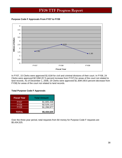## **Purpose Code F Approvals From FY07 to FY09**



In FY07, 15 Clerks were approved \$1.61M for civil and criminal divisions of their court. In FY08, 24 Clerks were approved \$2.53M (57.5 percent increase from FY07) for areas of the court not related to land records. As of December 1, 2008, 19 Clerks were approved \$1.30M (48.6 percent decrease from FY08) for areas of the court not related to land records.

### **Total Purpose Code F Approvals**

| <b>Fiscal Year</b> | <b>Total Amount</b> |
|--------------------|---------------------|
| FY07               | \$1,605,438         |
| <b>FY08</b>        | \$2,529,110         |
| <b>FY09</b>        | \$1,299,977         |
| <b>TOTAL</b>       | \$5,434,525         |

Over the three-year period, total requests from \$4 money for Purpose Code F requests are \$5,434,525.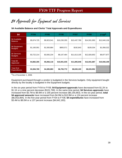\$4 Approvals for Equipment and Services

**\$4 Available Balance and Clerks' Total Approvals and Expenditures** 

| \$4                             | <b>FY04</b> | <b>FY05</b> | <b>FY06</b>  | <b>FY07</b>  | <b>FY08</b>  | $FY09*$      |
|---------------------------------|-------------|-------------|--------------|--------------|--------------|--------------|
| \$4 Available<br><b>Balance</b> | \$5,674,725 | \$9,923,541 | \$10,230,355 | \$13,437,799 | \$14,501,993 | \$12,640,136 |
| \$4 Equipment<br><b>Budgets</b> | \$1,160,091 | \$1,500,884 | \$893,571    | \$192,843    | \$105,034    | \$1,058,322  |
| \$4 Services<br><b>Budgets</b>  | \$3,722,214 | \$3,565,234 | \$9,107,464  | \$11,613,105 | \$12,826,853 | \$9,877,877  |
| Total \$4<br>Approved           | \$4,882,305 | \$5,066,118 | \$10,001,035 | \$11,805,948 | \$12,931,887 | \$10,936,199 |
| Year-End<br><b>Expenditures</b> | \$3,384,769 | \$4,385,883 | \$6,755,772  | \$8,630,100  | \$8,026,952  |              |

\*As of November 1, 2008.

Equipment purchased through a vendor is budgeted in the Services budgets. Only equipment bought directly by the locality is budgeted in the Equipment budgets.

In the six-year period from FY04 to FY09, **\$4 Equipment approvals** have decreased from \$1.2K to \$1.1K or a nine percent decrease (\$101,769). In the same time period, **\$4 Services approvals** have increased from \$3.7M to \$9.9M or a 165 percent increase (\$6,155,663). In the six-year period, **total \$4 approved amounts** have increased from \$4.9M to \$10.9M or a 124 percent increase (\$6,053,894). In the five-year period from FY04 to FY08, **\$4 expenditures** have increased from \$3.4M to \$8.0M or a 137 percent increase (\$4,642,183).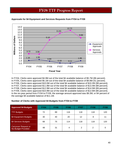

## **Approvals for \$4 Equipment and Services Requests from FY04 to FY09**

In FY04, Clerks were approved \$4.9M out of the total \$4 available balance of \$5.7M (86 percent). In FY05, Clerks were approved \$5.1M out of the total \$4 available balance of \$9.9M (51 percent). In FY06, Clerks were approved \$10.0M out of the total \$4 available balance of \$10.2M (98 percent). In FY07, Clerks were approved \$11.8M out of the total \$4 available balance of \$13.4M (88 percent). In FY08, Clerks were approved \$12.9M out of the total \$4 available balance of \$14.5M (89 percent). In FY09, Clerks were approved \$10.9M out of the total \$4 available balance of \$12.6M (86 percent). In the six-year period from FY04 to FY09, the average amount approved was \$9.3M, or 84 percent of the average \$4 available balance of \$11.1M.

### **Number of Clerks with Approved \$4 Budgets from FY04 to FY09**

| <b>Approved \$4 Budgets</b>                       | <b>FY04</b> | <b>FY05</b> | <b>FY06</b> | <b>FY07</b> | <b>FY08</b> | <b>FY09</b> |
|---------------------------------------------------|-------------|-------------|-------------|-------------|-------------|-------------|
| <b>TTF Budgets</b>                                | 72          | 89          | 116         | 118         | 118         | 120         |
| \$4 Equipment Budgets                             | 30          | 40          | 20          | 12          | 8           |             |
| \$4 Services Budgets                              | 68          | 75          | 114         | 118         | 118         | 120         |
| <b>Carryover Request or</b><br>No Budget Provided | 48          | 31          | 4           | 2           | 2           | 0           |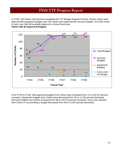In FY09, 120 Clerks (100 percent) completed the TTF Budget Request Process. Eleven Clerks were approved \$4 equipment budgets and 120 Clerks were approved \$4 services budgets. No Clerk chose to carry over their \$4 available balance to a future fiscal year.

**Clerks with \$4 Approved Budgets** 



From FY04 to FY09, total approved budgets from Clerks have increased from 72 to 120 (67 percent increase). Equipment budgets from Clerks have decreased from 30 to 11 (63 percent decrease). Services budgets from Clerks increased from 68 to 120 (76 percent increase). Carry over requests from Clerks or not providing a budget decreased from 48 to 0 (100 percent decrease).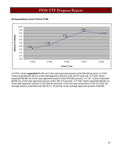### **\$4 Expenditures from FY04 to FY08**



In FY04, Clerks **expended** \$3.4M out of the total approved amount of \$4.9M (69 percent). In FY05, Clerks expended \$4.4M out of the total approved amount of \$5.1M (87 percent). In FY06, Clerks expended \$6.8M out of the total approved amount of \$10.0M (68 percent). In FY07, Clerks expended \$8.6M out of the total approved amount of \$11.8M (73 percent). In FY08, Clerks expended \$8.0M out of the total approved amount of \$12.9M (62 percent). In the five-year period from FY04 to FY08, the average amount expended was \$6.2M, or 70 percent of the average approved amount of \$8.9M.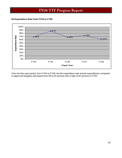**\$4 Expenditure Rate from FY04 to FY08** 



Over the five-year period, from FY04 to FY08, the \$4 expenditure rate (actual expenditures compared to approved budgets) decreased from 69 to 62 percent with a high of 87 percent in FY05.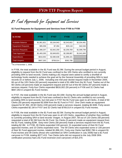\$1 Fund Approvals for Equipment and Services

**\$1 Fund Requests for Equipment and Services from FY06 to FY09** 

| \$1 FUND                  | <b>FY06</b> | <b>FY07</b> | <b>FY08</b> | <b>FY09*</b> |
|---------------------------|-------------|-------------|-------------|--------------|
| <b>Available Balance</b>  | \$1,961,821 | \$3,164,943 | \$2,543,602 | \$2,034,481  |
| <b>Equipment Requests</b> | \$95,058    | \$7,394     | \$29,118    | \$42,046     |
| <b>Services Requests</b>  | \$1,388,207 | \$2,842,259 | \$2,259,769 | \$1,599,799  |
| <b>Total Approved</b>     | \$1,483,265 | \$2,849,653 | \$2,288,887 | \$1,641,845  |
| <b>Expenditures</b>       | \$816,002   | \$2,080,638 | \$1,896,101 |              |
| <b>Total Unspent</b>      | \$667,263   | \$769,014   | \$392,786   |              |

\*As of November 1, 2008.

In FY06, the total available in the \$1 Fund was \$1.9M. During the annual budget period in August, eligibility to request from the \$1 Fund was confined to the 105 Clerks who certified to not currently providing SRA to land records. Clerks making a \$1 request were asked to certify a shortfall of technology funds needed to achieve the goal set by the General Assembly of providing SRA to land records on or before July 1, 2006. Including one mid-year docket request made in November 2005, 66 out of the 105 Clerks (63 percent) requested a total of \$1.48M from the \$1 Fund. Twelve out of the 66 Clerks (18 percent) made an equipment request and 64 out of the 66 Clerks (97 percent) made a services request. Forty-four Clerks expended \$816,002 (55 percent) in FY06 and 31 Clerks had \$667,263 in unspent \$1 Fund monies.

In FY07, the total available in the \$1 Fund was \$3.16M. During the annual budget period in August, eligibility to request from the \$1 Fund was confined to the 61 Clerks who certified to not currently providing SRA to land records, but mid-year in FY07 the \$1 Fund was open to all Clerks. A total of 60 Clerks (50 percent) requested \$2.85M from the \$1 Fund in FY07. One Clerk made an equipment request for \$7,394. All 60 Clerks (100 percent) made a services request, totaling \$2.84M. Forty-seven Clerks expended \$2.1M in FY07 and 32 Clerks had \$769,014 in unspent \$1 Fund monies.

In FY08, the total available in the \$1 Fund was \$2.5M. During the annual budget period in August, eligibility to request from the \$1 Fund was open to all 120 Clerks, regardless of whether they certified to currently providing SRA to land records' images. In August 2007, 69 out of 120 Clerks (58 percent) requested a total of \$2.3M from the \$1 Fund. Six Clerks (5 percent) made an equipment request from the \$1 Fund, totaling \$29K. Sixty-nine Clerks (58 percent) made a services request from the \$1 Fund, totaling \$2.3M. In FY08, 28 Clerks expended 100 percent; 31 expended some of their \$1 Fund approved monies; and 10 Clerks expended none. The 59 Clerks who expended some or 100 percent of their \$1 Fund approved monies, totaled \$1,896,101. Forty-one Clerks had \$392,786 in unspent \$1 Fund monies and 39 Clerks (those who submitted an SRA Certification in July 2008) had a \$1 Fund carryover to FY09, totaling \$377,415. Two Clerks (who did not respond to the July 2008 SRA certification process) had a \$1 Fund reversion (non-carryover) of \$15,370.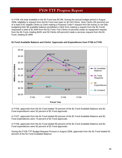In FY09, the total available in the \$1 Fund was \$2.0M. During the annual budget period in August 2008, eligibility to request from the \$1 Fund was open to all 120 Clerks. Sixty Clerks (50 percent) out of a total of 81 eligible Clerks (a Clerk making a Purpose Code F request from \$4 money or not fully budgeting their \$4 available balance prohibited a Clerk from making a request from the \$1 Fund) requested a total of \$1.64M from the \$1 Fund. Five Clerks (4 percent) made an equipment request from the \$1 Fund, totaling \$42K and 59 Clerks (49 percent) made a services request from the \$1 Fund, totaling \$1.60M.



## **\$1 Fund Available Balance and Clerks' Approvals and Expenditures from FY06 to FY09**

In FY06, approvals from the \$1 Fund totaled 76 percent of the \$1 Fund Available Balance and \$1 Fund expenditures were 55 percent of \$1 Fund approvals.

In FY07, approvals from the \$1 Fund totaled 90 percent of the \$1 Fund Available Balance and \$1 Fund expenditures were 73 percent of \$1 Fund approvals.

In FY08, approvals from the \$1 Fund totaled 90 percent of the \$1 Fund Available Balance and \$1 Fund expenditures were 83 percent of \$1 Fund approvals.

During the FY09 TTF Budget Request Process in August 2008, approvals from the \$1 Fund totaled 81 percent of the \$1 Fund Available Balance.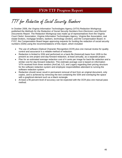# TTF for Redaction of Social Security Numbers

In October 2006, the Virginia Information Technologies Agency (VITA) Redaction Workgroup published the *Methods for the Redaction of Social Security Numbers from Electronic Land Record Documents Report*. The Redaction Workgroup was made up of representatives from the Virginia Court Clerks' Association, Virginia Information Technologies Agency, Virginia Bar Association, real estate brokers, mortgage lenders, bankers, technology vendors, and the Compensation Board. In FY07, the Compensation Board began approving requests for funding the redaction of social security numbers (SSN) using the recommendations of this report, which included:

- The use of software (Optical Character Recognition-OCR) plus one manual review for quality control and assurance is a reliable method of redaction.
- Redaction is limited to SSN and performed on a back-file (historical) basis from 1935 to the present as one project and day-forward redaction, at least annually, as a separate project.
- Plan for an estimated average redaction cost of 4 cents per image for back-file redaction and a similar cost for day-forward redaction. This estimate average cost is based on information VITA received from three vendors (AmCad, ILS, and Logan) regarding their pricing structure for the software redaction system and employee responsibilities attendant to running the software redaction system.
- Redaction should never result in permanent removal of text from an original document, only copies, and is achieved by removing the text containing the SSN and overlaying the space with a graphical element such as a black rectangle.
- At least a 95 percent level of accuracy can be expected with the OCR plus one manual pass method.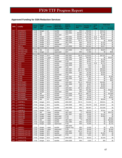## **Approved Funding for SSN Redaction Services**

|             |                                    | <b>Fiscal</b>              | <b>Budget</b>        |               | <b>Historical</b>            | <b>DEEDS</b>           | Accuracy         | Number of         | <b>Cents</b>                     |            | <b>Total Cost</b> |
|-------------|------------------------------------|----------------------------|----------------------|---------------|------------------------------|------------------------|------------------|-------------------|----------------------------------|------------|-------------------|
| <b>FIPS</b> | Locality                           | Year                       | / Mid-<br>Year       | <b>Vendor</b> | (Back file) /<br>Day-Forward | Span of<br>Years       | Rate             | Images            | per<br>Image                     | \$4        | \$1 Fund          |
| 001         | <b>ACCOMACK</b>                    | <b>FY08</b>                | <b>Budget</b>        | <b>ILS</b>    | backfile                     | 1984-2007              | 99%              | 638,050           | 3                                | \$19,142   | \$0               |
| 003         | <b>ALBEMARLE</b>                   | <b>FY08</b>                | Mid                  | Cott          | backfile                     | 1959-2002              | 95-99%           | 1,193,255         | 4                                | \$47,730   | \$0               |
| 003         | <b>ALBEMARLE</b>                   | <b>FY08</b>                | Mid                  | Cott          | dayforward                   | ????                   | 95-99%           | 187,000           | $\overline{4}$                   | \$7,480    | \$0               |
| 003         | <b>ALBEMARLE</b>                   | <b>FY09</b>                | <b>Budget</b>        | Cott          | backfile                     | 1959-2002              | 95-99%           | 1,193,255         | 3.25                             | \$38,781   | \$0               |
| 003         | <b>ALBEMARLE</b>                   | <b>FY09</b>                | <b>Budget</b>        | Cott          | dayforward                   | 2008-2009              | 95-99%           | 187,000           | 3.25                             | \$6,078    | \$0               |
| 005         | <b>ALLEGHANY</b>                   | <b>FY08</b>                | <b>Budget</b>        | SCV           | backfile                     | 1980-2007              | 95+%             | 322,163           | $\overline{4}$                   | \$0        | \$12,887          |
| 005         | <b>ALLEGHANY</b>                   | <b>FY09</b>                | <b>Budget</b>        | SCV           | backfile                     | 1967-2008              | 98%              | 29,079            | $\overline{4}$                   | \$1,163    | \$0               |
| 005         | <b>ALLEGHANY</b>                   | <b>FY09</b>                | <b>Budget</b>        | SCV           | dayforward                   | <b>FY09</b>            | 98%              | 44,742            | $\overline{4}$                   | \$1,790    | \$0               |
| 007         | <b>AMELIA</b>                      | <b>FY09</b>                | <b>Budget</b>        | <b>ILS</b>    | backfile                     | 1978-2008              | 99%              | 232,561           | 3                                | \$6,977    | \$0               |
| 009         | <b>AMHERST</b>                     |                            |                      |               |                              |                        |                  |                   |                                  |            |                   |
| 011         | <b>APPOMATTOX</b>                  | <b>FY07</b>                | Mid                  | <b>ILS</b>    | backfile                     | 1973-2006              | ??               | 229,307           | 3                                | \$6,879    | \$0               |
| 011         | <b>APPOMATTOX</b>                  | <b>FY08</b>                | <b>Budget</b>        | <b>ILS</b>    | dayforward                   | 2007                   | 99%              | 17,850            | 3                                | \$0        | \$536             |
| 013         | <b>ARLINGTON</b>                   |                            |                      |               |                              |                        |                  |                   |                                  |            |                   |
| 015         | <b>AUGUSTA</b>                     | <b>FY08</b>                | <b>Budget</b>        | SCV           | backfile                     | 1992-2007              | $95 + \%$        | 1,179,022         | 4                                | \$47,161   | \$0               |
| 015         | <b>AUGUSTA</b>                     | <b>FY08</b>                | <b>Budget</b>        | Logan         | backfile                     | 1935-1991              | 99%              | 599,400           | $\overline{4}$                   | \$0        | \$23,976          |
| 015         | <b>AUGUSTA</b>                     | <b>FY09</b>                | <b>Budget</b>        | SCV           | backfile                     | 1992-2008              | 98%              | 44,893            | 4                                | \$1,796    | \$0               |
| 015         | <b>AUGUSTA</b>                     | <b>FY09</b>                | <b>Budget</b>        | SCV           | dayforward                   | <b>FY09</b>            | 98%              | 90,921            | $\overline{4}$                   | \$3,637    | \$0               |
| 017         | <b>BATH</b>                        | <b>FY09</b>                | <b>Budget</b>        | SCV           | backfile                     | 2000-2008              | 98%              | 51,418            | 3.35                             | \$1,723    | \$0               |
| 017         | <b>BATH</b>                        | <b>FY09</b>                | <b>Budget</b>        | SCV           | backfile                     | 2000-2008              | 98%              | 3,329             | 4                                | \$134      | \$0               |
| 017         | <b>BATH</b>                        | <b>FY09</b>                | <b>Budget</b>        | SCV           | dayforward                   | <b>FY09</b>            | 98%              | 7,402             | $\overline{4}$                   | \$296      | \$0               |
| 019         | <b>BEDFORD</b>                     | <b>FY08</b>                | <b>Budget</b>        | SCV           | backfile                     | 1993-2007              | $95 + \%$        | 1,515,659         | $\overline{4}$                   | \$60,626   | \$0               |
| 019         | <b>BEDFORD</b>                     | <b>FY09</b>                | <b>Budget</b>        | SCV           | backfile                     | 1993-2007              | $95 + \%$        | 273,225           | $\overline{4}$                   | \$10,929   | \$0               |
| 019         | <b>BEDFORD</b>                     | <b>FY09</b>                | <b>Budget</b>        | SCV           | backfile                     | 1993-2008              | 98%              | 62,495            | $\overline{4}$                   | \$2,500    | \$0               |
| 019         | <b>BEDFORD</b>                     | <b>FY09</b>                | <b>Budget</b>        | SCV           | dayforward                   | <b>FY09</b>            | 98%              | 126,338           | $\overline{4}$                   | \$5,053    | \$0               |
| 021         | <b>BLAND</b>                       | <b>FY08</b>                | <b>Budget</b>        | SCV           | backfile                     | 2000-2007              | $95 + \%$        | 47,482            | $\overline{4}$                   | \$0        | \$1,900           |
| 021         | <b>BLAND</b>                       | <b>FY09</b>                | <b>Budget</b>        | SCV           | backfile                     | 1984-2008              | 98%              | 3,802             | $\overline{4}$                   | \$0        | \$152             |
| 021         | <b>BLAND</b>                       | <b>FY09</b>                | <b>Budget</b>        | SCV           | dayforward                   | <b>FY09</b>            | 98%              | 8,379             | $\overline{4}$                   | \$0        | \$335             |
| 023         | <b>BOTETOURT</b>                   | <b>FY08</b>                | <b>Budget</b>        | SCV           | backfile                     | 2000-2007              | $95 + \%$        | 409,520           | 4                                | \$16,381   | \$0               |
| 023         | <b>BOTETOURT</b>                   | <b>FY09</b>                | <b>Budget</b>        | SCV           | backfile                     | 1991-2008              | 98%              | 34,837            | 4                                | \$1,394    | \$0               |
| 023         | <b>BOTETOURT</b>                   | <b>FY09</b>                | <b>Budget</b>        | SCV           | dayforward                   | <b>FY09</b>            | 98%              | 66,473            | $\overline{4}$                   | \$2,659    | \$0               |
| 025         | <b>BRUNSWICK</b>                   | <b>FY08</b>                | <b>Budget</b>        | SCV           | backfile                     | 1945-2007              | $95 + \%$        | 363,627           | $\overline{4}$                   | \$14,545   | \$0               |
| 025         | <b>BRUNSWICK</b>                   | <b>FY09</b>                | <b>Budget</b>        | SCV           | backfile                     | 1945-2008              | 98%              | 401,365           | $\overline{4}$                   | \$0        | \$16,055          |
| 025         | <b>BRUNSWICK</b>                   | <b>FY09</b>                | <b>Budget</b>        | SCV           | dayforward                   | 2009                   | 98%              | 18,808            | $\overline{4}$<br>$\overline{4}$ | \$0        | \$752             |
| 027<br>027  | <b>BUCHANAN</b><br><b>BUCHANAN</b> | <b>FY08</b><br><b>FY09</b> | Mid<br><b>Budget</b> | SCV<br>SCV    | backfile<br>backfile         | 1976-2008<br>1976-2008 | $95 + \%$<br>98% | 366,714           | $\overline{4}$                   | \$0<br>\$0 | \$14,669<br>\$741 |
| 027         | <b>BUCHANAN</b>                    | <b>FY09</b>                |                      | SCV           |                              | <b>FY09</b>            |                  | 18,525            | $\overline{4}$                   | \$0        |                   |
| 029         | <b>BUCKINGHAM</b>                  | <b>FY07</b>                | <b>Budget</b><br>Mid | <b>ILS</b>    | dayforward<br>backfile       | 1973-2007              | 98%<br>99%       | 50,790<br>218,000 | 3                                | \$6,540    | \$2,032<br>\$0    |
| 031         | <b>CAMPBELL</b>                    | <b>FY08</b>                | <b>Budget</b>        | SCV           | backfile                     | 1994-2007              | $95 + \%$        | 713,024           | 4                                | \$28,521   | \$0               |
| 031         | <b>CAMPBELL</b>                    | <b>FY09</b>                | <b>Budget</b>        | SCV           | backfile                     | 1994-2008              | 98%              | 704,078           | 3.35                             | \$23,587   | \$0               |
| 031         | <b>CAMPBELL</b>                    | <b>FY09</b>                | <b>Budget</b>        | SCV           | backfile                     | 1994-2008              | 98%              | 356,997           | 4                                | \$14.280   | \$0               |
| 031         | <b>CAMPBELL</b>                    | <b>FY09</b>                | <b>Budget</b>        | SCV           | dayforward                   | <b>FY09</b>            | 98%              | 63,515            | 4                                | \$2,541    | \$0               |
| 033         | <b>CAROLINE</b>                    | <b>FY07</b>                | Mid                  | Logan         | backfile                     | 1967-2007              | 22               | 668,000           | 4                                | \$0        | \$26.720          |
| 033         | <b>CAROLINE</b>                    | <b>FY08</b>                | <b>Budget</b>        | Logan         | backfile                     | 1987-2007              | 99%              | 28,500            | 4                                | \$1,140    | \$0               |
| 033         | <b>CAROLINE</b>                    | <b>FY08</b>                | <b>Budget</b>        | Logan         | dayforward                   | <b>FY08</b>            | 99%              | 74,000            | $\overline{4}$                   | \$2,960    | \$0               |
| 033         | <b>CAROLINE</b>                    | <b>FY09</b>                | <b>Budget</b>        | Logan         | dayforward                   | <b>FY09</b>            | 99%              | 73,000            | $\overline{4}$                   | \$0        | \$2,920           |
| 035         | <b>CARROLL</b>                     | <b>FY07</b>                | Mid                  | Logan         | backfile                     | 1967-2007              | ??               | 585,000           | $\overline{\mathbf{4}}$          | \$0        | \$23,400          |
| 035         | <b>CARROLL</b>                     | <b>FY08</b>                | <b>Budget</b>        | Logan         | backfile                     | 1935-1965              | 99%              | 126,500           | 4                                | \$0        | \$5,059           |
| 035         | <b>CARROLL</b>                     | FY08                       | <b>Budget</b>        | Logan         | dayforward                   | <b>FY08</b>            | 99%              | 43,000            | $\overline{4}$                   | \$0        | \$1,720           |
|             |                                    |                            |                      |               |                              | 1988-2008              |                  |                   |                                  |            |                   |
| 035         | <b>CARROLL</b>                     | <b>FY09</b>                | <b>Budget</b>        | Logan         | backfile                     | (Jdgmts only)          | 99%              | 18,400            | 4                                | \$0        | \$736             |
| 035         | <b>CARROLL</b>                     | <b>FY09</b>                | <b>Budget</b>        | Logan         | dayforward                   | <b>FY09</b>            | 99%              | 36,000            | $\overline{4}$                   | \$0        | \$1,440           |
| 036         | CHARLES CITY CO                    | <b>FY08</b>                | <b>Budget</b>        | SCV           | backfile                     | 2000-2007              | $95 + \%$        | 35,113            | 4                                | \$0        | \$1,405           |
| 036         | <b>CHARLES CITY CO</b>             | <b>FY09</b>                | <b>Budget</b>        | SCV           | backfile                     | 2000-2008              | 98%              | 31,339            | $\overline{4}$                   | \$1,254    | \$0               |
| 036         | CHARLES CITY CO                    | <b>FY09</b>                | <b>Budget</b>        | SCV           | dayforward                   | <b>FY09</b>            | 98%              | 9,331             | 4                                | \$373      | \$0               |
| 037         | <b>CHARLOTTE</b>                   | <b>FY08</b>                | <b>Budget</b>        | SCV           | backfile                     | 2004-2007              | $95 + \%$        | 38,615            | 4                                | \$1,545    | \$0               |
| 037         | <b>CHARLOTTE</b>                   | <b>FY09</b>                | <b>Budget</b>        | SCV           | backfile                     | 2004-2008              | 98%              | 6,624             | $\overline{4}$                   | \$59       | \$0               |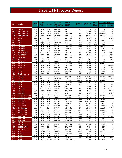| Fiscal<br><b>Number of</b><br><b>Accuracy</b><br><b>FIPS</b><br>/ Mid-<br><b>Vendor</b><br>(Back file) /<br><b>Locality</b><br>Span of<br>per<br>Year<br>Rate<br><b>Images</b><br>\$4<br>Year<br>Day-Forward<br>Years<br>Image<br>SCV<br><b>FY09</b><br><b>CHARLOTTE</b><br><b>FY09</b><br><b>Budget</b><br>98%<br>\$0<br>037<br>dayforward<br>16,756<br>4<br><b>FY08</b><br><b>FY08</b><br>99%<br>317.000<br>\$7,608<br>041<br><b>CHESTERFIELD</b><br>dayforward<br>2.4<br><b>Budget</b><br>Logan<br>041<br><b>CHESTERFIELD</b><br><b>FY08</b><br>backfile<br>1935-2007<br>99%<br>8,936,050<br>$\overline{4}$<br>\$346,538<br><b>Budget</b><br>Logan<br>041<br><b>CHESTERFIELD</b><br><b>FY09</b><br><b>FY09</b><br>99%<br>563,000<br>3.5<br>dayforward<br>\$19,705<br><b>Budget</b><br>Logan<br>043<br><b>CLARKE</b><br><b>FY08</b><br>1935-2008<br>99%<br>391,000<br><b>Budget</b><br>backfile<br>4<br>\$0<br>Logan<br>045<br><b>CRAIG</b><br><b>FY08</b><br>SCV<br>backfile<br>$\overline{4}$<br>\$0<br>Mid<br>2005-2008<br>$95 + \%$<br>49,636<br><b>FY09</b><br>SCV<br>$\overline{4}$<br>045<br><b>CRAIG</b><br>backfile<br>98%<br>73,572<br>\$2,943<br><b>Budget</b><br>1984-2008<br><b>CRAIG</b><br><b>FY09</b><br>SCV<br>\$536<br>045<br><b>Budget</b><br>dayforward<br><b>FY09</b><br>98%<br>13.401<br>4<br>045<br><b>CRAIG</b><br><b>FY09</b><br>SCV<br>backfile<br>1984-2008<br>98%<br>98,664<br>3.35<br>\$3.305<br><b>Budget</b><br>SCV<br>047<br><b>CULPEPER</b><br><b>FY08</b><br>backfile<br>$95 + \%$<br>628,864<br>$\overline{4}$<br>\$25,155<br><b>Budget</b><br>1996-2007<br><b>CULPEPER</b><br><b>FY09</b><br>SCV<br>98%<br>047<br><b>Budget</b><br>backfile<br>1996-2008<br>35,461<br>4<br>\$1,419<br>SCV<br>047<br><b>CULPEPER</b><br><b>FY09</b><br><b>FY09</b><br>98%<br>75,848<br>$\overline{4}$<br>\$3,034<br><b>Budget</b><br>dayforward<br>049<br><b>CUMBERLAND</b><br><b>FY07</b><br><b>ILS</b><br>99%<br>116,920<br>3<br>\$0<br>Mid<br>backfile<br>1993-2006<br><b>ILS</b><br><b>CUMBERLAND</b><br>2007<br>99%<br>13,900<br>3<br>\$0<br>049<br><b>FY08</b><br><b>Budget</b><br>dayforward<br>051<br><b>FY08</b><br>SCV<br>backfile<br>2000-2007<br>$95 + \%$<br>102,615<br>$\overline{4}$<br>\$320<br><b>DICKENSON</b><br><b>Budget</b><br>SCV<br>\$0<br>051<br><b>DICKENSON</b><br><b>FY09</b><br>backfile<br>98%<br>8,134<br>$\overline{4}$<br>2000-2008<br><b>Budget</b><br><b>DICKENSON</b><br><b>FY09</b><br>SCV<br><b>FY09</b><br>98%<br>17,934<br>$\overline{4}$<br>\$0<br>051<br><b>Budget</b><br>dayforward<br><b>FY08</b><br>SCV<br>backfile<br>24,963<br>$\overline{4}$<br>\$999<br>053<br><b>DINWIDDIE</b><br>2006-2007<br>$95 + \%$<br><b>Budget</b><br><b>FY08</b><br>SCV<br>$\overline{4}$<br>\$19,437<br><b>DINWIDDIE</b><br>Mid<br>backfile<br>$95 + \%$<br>485,959<br>053<br>1975-2006<br><b>FY09</b><br>SCV<br>backfile<br>054<br><b>DINWIDDIE</b><br><b>Budget</b><br>1989-2008<br>98%<br>625,000<br>4<br>\$0<br>053<br><b>DINWIDDIE</b><br><b>FY09</b><br>SCV<br><b>FY09</b><br>98%<br>39,800<br>$\overline{4}$<br>\$0<br><b>Budget</b><br>dayforward<br><b>FY08</b><br>SCV<br>057<br><b>ESSEX</b><br>backfile<br>$95 + \%$<br>32,574<br>$\overline{4}$<br>\$1,303<br><b>Budget</b><br>2006-2007<br><b>ESSEX</b><br><b>FY09</b><br>SCV<br>98%<br>\$388<br>057<br>backfile<br>2006-2008<br>9,706<br>4<br><b>Budget</b><br>SCV<br><b>ESSEX</b><br><b>FY09</b><br><b>FY09</b><br>98%<br>27,547<br>4<br>\$1.102<br>057<br><b>Budget</b><br>dayforward<br>059<br><b>FAIRFAX COUNTY</b><br><b>FY08</b><br>Mid<br>Cott<br>backfile<br>95-99%<br>3.25<br>\$15,033<br>061<br><b>FAUQUIER</b><br>1976-2007<br>1,771,737<br>????<br><b>FAUQUIER</b><br><b>FY08</b><br>Mid<br>Cott<br>95-99%<br>155,000<br>3.25<br>\$0<br>061<br>dayforward<br><b>FUAQUIER</b><br><b>FY09</b><br>Cott<br>backfile<br>1976-2007<br>563,256<br>3.25<br>\$10,306<br>061<br>95-99%<br><b>Budget</b><br><b>FLOYD</b><br><b>FY08</b><br>SCV<br>279,592<br>063<br><b>Budget</b><br>backfile<br>1983-2007<br>$95 + \%$<br>4<br>\$11,184<br><b>FLOYD</b><br><b>FY09</b><br>SCV<br>backfile<br>98%<br>$\overline{4}$<br>\$0<br>063<br><b>Budget</b><br>1980-2008<br>16,729<br><b>FLOYD</b><br><b>FY09</b><br>SCV<br>$\overline{4}$<br><b>FY09</b><br>98%<br>34,838<br>\$0<br>063<br><b>Budget</b><br>dayforward<br><b>FLUVANNA</b><br><b>FY07</b><br>backfile<br>\$0<br>065<br>Mid<br>1967-2007<br>99%<br>605,000<br>4<br>Logan<br><b>FY08</b><br>backfile<br>1935-1966<br>99%<br>43,750<br>$\overline{4}$<br>\$0<br>065<br><b>FLUVANNA</b><br><b>Budget</b><br>Logan<br>065<br><b>FLUVANNA</b><br><b>FY08</b><br><b>FY08</b><br>59,000<br>$\overline{4}$<br>\$0<br><b>Budget</b><br>dayforward<br>99%<br>Logan<br><b>FY09</b><br><b>FY09</b><br>99%<br>46,000<br>\$0<br>065<br><b>FLUVANNA</b><br>dayforward<br>4<br><b>Budget</b><br>Logan<br><b>FRANKLIN COUNTY</b><br><b>FY08</b><br>SCV<br>backfile<br>1993-2007<br>$95 + \%$<br>382,167<br>$\overline{4}$<br>\$15,287<br>067<br><b>Budget</b><br><b>FRANKLIN COUNTY</b><br><b>FY09</b><br>SCV<br>98%<br>$\overline{4}$<br>\$1,768<br>067<br>backfile<br>1993-2008<br>44,198<br><b>Budget</b><br><b>FY09</b><br>SCV<br><b>FY09</b><br>98%<br>\$3,905<br>067<br><b>FRANKLIN COUNTY</b><br>dayforward<br>97,613<br>4<br><b>Budget</b><br><b>FREDERICK</b><br><b>FY08</b><br>SCV<br>backfile<br>1983-2007<br>$95 + \%$<br>2,236,775<br>4<br>069<br><b>Budget</b><br>\$89,471<br>SCV<br>069<br><b>FREDERICK</b><br><b>FY09</b><br>backfile<br>98%<br>126,987<br>$\overline{4}$<br>1983-2008<br>\$5,079<br><b>Budget</b><br>069<br><b>FREDERICK</b><br><b>FY09</b><br>SCV<br><b>FY09</b><br>98%<br>$\overline{4}$<br><b>Budget</b><br>dayforward<br>165,787<br>\$6,632<br><b>FY07</b><br><b>ILS</b><br>backfile<br>99%<br>3<br>\$0<br>071<br><b>GILES</b><br>Mid<br>1977-2006<br>253.194<br><b>GLOUCESTER</b><br><b>FY08</b><br>SCV<br>$\overline{4}$<br>$95 + \%$<br>\$27,879<br>073<br><b>Budget</b><br>backfile<br>1994-2007<br>696,964<br>075<br><b>GOOCHLAND</b><br>FY08<br><b>Budget</b><br>SCV<br>backfile<br>2001-2007<br>$95 + \%$<br>267,557<br>4<br>\$10,702<br><b>GOOCHLAND</b><br><b>FY09</b><br>SCV<br>backfile<br>1994-2008<br>98%<br>17,591<br>$\overline{4}$<br>\$704<br>075<br><b>Budget</b><br>075<br><b>GOOCHLAND</b><br><b>FY09</b><br>SCV<br><b>FY09</b><br>98%<br>38,157<br>4<br>\$1,526<br><b>Budget</b><br>dayforward<br><b>GRAYSON</b><br>SCV<br>1984-2007<br>287,439<br>\$0<br>077<br><b>FY08</b><br><b>Budget</b><br>backfile<br>$95 + \%$<br>4 | <b>Total Cost</b>   |
|-------------------------------------------------------------------------------------------------------------------------------------------------------------------------------------------------------------------------------------------------------------------------------------------------------------------------------------------------------------------------------------------------------------------------------------------------------------------------------------------------------------------------------------------------------------------------------------------------------------------------------------------------------------------------------------------------------------------------------------------------------------------------------------------------------------------------------------------------------------------------------------------------------------------------------------------------------------------------------------------------------------------------------------------------------------------------------------------------------------------------------------------------------------------------------------------------------------------------------------------------------------------------------------------------------------------------------------------------------------------------------------------------------------------------------------------------------------------------------------------------------------------------------------------------------------------------------------------------------------------------------------------------------------------------------------------------------------------------------------------------------------------------------------------------------------------------------------------------------------------------------------------------------------------------------------------------------------------------------------------------------------------------------------------------------------------------------------------------------------------------------------------------------------------------------------------------------------------------------------------------------------------------------------------------------------------------------------------------------------------------------------------------------------------------------------------------------------------------------------------------------------------------------------------------------------------------------------------------------------------------------------------------------------------------------------------------------------------------------------------------------------------------------------------------------------------------------------------------------------------------------------------------------------------------------------------------------------------------------------------------------------------------------------------------------------------------------------------------------------------------------------------------------------------------------------------------------------------------------------------------------------------------------------------------------------------------------------------------------------------------------------------------------------------------------------------------------------------------------------------------------------------------------------------------------------------------------------------------------------------------------------------------------------------------------------------------------------------------------------------------------------------------------------------------------------------------------------------------------------------------------------------------------------------------------------------------------------------------------------------------------------------------------------------------------------------------------------------------------------------------------------------------------------------------------------------------------------------------------------------------------------------------------------------------------------------------------------------------------------------------------------------------------------------------------------------------------------------------------------------------------------------------------------------------------------------------------------------------------------------------------------------------------------------------------------------------------------------------------------------------------------------------------------------------------------------------------------------------------------------------------------------------------------------------------------------------------------------------------------------------------------------------------------------------------------------------------------------------------------------------------------------------------------------------------------------------------------------------------------------------------------------------------------------------------------------------------------------------------------------------------------------------------------------------------------------------------------------------------------------------------------------------------------------------------------------------------------------------------------------------------------------------------------------------------------------------------------------------------------------------------------------------------------------------------------------------------------------------------------------------------------------------------------------------------------------------------------------------------------------------------------------------------------------------------------------------------------------------------------------------------------------------------------------------------------------------------------------------------------------------------------------------------------------------------------------------------------------------------------------------------------------------------------------------------------------------------------------------------------------------------------------------------------------|---------------------|
|                                                                                                                                                                                                                                                                                                                                                                                                                                                                                                                                                                                                                                                                                                                                                                                                                                                                                                                                                                                                                                                                                                                                                                                                                                                                                                                                                                                                                                                                                                                                                                                                                                                                                                                                                                                                                                                                                                                                                                                                                                                                                                                                                                                                                                                                                                                                                                                                                                                                                                                                                                                                                                                                                                                                                                                                                                                                                                                                                                                                                                                                                                                                                                                                                                                                                                                                                                                                                                                                                                                                                                                                                                                                                                                                                                                                                                                                                                                                                                                                                                                                                                                                                                                                                                                                                                                                                                                                                                                                                                                                                                                                                                                                                                                                                                                                                                                                                                                                                                                                                                                                                                                                                                                                                                                                                                                                                                                                                                                                                                                                                                                                                                                                                                                                                                                                                                                                                                                                                                                                                                                                                                                                                                                                                                                                                                                                                                                                                                                                                                                                           | \$1 Fund            |
|                                                                                                                                                                                                                                                                                                                                                                                                                                                                                                                                                                                                                                                                                                                                                                                                                                                                                                                                                                                                                                                                                                                                                                                                                                                                                                                                                                                                                                                                                                                                                                                                                                                                                                                                                                                                                                                                                                                                                                                                                                                                                                                                                                                                                                                                                                                                                                                                                                                                                                                                                                                                                                                                                                                                                                                                                                                                                                                                                                                                                                                                                                                                                                                                                                                                                                                                                                                                                                                                                                                                                                                                                                                                                                                                                                                                                                                                                                                                                                                                                                                                                                                                                                                                                                                                                                                                                                                                                                                                                                                                                                                                                                                                                                                                                                                                                                                                                                                                                                                                                                                                                                                                                                                                                                                                                                                                                                                                                                                                                                                                                                                                                                                                                                                                                                                                                                                                                                                                                                                                                                                                                                                                                                                                                                                                                                                                                                                                                                                                                                                                           |                     |
|                                                                                                                                                                                                                                                                                                                                                                                                                                                                                                                                                                                                                                                                                                                                                                                                                                                                                                                                                                                                                                                                                                                                                                                                                                                                                                                                                                                                                                                                                                                                                                                                                                                                                                                                                                                                                                                                                                                                                                                                                                                                                                                                                                                                                                                                                                                                                                                                                                                                                                                                                                                                                                                                                                                                                                                                                                                                                                                                                                                                                                                                                                                                                                                                                                                                                                                                                                                                                                                                                                                                                                                                                                                                                                                                                                                                                                                                                                                                                                                                                                                                                                                                                                                                                                                                                                                                                                                                                                                                                                                                                                                                                                                                                                                                                                                                                                                                                                                                                                                                                                                                                                                                                                                                                                                                                                                                                                                                                                                                                                                                                                                                                                                                                                                                                                                                                                                                                                                                                                                                                                                                                                                                                                                                                                                                                                                                                                                                                                                                                                                                           | \$0                 |
|                                                                                                                                                                                                                                                                                                                                                                                                                                                                                                                                                                                                                                                                                                                                                                                                                                                                                                                                                                                                                                                                                                                                                                                                                                                                                                                                                                                                                                                                                                                                                                                                                                                                                                                                                                                                                                                                                                                                                                                                                                                                                                                                                                                                                                                                                                                                                                                                                                                                                                                                                                                                                                                                                                                                                                                                                                                                                                                                                                                                                                                                                                                                                                                                                                                                                                                                                                                                                                                                                                                                                                                                                                                                                                                                                                                                                                                                                                                                                                                                                                                                                                                                                                                                                                                                                                                                                                                                                                                                                                                                                                                                                                                                                                                                                                                                                                                                                                                                                                                                                                                                                                                                                                                                                                                                                                                                                                                                                                                                                                                                                                                                                                                                                                                                                                                                                                                                                                                                                                                                                                                                                                                                                                                                                                                                                                                                                                                                                                                                                                                                           | \$0                 |
|                                                                                                                                                                                                                                                                                                                                                                                                                                                                                                                                                                                                                                                                                                                                                                                                                                                                                                                                                                                                                                                                                                                                                                                                                                                                                                                                                                                                                                                                                                                                                                                                                                                                                                                                                                                                                                                                                                                                                                                                                                                                                                                                                                                                                                                                                                                                                                                                                                                                                                                                                                                                                                                                                                                                                                                                                                                                                                                                                                                                                                                                                                                                                                                                                                                                                                                                                                                                                                                                                                                                                                                                                                                                                                                                                                                                                                                                                                                                                                                                                                                                                                                                                                                                                                                                                                                                                                                                                                                                                                                                                                                                                                                                                                                                                                                                                                                                                                                                                                                                                                                                                                                                                                                                                                                                                                                                                                                                                                                                                                                                                                                                                                                                                                                                                                                                                                                                                                                                                                                                                                                                                                                                                                                                                                                                                                                                                                                                                                                                                                                                           | \$0                 |
|                                                                                                                                                                                                                                                                                                                                                                                                                                                                                                                                                                                                                                                                                                                                                                                                                                                                                                                                                                                                                                                                                                                                                                                                                                                                                                                                                                                                                                                                                                                                                                                                                                                                                                                                                                                                                                                                                                                                                                                                                                                                                                                                                                                                                                                                                                                                                                                                                                                                                                                                                                                                                                                                                                                                                                                                                                                                                                                                                                                                                                                                                                                                                                                                                                                                                                                                                                                                                                                                                                                                                                                                                                                                                                                                                                                                                                                                                                                                                                                                                                                                                                                                                                                                                                                                                                                                                                                                                                                                                                                                                                                                                                                                                                                                                                                                                                                                                                                                                                                                                                                                                                                                                                                                                                                                                                                                                                                                                                                                                                                                                                                                                                                                                                                                                                                                                                                                                                                                                                                                                                                                                                                                                                                                                                                                                                                                                                                                                                                                                                                                           | \$0                 |
|                                                                                                                                                                                                                                                                                                                                                                                                                                                                                                                                                                                                                                                                                                                                                                                                                                                                                                                                                                                                                                                                                                                                                                                                                                                                                                                                                                                                                                                                                                                                                                                                                                                                                                                                                                                                                                                                                                                                                                                                                                                                                                                                                                                                                                                                                                                                                                                                                                                                                                                                                                                                                                                                                                                                                                                                                                                                                                                                                                                                                                                                                                                                                                                                                                                                                                                                                                                                                                                                                                                                                                                                                                                                                                                                                                                                                                                                                                                                                                                                                                                                                                                                                                                                                                                                                                                                                                                                                                                                                                                                                                                                                                                                                                                                                                                                                                                                                                                                                                                                                                                                                                                                                                                                                                                                                                                                                                                                                                                                                                                                                                                                                                                                                                                                                                                                                                                                                                                                                                                                                                                                                                                                                                                                                                                                                                                                                                                                                                                                                                                                           | \$15,640            |
|                                                                                                                                                                                                                                                                                                                                                                                                                                                                                                                                                                                                                                                                                                                                                                                                                                                                                                                                                                                                                                                                                                                                                                                                                                                                                                                                                                                                                                                                                                                                                                                                                                                                                                                                                                                                                                                                                                                                                                                                                                                                                                                                                                                                                                                                                                                                                                                                                                                                                                                                                                                                                                                                                                                                                                                                                                                                                                                                                                                                                                                                                                                                                                                                                                                                                                                                                                                                                                                                                                                                                                                                                                                                                                                                                                                                                                                                                                                                                                                                                                                                                                                                                                                                                                                                                                                                                                                                                                                                                                                                                                                                                                                                                                                                                                                                                                                                                                                                                                                                                                                                                                                                                                                                                                                                                                                                                                                                                                                                                                                                                                                                                                                                                                                                                                                                                                                                                                                                                                                                                                                                                                                                                                                                                                                                                                                                                                                                                                                                                                                                           | \$1,985             |
|                                                                                                                                                                                                                                                                                                                                                                                                                                                                                                                                                                                                                                                                                                                                                                                                                                                                                                                                                                                                                                                                                                                                                                                                                                                                                                                                                                                                                                                                                                                                                                                                                                                                                                                                                                                                                                                                                                                                                                                                                                                                                                                                                                                                                                                                                                                                                                                                                                                                                                                                                                                                                                                                                                                                                                                                                                                                                                                                                                                                                                                                                                                                                                                                                                                                                                                                                                                                                                                                                                                                                                                                                                                                                                                                                                                                                                                                                                                                                                                                                                                                                                                                                                                                                                                                                                                                                                                                                                                                                                                                                                                                                                                                                                                                                                                                                                                                                                                                                                                                                                                                                                                                                                                                                                                                                                                                                                                                                                                                                                                                                                                                                                                                                                                                                                                                                                                                                                                                                                                                                                                                                                                                                                                                                                                                                                                                                                                                                                                                                                                                           | \$0                 |
|                                                                                                                                                                                                                                                                                                                                                                                                                                                                                                                                                                                                                                                                                                                                                                                                                                                                                                                                                                                                                                                                                                                                                                                                                                                                                                                                                                                                                                                                                                                                                                                                                                                                                                                                                                                                                                                                                                                                                                                                                                                                                                                                                                                                                                                                                                                                                                                                                                                                                                                                                                                                                                                                                                                                                                                                                                                                                                                                                                                                                                                                                                                                                                                                                                                                                                                                                                                                                                                                                                                                                                                                                                                                                                                                                                                                                                                                                                                                                                                                                                                                                                                                                                                                                                                                                                                                                                                                                                                                                                                                                                                                                                                                                                                                                                                                                                                                                                                                                                                                                                                                                                                                                                                                                                                                                                                                                                                                                                                                                                                                                                                                                                                                                                                                                                                                                                                                                                                                                                                                                                                                                                                                                                                                                                                                                                                                                                                                                                                                                                                                           | \$0                 |
|                                                                                                                                                                                                                                                                                                                                                                                                                                                                                                                                                                                                                                                                                                                                                                                                                                                                                                                                                                                                                                                                                                                                                                                                                                                                                                                                                                                                                                                                                                                                                                                                                                                                                                                                                                                                                                                                                                                                                                                                                                                                                                                                                                                                                                                                                                                                                                                                                                                                                                                                                                                                                                                                                                                                                                                                                                                                                                                                                                                                                                                                                                                                                                                                                                                                                                                                                                                                                                                                                                                                                                                                                                                                                                                                                                                                                                                                                                                                                                                                                                                                                                                                                                                                                                                                                                                                                                                                                                                                                                                                                                                                                                                                                                                                                                                                                                                                                                                                                                                                                                                                                                                                                                                                                                                                                                                                                                                                                                                                                                                                                                                                                                                                                                                                                                                                                                                                                                                                                                                                                                                                                                                                                                                                                                                                                                                                                                                                                                                                                                                                           | \$0                 |
|                                                                                                                                                                                                                                                                                                                                                                                                                                                                                                                                                                                                                                                                                                                                                                                                                                                                                                                                                                                                                                                                                                                                                                                                                                                                                                                                                                                                                                                                                                                                                                                                                                                                                                                                                                                                                                                                                                                                                                                                                                                                                                                                                                                                                                                                                                                                                                                                                                                                                                                                                                                                                                                                                                                                                                                                                                                                                                                                                                                                                                                                                                                                                                                                                                                                                                                                                                                                                                                                                                                                                                                                                                                                                                                                                                                                                                                                                                                                                                                                                                                                                                                                                                                                                                                                                                                                                                                                                                                                                                                                                                                                                                                                                                                                                                                                                                                                                                                                                                                                                                                                                                                                                                                                                                                                                                                                                                                                                                                                                                                                                                                                                                                                                                                                                                                                                                                                                                                                                                                                                                                                                                                                                                                                                                                                                                                                                                                                                                                                                                                                           | \$0                 |
|                                                                                                                                                                                                                                                                                                                                                                                                                                                                                                                                                                                                                                                                                                                                                                                                                                                                                                                                                                                                                                                                                                                                                                                                                                                                                                                                                                                                                                                                                                                                                                                                                                                                                                                                                                                                                                                                                                                                                                                                                                                                                                                                                                                                                                                                                                                                                                                                                                                                                                                                                                                                                                                                                                                                                                                                                                                                                                                                                                                                                                                                                                                                                                                                                                                                                                                                                                                                                                                                                                                                                                                                                                                                                                                                                                                                                                                                                                                                                                                                                                                                                                                                                                                                                                                                                                                                                                                                                                                                                                                                                                                                                                                                                                                                                                                                                                                                                                                                                                                                                                                                                                                                                                                                                                                                                                                                                                                                                                                                                                                                                                                                                                                                                                                                                                                                                                                                                                                                                                                                                                                                                                                                                                                                                                                                                                                                                                                                                                                                                                                                           | \$0                 |
|                                                                                                                                                                                                                                                                                                                                                                                                                                                                                                                                                                                                                                                                                                                                                                                                                                                                                                                                                                                                                                                                                                                                                                                                                                                                                                                                                                                                                                                                                                                                                                                                                                                                                                                                                                                                                                                                                                                                                                                                                                                                                                                                                                                                                                                                                                                                                                                                                                                                                                                                                                                                                                                                                                                                                                                                                                                                                                                                                                                                                                                                                                                                                                                                                                                                                                                                                                                                                                                                                                                                                                                                                                                                                                                                                                                                                                                                                                                                                                                                                                                                                                                                                                                                                                                                                                                                                                                                                                                                                                                                                                                                                                                                                                                                                                                                                                                                                                                                                                                                                                                                                                                                                                                                                                                                                                                                                                                                                                                                                                                                                                                                                                                                                                                                                                                                                                                                                                                                                                                                                                                                                                                                                                                                                                                                                                                                                                                                                                                                                                                                           |                     |
|                                                                                                                                                                                                                                                                                                                                                                                                                                                                                                                                                                                                                                                                                                                                                                                                                                                                                                                                                                                                                                                                                                                                                                                                                                                                                                                                                                                                                                                                                                                                                                                                                                                                                                                                                                                                                                                                                                                                                                                                                                                                                                                                                                                                                                                                                                                                                                                                                                                                                                                                                                                                                                                                                                                                                                                                                                                                                                                                                                                                                                                                                                                                                                                                                                                                                                                                                                                                                                                                                                                                                                                                                                                                                                                                                                                                                                                                                                                                                                                                                                                                                                                                                                                                                                                                                                                                                                                                                                                                                                                                                                                                                                                                                                                                                                                                                                                                                                                                                                                                                                                                                                                                                                                                                                                                                                                                                                                                                                                                                                                                                                                                                                                                                                                                                                                                                                                                                                                                                                                                                                                                                                                                                                                                                                                                                                                                                                                                                                                                                                                                           | \$3,508             |
|                                                                                                                                                                                                                                                                                                                                                                                                                                                                                                                                                                                                                                                                                                                                                                                                                                                                                                                                                                                                                                                                                                                                                                                                                                                                                                                                                                                                                                                                                                                                                                                                                                                                                                                                                                                                                                                                                                                                                                                                                                                                                                                                                                                                                                                                                                                                                                                                                                                                                                                                                                                                                                                                                                                                                                                                                                                                                                                                                                                                                                                                                                                                                                                                                                                                                                                                                                                                                                                                                                                                                                                                                                                                                                                                                                                                                                                                                                                                                                                                                                                                                                                                                                                                                                                                                                                                                                                                                                                                                                                                                                                                                                                                                                                                                                                                                                                                                                                                                                                                                                                                                                                                                                                                                                                                                                                                                                                                                                                                                                                                                                                                                                                                                                                                                                                                                                                                                                                                                                                                                                                                                                                                                                                                                                                                                                                                                                                                                                                                                                                                           | \$417<br>\$3,785    |
|                                                                                                                                                                                                                                                                                                                                                                                                                                                                                                                                                                                                                                                                                                                                                                                                                                                                                                                                                                                                                                                                                                                                                                                                                                                                                                                                                                                                                                                                                                                                                                                                                                                                                                                                                                                                                                                                                                                                                                                                                                                                                                                                                                                                                                                                                                                                                                                                                                                                                                                                                                                                                                                                                                                                                                                                                                                                                                                                                                                                                                                                                                                                                                                                                                                                                                                                                                                                                                                                                                                                                                                                                                                                                                                                                                                                                                                                                                                                                                                                                                                                                                                                                                                                                                                                                                                                                                                                                                                                                                                                                                                                                                                                                                                                                                                                                                                                                                                                                                                                                                                                                                                                                                                                                                                                                                                                                                                                                                                                                                                                                                                                                                                                                                                                                                                                                                                                                                                                                                                                                                                                                                                                                                                                                                                                                                                                                                                                                                                                                                                                           | \$325               |
|                                                                                                                                                                                                                                                                                                                                                                                                                                                                                                                                                                                                                                                                                                                                                                                                                                                                                                                                                                                                                                                                                                                                                                                                                                                                                                                                                                                                                                                                                                                                                                                                                                                                                                                                                                                                                                                                                                                                                                                                                                                                                                                                                                                                                                                                                                                                                                                                                                                                                                                                                                                                                                                                                                                                                                                                                                                                                                                                                                                                                                                                                                                                                                                                                                                                                                                                                                                                                                                                                                                                                                                                                                                                                                                                                                                                                                                                                                                                                                                                                                                                                                                                                                                                                                                                                                                                                                                                                                                                                                                                                                                                                                                                                                                                                                                                                                                                                                                                                                                                                                                                                                                                                                                                                                                                                                                                                                                                                                                                                                                                                                                                                                                                                                                                                                                                                                                                                                                                                                                                                                                                                                                                                                                                                                                                                                                                                                                                                                                                                                                                           | \$717               |
|                                                                                                                                                                                                                                                                                                                                                                                                                                                                                                                                                                                                                                                                                                                                                                                                                                                                                                                                                                                                                                                                                                                                                                                                                                                                                                                                                                                                                                                                                                                                                                                                                                                                                                                                                                                                                                                                                                                                                                                                                                                                                                                                                                                                                                                                                                                                                                                                                                                                                                                                                                                                                                                                                                                                                                                                                                                                                                                                                                                                                                                                                                                                                                                                                                                                                                                                                                                                                                                                                                                                                                                                                                                                                                                                                                                                                                                                                                                                                                                                                                                                                                                                                                                                                                                                                                                                                                                                                                                                                                                                                                                                                                                                                                                                                                                                                                                                                                                                                                                                                                                                                                                                                                                                                                                                                                                                                                                                                                                                                                                                                                                                                                                                                                                                                                                                                                                                                                                                                                                                                                                                                                                                                                                                                                                                                                                                                                                                                                                                                                                                           | \$0                 |
|                                                                                                                                                                                                                                                                                                                                                                                                                                                                                                                                                                                                                                                                                                                                                                                                                                                                                                                                                                                                                                                                                                                                                                                                                                                                                                                                                                                                                                                                                                                                                                                                                                                                                                                                                                                                                                                                                                                                                                                                                                                                                                                                                                                                                                                                                                                                                                                                                                                                                                                                                                                                                                                                                                                                                                                                                                                                                                                                                                                                                                                                                                                                                                                                                                                                                                                                                                                                                                                                                                                                                                                                                                                                                                                                                                                                                                                                                                                                                                                                                                                                                                                                                                                                                                                                                                                                                                                                                                                                                                                                                                                                                                                                                                                                                                                                                                                                                                                                                                                                                                                                                                                                                                                                                                                                                                                                                                                                                                                                                                                                                                                                                                                                                                                                                                                                                                                                                                                                                                                                                                                                                                                                                                                                                                                                                                                                                                                                                                                                                                                                           | \$0                 |
|                                                                                                                                                                                                                                                                                                                                                                                                                                                                                                                                                                                                                                                                                                                                                                                                                                                                                                                                                                                                                                                                                                                                                                                                                                                                                                                                                                                                                                                                                                                                                                                                                                                                                                                                                                                                                                                                                                                                                                                                                                                                                                                                                                                                                                                                                                                                                                                                                                                                                                                                                                                                                                                                                                                                                                                                                                                                                                                                                                                                                                                                                                                                                                                                                                                                                                                                                                                                                                                                                                                                                                                                                                                                                                                                                                                                                                                                                                                                                                                                                                                                                                                                                                                                                                                                                                                                                                                                                                                                                                                                                                                                                                                                                                                                                                                                                                                                                                                                                                                                                                                                                                                                                                                                                                                                                                                                                                                                                                                                                                                                                                                                                                                                                                                                                                                                                                                                                                                                                                                                                                                                                                                                                                                                                                                                                                                                                                                                                                                                                                                                           | \$25,000            |
|                                                                                                                                                                                                                                                                                                                                                                                                                                                                                                                                                                                                                                                                                                                                                                                                                                                                                                                                                                                                                                                                                                                                                                                                                                                                                                                                                                                                                                                                                                                                                                                                                                                                                                                                                                                                                                                                                                                                                                                                                                                                                                                                                                                                                                                                                                                                                                                                                                                                                                                                                                                                                                                                                                                                                                                                                                                                                                                                                                                                                                                                                                                                                                                                                                                                                                                                                                                                                                                                                                                                                                                                                                                                                                                                                                                                                                                                                                                                                                                                                                                                                                                                                                                                                                                                                                                                                                                                                                                                                                                                                                                                                                                                                                                                                                                                                                                                                                                                                                                                                                                                                                                                                                                                                                                                                                                                                                                                                                                                                                                                                                                                                                                                                                                                                                                                                                                                                                                                                                                                                                                                                                                                                                                                                                                                                                                                                                                                                                                                                                                                           | \$1.592             |
|                                                                                                                                                                                                                                                                                                                                                                                                                                                                                                                                                                                                                                                                                                                                                                                                                                                                                                                                                                                                                                                                                                                                                                                                                                                                                                                                                                                                                                                                                                                                                                                                                                                                                                                                                                                                                                                                                                                                                                                                                                                                                                                                                                                                                                                                                                                                                                                                                                                                                                                                                                                                                                                                                                                                                                                                                                                                                                                                                                                                                                                                                                                                                                                                                                                                                                                                                                                                                                                                                                                                                                                                                                                                                                                                                                                                                                                                                                                                                                                                                                                                                                                                                                                                                                                                                                                                                                                                                                                                                                                                                                                                                                                                                                                                                                                                                                                                                                                                                                                                                                                                                                                                                                                                                                                                                                                                                                                                                                                                                                                                                                                                                                                                                                                                                                                                                                                                                                                                                                                                                                                                                                                                                                                                                                                                                                                                                                                                                                                                                                                                           | \$0                 |
|                                                                                                                                                                                                                                                                                                                                                                                                                                                                                                                                                                                                                                                                                                                                                                                                                                                                                                                                                                                                                                                                                                                                                                                                                                                                                                                                                                                                                                                                                                                                                                                                                                                                                                                                                                                                                                                                                                                                                                                                                                                                                                                                                                                                                                                                                                                                                                                                                                                                                                                                                                                                                                                                                                                                                                                                                                                                                                                                                                                                                                                                                                                                                                                                                                                                                                                                                                                                                                                                                                                                                                                                                                                                                                                                                                                                                                                                                                                                                                                                                                                                                                                                                                                                                                                                                                                                                                                                                                                                                                                                                                                                                                                                                                                                                                                                                                                                                                                                                                                                                                                                                                                                                                                                                                                                                                                                                                                                                                                                                                                                                                                                                                                                                                                                                                                                                                                                                                                                                                                                                                                                                                                                                                                                                                                                                                                                                                                                                                                                                                                                           | \$0                 |
|                                                                                                                                                                                                                                                                                                                                                                                                                                                                                                                                                                                                                                                                                                                                                                                                                                                                                                                                                                                                                                                                                                                                                                                                                                                                                                                                                                                                                                                                                                                                                                                                                                                                                                                                                                                                                                                                                                                                                                                                                                                                                                                                                                                                                                                                                                                                                                                                                                                                                                                                                                                                                                                                                                                                                                                                                                                                                                                                                                                                                                                                                                                                                                                                                                                                                                                                                                                                                                                                                                                                                                                                                                                                                                                                                                                                                                                                                                                                                                                                                                                                                                                                                                                                                                                                                                                                                                                                                                                                                                                                                                                                                                                                                                                                                                                                                                                                                                                                                                                                                                                                                                                                                                                                                                                                                                                                                                                                                                                                                                                                                                                                                                                                                                                                                                                                                                                                                                                                                                                                                                                                                                                                                                                                                                                                                                                                                                                                                                                                                                                                           | \$0                 |
|                                                                                                                                                                                                                                                                                                                                                                                                                                                                                                                                                                                                                                                                                                                                                                                                                                                                                                                                                                                                                                                                                                                                                                                                                                                                                                                                                                                                                                                                                                                                                                                                                                                                                                                                                                                                                                                                                                                                                                                                                                                                                                                                                                                                                                                                                                                                                                                                                                                                                                                                                                                                                                                                                                                                                                                                                                                                                                                                                                                                                                                                                                                                                                                                                                                                                                                                                                                                                                                                                                                                                                                                                                                                                                                                                                                                                                                                                                                                                                                                                                                                                                                                                                                                                                                                                                                                                                                                                                                                                                                                                                                                                                                                                                                                                                                                                                                                                                                                                                                                                                                                                                                                                                                                                                                                                                                                                                                                                                                                                                                                                                                                                                                                                                                                                                                                                                                                                                                                                                                                                                                                                                                                                                                                                                                                                                                                                                                                                                                                                                                                           |                     |
|                                                                                                                                                                                                                                                                                                                                                                                                                                                                                                                                                                                                                                                                                                                                                                                                                                                                                                                                                                                                                                                                                                                                                                                                                                                                                                                                                                                                                                                                                                                                                                                                                                                                                                                                                                                                                                                                                                                                                                                                                                                                                                                                                                                                                                                                                                                                                                                                                                                                                                                                                                                                                                                                                                                                                                                                                                                                                                                                                                                                                                                                                                                                                                                                                                                                                                                                                                                                                                                                                                                                                                                                                                                                                                                                                                                                                                                                                                                                                                                                                                                                                                                                                                                                                                                                                                                                                                                                                                                                                                                                                                                                                                                                                                                                                                                                                                                                                                                                                                                                                                                                                                                                                                                                                                                                                                                                                                                                                                                                                                                                                                                                                                                                                                                                                                                                                                                                                                                                                                                                                                                                                                                                                                                                                                                                                                                                                                                                                                                                                                                                           | \$42,548            |
|                                                                                                                                                                                                                                                                                                                                                                                                                                                                                                                                                                                                                                                                                                                                                                                                                                                                                                                                                                                                                                                                                                                                                                                                                                                                                                                                                                                                                                                                                                                                                                                                                                                                                                                                                                                                                                                                                                                                                                                                                                                                                                                                                                                                                                                                                                                                                                                                                                                                                                                                                                                                                                                                                                                                                                                                                                                                                                                                                                                                                                                                                                                                                                                                                                                                                                                                                                                                                                                                                                                                                                                                                                                                                                                                                                                                                                                                                                                                                                                                                                                                                                                                                                                                                                                                                                                                                                                                                                                                                                                                                                                                                                                                                                                                                                                                                                                                                                                                                                                                                                                                                                                                                                                                                                                                                                                                                                                                                                                                                                                                                                                                                                                                                                                                                                                                                                                                                                                                                                                                                                                                                                                                                                                                                                                                                                                                                                                                                                                                                                                                           | \$5,038             |
|                                                                                                                                                                                                                                                                                                                                                                                                                                                                                                                                                                                                                                                                                                                                                                                                                                                                                                                                                                                                                                                                                                                                                                                                                                                                                                                                                                                                                                                                                                                                                                                                                                                                                                                                                                                                                                                                                                                                                                                                                                                                                                                                                                                                                                                                                                                                                                                                                                                                                                                                                                                                                                                                                                                                                                                                                                                                                                                                                                                                                                                                                                                                                                                                                                                                                                                                                                                                                                                                                                                                                                                                                                                                                                                                                                                                                                                                                                                                                                                                                                                                                                                                                                                                                                                                                                                                                                                                                                                                                                                                                                                                                                                                                                                                                                                                                                                                                                                                                                                                                                                                                                                                                                                                                                                                                                                                                                                                                                                                                                                                                                                                                                                                                                                                                                                                                                                                                                                                                                                                                                                                                                                                                                                                                                                                                                                                                                                                                                                                                                                                           | \$0                 |
|                                                                                                                                                                                                                                                                                                                                                                                                                                                                                                                                                                                                                                                                                                                                                                                                                                                                                                                                                                                                                                                                                                                                                                                                                                                                                                                                                                                                                                                                                                                                                                                                                                                                                                                                                                                                                                                                                                                                                                                                                                                                                                                                                                                                                                                                                                                                                                                                                                                                                                                                                                                                                                                                                                                                                                                                                                                                                                                                                                                                                                                                                                                                                                                                                                                                                                                                                                                                                                                                                                                                                                                                                                                                                                                                                                                                                                                                                                                                                                                                                                                                                                                                                                                                                                                                                                                                                                                                                                                                                                                                                                                                                                                                                                                                                                                                                                                                                                                                                                                                                                                                                                                                                                                                                                                                                                                                                                                                                                                                                                                                                                                                                                                                                                                                                                                                                                                                                                                                                                                                                                                                                                                                                                                                                                                                                                                                                                                                                                                                                                                                           | \$0                 |
|                                                                                                                                                                                                                                                                                                                                                                                                                                                                                                                                                                                                                                                                                                                                                                                                                                                                                                                                                                                                                                                                                                                                                                                                                                                                                                                                                                                                                                                                                                                                                                                                                                                                                                                                                                                                                                                                                                                                                                                                                                                                                                                                                                                                                                                                                                                                                                                                                                                                                                                                                                                                                                                                                                                                                                                                                                                                                                                                                                                                                                                                                                                                                                                                                                                                                                                                                                                                                                                                                                                                                                                                                                                                                                                                                                                                                                                                                                                                                                                                                                                                                                                                                                                                                                                                                                                                                                                                                                                                                                                                                                                                                                                                                                                                                                                                                                                                                                                                                                                                                                                                                                                                                                                                                                                                                                                                                                                                                                                                                                                                                                                                                                                                                                                                                                                                                                                                                                                                                                                                                                                                                                                                                                                                                                                                                                                                                                                                                                                                                                                                           | \$669               |
|                                                                                                                                                                                                                                                                                                                                                                                                                                                                                                                                                                                                                                                                                                                                                                                                                                                                                                                                                                                                                                                                                                                                                                                                                                                                                                                                                                                                                                                                                                                                                                                                                                                                                                                                                                                                                                                                                                                                                                                                                                                                                                                                                                                                                                                                                                                                                                                                                                                                                                                                                                                                                                                                                                                                                                                                                                                                                                                                                                                                                                                                                                                                                                                                                                                                                                                                                                                                                                                                                                                                                                                                                                                                                                                                                                                                                                                                                                                                                                                                                                                                                                                                                                                                                                                                                                                                                                                                                                                                                                                                                                                                                                                                                                                                                                                                                                                                                                                                                                                                                                                                                                                                                                                                                                                                                                                                                                                                                                                                                                                                                                                                                                                                                                                                                                                                                                                                                                                                                                                                                                                                                                                                                                                                                                                                                                                                                                                                                                                                                                                                           | \$1,394             |
|                                                                                                                                                                                                                                                                                                                                                                                                                                                                                                                                                                                                                                                                                                                                                                                                                                                                                                                                                                                                                                                                                                                                                                                                                                                                                                                                                                                                                                                                                                                                                                                                                                                                                                                                                                                                                                                                                                                                                                                                                                                                                                                                                                                                                                                                                                                                                                                                                                                                                                                                                                                                                                                                                                                                                                                                                                                                                                                                                                                                                                                                                                                                                                                                                                                                                                                                                                                                                                                                                                                                                                                                                                                                                                                                                                                                                                                                                                                                                                                                                                                                                                                                                                                                                                                                                                                                                                                                                                                                                                                                                                                                                                                                                                                                                                                                                                                                                                                                                                                                                                                                                                                                                                                                                                                                                                                                                                                                                                                                                                                                                                                                                                                                                                                                                                                                                                                                                                                                                                                                                                                                                                                                                                                                                                                                                                                                                                                                                                                                                                                                           | \$24,200<br>\$1,750 |
|                                                                                                                                                                                                                                                                                                                                                                                                                                                                                                                                                                                                                                                                                                                                                                                                                                                                                                                                                                                                                                                                                                                                                                                                                                                                                                                                                                                                                                                                                                                                                                                                                                                                                                                                                                                                                                                                                                                                                                                                                                                                                                                                                                                                                                                                                                                                                                                                                                                                                                                                                                                                                                                                                                                                                                                                                                                                                                                                                                                                                                                                                                                                                                                                                                                                                                                                                                                                                                                                                                                                                                                                                                                                                                                                                                                                                                                                                                                                                                                                                                                                                                                                                                                                                                                                                                                                                                                                                                                                                                                                                                                                                                                                                                                                                                                                                                                                                                                                                                                                                                                                                                                                                                                                                                                                                                                                                                                                                                                                                                                                                                                                                                                                                                                                                                                                                                                                                                                                                                                                                                                                                                                                                                                                                                                                                                                                                                                                                                                                                                                                           | \$2,360             |
|                                                                                                                                                                                                                                                                                                                                                                                                                                                                                                                                                                                                                                                                                                                                                                                                                                                                                                                                                                                                                                                                                                                                                                                                                                                                                                                                                                                                                                                                                                                                                                                                                                                                                                                                                                                                                                                                                                                                                                                                                                                                                                                                                                                                                                                                                                                                                                                                                                                                                                                                                                                                                                                                                                                                                                                                                                                                                                                                                                                                                                                                                                                                                                                                                                                                                                                                                                                                                                                                                                                                                                                                                                                                                                                                                                                                                                                                                                                                                                                                                                                                                                                                                                                                                                                                                                                                                                                                                                                                                                                                                                                                                                                                                                                                                                                                                                                                                                                                                                                                                                                                                                                                                                                                                                                                                                                                                                                                                                                                                                                                                                                                                                                                                                                                                                                                                                                                                                                                                                                                                                                                                                                                                                                                                                                                                                                                                                                                                                                                                                                                           | \$1,840             |
|                                                                                                                                                                                                                                                                                                                                                                                                                                                                                                                                                                                                                                                                                                                                                                                                                                                                                                                                                                                                                                                                                                                                                                                                                                                                                                                                                                                                                                                                                                                                                                                                                                                                                                                                                                                                                                                                                                                                                                                                                                                                                                                                                                                                                                                                                                                                                                                                                                                                                                                                                                                                                                                                                                                                                                                                                                                                                                                                                                                                                                                                                                                                                                                                                                                                                                                                                                                                                                                                                                                                                                                                                                                                                                                                                                                                                                                                                                                                                                                                                                                                                                                                                                                                                                                                                                                                                                                                                                                                                                                                                                                                                                                                                                                                                                                                                                                                                                                                                                                                                                                                                                                                                                                                                                                                                                                                                                                                                                                                                                                                                                                                                                                                                                                                                                                                                                                                                                                                                                                                                                                                                                                                                                                                                                                                                                                                                                                                                                                                                                                                           | \$0                 |
|                                                                                                                                                                                                                                                                                                                                                                                                                                                                                                                                                                                                                                                                                                                                                                                                                                                                                                                                                                                                                                                                                                                                                                                                                                                                                                                                                                                                                                                                                                                                                                                                                                                                                                                                                                                                                                                                                                                                                                                                                                                                                                                                                                                                                                                                                                                                                                                                                                                                                                                                                                                                                                                                                                                                                                                                                                                                                                                                                                                                                                                                                                                                                                                                                                                                                                                                                                                                                                                                                                                                                                                                                                                                                                                                                                                                                                                                                                                                                                                                                                                                                                                                                                                                                                                                                                                                                                                                                                                                                                                                                                                                                                                                                                                                                                                                                                                                                                                                                                                                                                                                                                                                                                                                                                                                                                                                                                                                                                                                                                                                                                                                                                                                                                                                                                                                                                                                                                                                                                                                                                                                                                                                                                                                                                                                                                                                                                                                                                                                                                                                           | \$0                 |
|                                                                                                                                                                                                                                                                                                                                                                                                                                                                                                                                                                                                                                                                                                                                                                                                                                                                                                                                                                                                                                                                                                                                                                                                                                                                                                                                                                                                                                                                                                                                                                                                                                                                                                                                                                                                                                                                                                                                                                                                                                                                                                                                                                                                                                                                                                                                                                                                                                                                                                                                                                                                                                                                                                                                                                                                                                                                                                                                                                                                                                                                                                                                                                                                                                                                                                                                                                                                                                                                                                                                                                                                                                                                                                                                                                                                                                                                                                                                                                                                                                                                                                                                                                                                                                                                                                                                                                                                                                                                                                                                                                                                                                                                                                                                                                                                                                                                                                                                                                                                                                                                                                                                                                                                                                                                                                                                                                                                                                                                                                                                                                                                                                                                                                                                                                                                                                                                                                                                                                                                                                                                                                                                                                                                                                                                                                                                                                                                                                                                                                                                           | \$0                 |
|                                                                                                                                                                                                                                                                                                                                                                                                                                                                                                                                                                                                                                                                                                                                                                                                                                                                                                                                                                                                                                                                                                                                                                                                                                                                                                                                                                                                                                                                                                                                                                                                                                                                                                                                                                                                                                                                                                                                                                                                                                                                                                                                                                                                                                                                                                                                                                                                                                                                                                                                                                                                                                                                                                                                                                                                                                                                                                                                                                                                                                                                                                                                                                                                                                                                                                                                                                                                                                                                                                                                                                                                                                                                                                                                                                                                                                                                                                                                                                                                                                                                                                                                                                                                                                                                                                                                                                                                                                                                                                                                                                                                                                                                                                                                                                                                                                                                                                                                                                                                                                                                                                                                                                                                                                                                                                                                                                                                                                                                                                                                                                                                                                                                                                                                                                                                                                                                                                                                                                                                                                                                                                                                                                                                                                                                                                                                                                                                                                                                                                                                           | \$0                 |
|                                                                                                                                                                                                                                                                                                                                                                                                                                                                                                                                                                                                                                                                                                                                                                                                                                                                                                                                                                                                                                                                                                                                                                                                                                                                                                                                                                                                                                                                                                                                                                                                                                                                                                                                                                                                                                                                                                                                                                                                                                                                                                                                                                                                                                                                                                                                                                                                                                                                                                                                                                                                                                                                                                                                                                                                                                                                                                                                                                                                                                                                                                                                                                                                                                                                                                                                                                                                                                                                                                                                                                                                                                                                                                                                                                                                                                                                                                                                                                                                                                                                                                                                                                                                                                                                                                                                                                                                                                                                                                                                                                                                                                                                                                                                                                                                                                                                                                                                                                                                                                                                                                                                                                                                                                                                                                                                                                                                                                                                                                                                                                                                                                                                                                                                                                                                                                                                                                                                                                                                                                                                                                                                                                                                                                                                                                                                                                                                                                                                                                                                           | \$0                 |
|                                                                                                                                                                                                                                                                                                                                                                                                                                                                                                                                                                                                                                                                                                                                                                                                                                                                                                                                                                                                                                                                                                                                                                                                                                                                                                                                                                                                                                                                                                                                                                                                                                                                                                                                                                                                                                                                                                                                                                                                                                                                                                                                                                                                                                                                                                                                                                                                                                                                                                                                                                                                                                                                                                                                                                                                                                                                                                                                                                                                                                                                                                                                                                                                                                                                                                                                                                                                                                                                                                                                                                                                                                                                                                                                                                                                                                                                                                                                                                                                                                                                                                                                                                                                                                                                                                                                                                                                                                                                                                                                                                                                                                                                                                                                                                                                                                                                                                                                                                                                                                                                                                                                                                                                                                                                                                                                                                                                                                                                                                                                                                                                                                                                                                                                                                                                                                                                                                                                                                                                                                                                                                                                                                                                                                                                                                                                                                                                                                                                                                                                           | \$0                 |
|                                                                                                                                                                                                                                                                                                                                                                                                                                                                                                                                                                                                                                                                                                                                                                                                                                                                                                                                                                                                                                                                                                                                                                                                                                                                                                                                                                                                                                                                                                                                                                                                                                                                                                                                                                                                                                                                                                                                                                                                                                                                                                                                                                                                                                                                                                                                                                                                                                                                                                                                                                                                                                                                                                                                                                                                                                                                                                                                                                                                                                                                                                                                                                                                                                                                                                                                                                                                                                                                                                                                                                                                                                                                                                                                                                                                                                                                                                                                                                                                                                                                                                                                                                                                                                                                                                                                                                                                                                                                                                                                                                                                                                                                                                                                                                                                                                                                                                                                                                                                                                                                                                                                                                                                                                                                                                                                                                                                                                                                                                                                                                                                                                                                                                                                                                                                                                                                                                                                                                                                                                                                                                                                                                                                                                                                                                                                                                                                                                                                                                                                           | \$7,596             |
|                                                                                                                                                                                                                                                                                                                                                                                                                                                                                                                                                                                                                                                                                                                                                                                                                                                                                                                                                                                                                                                                                                                                                                                                                                                                                                                                                                                                                                                                                                                                                                                                                                                                                                                                                                                                                                                                                                                                                                                                                                                                                                                                                                                                                                                                                                                                                                                                                                                                                                                                                                                                                                                                                                                                                                                                                                                                                                                                                                                                                                                                                                                                                                                                                                                                                                                                                                                                                                                                                                                                                                                                                                                                                                                                                                                                                                                                                                                                                                                                                                                                                                                                                                                                                                                                                                                                                                                                                                                                                                                                                                                                                                                                                                                                                                                                                                                                                                                                                                                                                                                                                                                                                                                                                                                                                                                                                                                                                                                                                                                                                                                                                                                                                                                                                                                                                                                                                                                                                                                                                                                                                                                                                                                                                                                                                                                                                                                                                                                                                                                                           | \$0                 |
|                                                                                                                                                                                                                                                                                                                                                                                                                                                                                                                                                                                                                                                                                                                                                                                                                                                                                                                                                                                                                                                                                                                                                                                                                                                                                                                                                                                                                                                                                                                                                                                                                                                                                                                                                                                                                                                                                                                                                                                                                                                                                                                                                                                                                                                                                                                                                                                                                                                                                                                                                                                                                                                                                                                                                                                                                                                                                                                                                                                                                                                                                                                                                                                                                                                                                                                                                                                                                                                                                                                                                                                                                                                                                                                                                                                                                                                                                                                                                                                                                                                                                                                                                                                                                                                                                                                                                                                                                                                                                                                                                                                                                                                                                                                                                                                                                                                                                                                                                                                                                                                                                                                                                                                                                                                                                                                                                                                                                                                                                                                                                                                                                                                                                                                                                                                                                                                                                                                                                                                                                                                                                                                                                                                                                                                                                                                                                                                                                                                                                                                                           | \$0                 |
|                                                                                                                                                                                                                                                                                                                                                                                                                                                                                                                                                                                                                                                                                                                                                                                                                                                                                                                                                                                                                                                                                                                                                                                                                                                                                                                                                                                                                                                                                                                                                                                                                                                                                                                                                                                                                                                                                                                                                                                                                                                                                                                                                                                                                                                                                                                                                                                                                                                                                                                                                                                                                                                                                                                                                                                                                                                                                                                                                                                                                                                                                                                                                                                                                                                                                                                                                                                                                                                                                                                                                                                                                                                                                                                                                                                                                                                                                                                                                                                                                                                                                                                                                                                                                                                                                                                                                                                                                                                                                                                                                                                                                                                                                                                                                                                                                                                                                                                                                                                                                                                                                                                                                                                                                                                                                                                                                                                                                                                                                                                                                                                                                                                                                                                                                                                                                                                                                                                                                                                                                                                                                                                                                                                                                                                                                                                                                                                                                                                                                                                                           | \$0                 |
|                                                                                                                                                                                                                                                                                                                                                                                                                                                                                                                                                                                                                                                                                                                                                                                                                                                                                                                                                                                                                                                                                                                                                                                                                                                                                                                                                                                                                                                                                                                                                                                                                                                                                                                                                                                                                                                                                                                                                                                                                                                                                                                                                                                                                                                                                                                                                                                                                                                                                                                                                                                                                                                                                                                                                                                                                                                                                                                                                                                                                                                                                                                                                                                                                                                                                                                                                                                                                                                                                                                                                                                                                                                                                                                                                                                                                                                                                                                                                                                                                                                                                                                                                                                                                                                                                                                                                                                                                                                                                                                                                                                                                                                                                                                                                                                                                                                                                                                                                                                                                                                                                                                                                                                                                                                                                                                                                                                                                                                                                                                                                                                                                                                                                                                                                                                                                                                                                                                                                                                                                                                                                                                                                                                                                                                                                                                                                                                                                                                                                                                                           | \$0                 |
|                                                                                                                                                                                                                                                                                                                                                                                                                                                                                                                                                                                                                                                                                                                                                                                                                                                                                                                                                                                                                                                                                                                                                                                                                                                                                                                                                                                                                                                                                                                                                                                                                                                                                                                                                                                                                                                                                                                                                                                                                                                                                                                                                                                                                                                                                                                                                                                                                                                                                                                                                                                                                                                                                                                                                                                                                                                                                                                                                                                                                                                                                                                                                                                                                                                                                                                                                                                                                                                                                                                                                                                                                                                                                                                                                                                                                                                                                                                                                                                                                                                                                                                                                                                                                                                                                                                                                                                                                                                                                                                                                                                                                                                                                                                                                                                                                                                                                                                                                                                                                                                                                                                                                                                                                                                                                                                                                                                                                                                                                                                                                                                                                                                                                                                                                                                                                                                                                                                                                                                                                                                                                                                                                                                                                                                                                                                                                                                                                                                                                                                                           | \$11,497            |
| <b>FY09</b><br><b>Budget</b><br>SCV<br>backfile<br>1984-2008<br>98%<br>12,974<br>4<br>\$519<br><b>GRAYSON</b><br>077                                                                                                                                                                                                                                                                                                                                                                                                                                                                                                                                                                                                                                                                                                                                                                                                                                                                                                                                                                                                                                                                                                                                                                                                                                                                                                                                                                                                                                                                                                                                                                                                                                                                                                                                                                                                                                                                                                                                                                                                                                                                                                                                                                                                                                                                                                                                                                                                                                                                                                                                                                                                                                                                                                                                                                                                                                                                                                                                                                                                                                                                                                                                                                                                                                                                                                                                                                                                                                                                                                                                                                                                                                                                                                                                                                                                                                                                                                                                                                                                                                                                                                                                                                                                                                                                                                                                                                                                                                                                                                                                                                                                                                                                                                                                                                                                                                                                                                                                                                                                                                                                                                                                                                                                                                                                                                                                                                                                                                                                                                                                                                                                                                                                                                                                                                                                                                                                                                                                                                                                                                                                                                                                                                                                                                                                                                                                                                                                                      | \$0                 |
| <b>GRAYSON</b><br><b>FY09</b><br>SCV<br>4<br>077<br><b>Budget</b><br>dayforward<br>2008-2009<br>98%<br>25,465<br>\$1,019                                                                                                                                                                                                                                                                                                                                                                                                                                                                                                                                                                                                                                                                                                                                                                                                                                                                                                                                                                                                                                                                                                                                                                                                                                                                                                                                                                                                                                                                                                                                                                                                                                                                                                                                                                                                                                                                                                                                                                                                                                                                                                                                                                                                                                                                                                                                                                                                                                                                                                                                                                                                                                                                                                                                                                                                                                                                                                                                                                                                                                                                                                                                                                                                                                                                                                                                                                                                                                                                                                                                                                                                                                                                                                                                                                                                                                                                                                                                                                                                                                                                                                                                                                                                                                                                                                                                                                                                                                                                                                                                                                                                                                                                                                                                                                                                                                                                                                                                                                                                                                                                                                                                                                                                                                                                                                                                                                                                                                                                                                                                                                                                                                                                                                                                                                                                                                                                                                                                                                                                                                                                                                                                                                                                                                                                                                                                                                                                                  | \$0                 |
| <b>GREENE</b><br>079                                                                                                                                                                                                                                                                                                                                                                                                                                                                                                                                                                                                                                                                                                                                                                                                                                                                                                                                                                                                                                                                                                                                                                                                                                                                                                                                                                                                                                                                                                                                                                                                                                                                                                                                                                                                                                                                                                                                                                                                                                                                                                                                                                                                                                                                                                                                                                                                                                                                                                                                                                                                                                                                                                                                                                                                                                                                                                                                                                                                                                                                                                                                                                                                                                                                                                                                                                                                                                                                                                                                                                                                                                                                                                                                                                                                                                                                                                                                                                                                                                                                                                                                                                                                                                                                                                                                                                                                                                                                                                                                                                                                                                                                                                                                                                                                                                                                                                                                                                                                                                                                                                                                                                                                                                                                                                                                                                                                                                                                                                                                                                                                                                                                                                                                                                                                                                                                                                                                                                                                                                                                                                                                                                                                                                                                                                                                                                                                                                                                                                                      |                     |
| <b>GREENSVILLE</b><br><b>FY08</b><br>SCV<br>backfile<br>1975-2007<br>$95 + \%$<br>121,428<br>081<br><b>Budget</b><br>4<br>\$4,857                                                                                                                                                                                                                                                                                                                                                                                                                                                                                                                                                                                                                                                                                                                                                                                                                                                                                                                                                                                                                                                                                                                                                                                                                                                                                                                                                                                                                                                                                                                                                                                                                                                                                                                                                                                                                                                                                                                                                                                                                                                                                                                                                                                                                                                                                                                                                                                                                                                                                                                                                                                                                                                                                                                                                                                                                                                                                                                                                                                                                                                                                                                                                                                                                                                                                                                                                                                                                                                                                                                                                                                                                                                                                                                                                                                                                                                                                                                                                                                                                                                                                                                                                                                                                                                                                                                                                                                                                                                                                                                                                                                                                                                                                                                                                                                                                                                                                                                                                                                                                                                                                                                                                                                                                                                                                                                                                                                                                                                                                                                                                                                                                                                                                                                                                                                                                                                                                                                                                                                                                                                                                                                                                                                                                                                                                                                                                                                                         | \$0                 |
| <b>GREENSVILLE</b><br>SCV<br><b>FY09</b><br>backfile<br>1975-2008<br>98%<br>10,580<br>4<br>\$423<br>081<br><b>Budget</b>                                                                                                                                                                                                                                                                                                                                                                                                                                                                                                                                                                                                                                                                                                                                                                                                                                                                                                                                                                                                                                                                                                                                                                                                                                                                                                                                                                                                                                                                                                                                                                                                                                                                                                                                                                                                                                                                                                                                                                                                                                                                                                                                                                                                                                                                                                                                                                                                                                                                                                                                                                                                                                                                                                                                                                                                                                                                                                                                                                                                                                                                                                                                                                                                                                                                                                                                                                                                                                                                                                                                                                                                                                                                                                                                                                                                                                                                                                                                                                                                                                                                                                                                                                                                                                                                                                                                                                                                                                                                                                                                                                                                                                                                                                                                                                                                                                                                                                                                                                                                                                                                                                                                                                                                                                                                                                                                                                                                                                                                                                                                                                                                                                                                                                                                                                                                                                                                                                                                                                                                                                                                                                                                                                                                                                                                                                                                                                                                                  | \$0                 |
| <b>GREENSVILLE</b><br><b>FY09</b><br>SCV<br><b>FY09</b><br>98%<br>4<br>081<br><b>Budget</b><br>dayforward<br>17,831<br>\$713<br><b>GREENSVILLE</b><br><b>FY09</b><br>SCV<br>backfile<br>98%<br>132,112<br>4<br>1975-2008                                                                                                                                                                                                                                                                                                                                                                                                                                                                                                                                                                                                                                                                                                                                                                                                                                                                                                                                                                                                                                                                                                                                                                                                                                                                                                                                                                                                                                                                                                                                                                                                                                                                                                                                                                                                                                                                                                                                                                                                                                                                                                                                                                                                                                                                                                                                                                                                                                                                                                                                                                                                                                                                                                                                                                                                                                                                                                                                                                                                                                                                                                                                                                                                                                                                                                                                                                                                                                                                                                                                                                                                                                                                                                                                                                                                                                                                                                                                                                                                                                                                                                                                                                                                                                                                                                                                                                                                                                                                                                                                                                                                                                                                                                                                                                                                                                                                                                                                                                                                                                                                                                                                                                                                                                                                                                                                                                                                                                                                                                                                                                                                                                                                                                                                                                                                                                                                                                                                                                                                                                                                                                                                                                                                                                                                                                                  | \$0                 |
| <b>Budget</b><br>\$4,426<br>081<br><b>HALIFAX</b><br><b>FY08</b><br>Bud/Mid<br>SCV<br>backfile<br>$95 + \%$<br>366,485<br>4<br>\$14,659<br>1985-2007<br>083                                                                                                                                                                                                                                                                                                                                                                                                                                                                                                                                                                                                                                                                                                                                                                                                                                                                                                                                                                                                                                                                                                                                                                                                                                                                                                                                                                                                                                                                                                                                                                                                                                                                                                                                                                                                                                                                                                                                                                                                                                                                                                                                                                                                                                                                                                                                                                                                                                                                                                                                                                                                                                                                                                                                                                                                                                                                                                                                                                                                                                                                                                                                                                                                                                                                                                                                                                                                                                                                                                                                                                                                                                                                                                                                                                                                                                                                                                                                                                                                                                                                                                                                                                                                                                                                                                                                                                                                                                                                                                                                                                                                                                                                                                                                                                                                                                                                                                                                                                                                                                                                                                                                                                                                                                                                                                                                                                                                                                                                                                                                                                                                                                                                                                                                                                                                                                                                                                                                                                                                                                                                                                                                                                                                                                                                                                                                                                               | \$0<br>\$0          |
| <b>HALIFAX</b><br>backfile<br>083<br><b>FY09</b><br><b>Budget</b><br>SCV<br>1996-2008<br>98%<br>29,651<br>4<br>\$1,186                                                                                                                                                                                                                                                                                                                                                                                                                                                                                                                                                                                                                                                                                                                                                                                                                                                                                                                                                                                                                                                                                                                                                                                                                                                                                                                                                                                                                                                                                                                                                                                                                                                                                                                                                                                                                                                                                                                                                                                                                                                                                                                                                                                                                                                                                                                                                                                                                                                                                                                                                                                                                                                                                                                                                                                                                                                                                                                                                                                                                                                                                                                                                                                                                                                                                                                                                                                                                                                                                                                                                                                                                                                                                                                                                                                                                                                                                                                                                                                                                                                                                                                                                                                                                                                                                                                                                                                                                                                                                                                                                                                                                                                                                                                                                                                                                                                                                                                                                                                                                                                                                                                                                                                                                                                                                                                                                                                                                                                                                                                                                                                                                                                                                                                                                                                                                                                                                                                                                                                                                                                                                                                                                                                                                                                                                                                                                                                                                    | \$0                 |
| <b>HALIFAX</b><br><b>FY09</b><br>SCV<br><b>FY09</b><br>98%<br>62,179<br>083<br><b>Budget</b><br>dayforward<br>4<br>\$2,487                                                                                                                                                                                                                                                                                                                                                                                                                                                                                                                                                                                                                                                                                                                                                                                                                                                                                                                                                                                                                                                                                                                                                                                                                                                                                                                                                                                                                                                                                                                                                                                                                                                                                                                                                                                                                                                                                                                                                                                                                                                                                                                                                                                                                                                                                                                                                                                                                                                                                                                                                                                                                                                                                                                                                                                                                                                                                                                                                                                                                                                                                                                                                                                                                                                                                                                                                                                                                                                                                                                                                                                                                                                                                                                                                                                                                                                                                                                                                                                                                                                                                                                                                                                                                                                                                                                                                                                                                                                                                                                                                                                                                                                                                                                                                                                                                                                                                                                                                                                                                                                                                                                                                                                                                                                                                                                                                                                                                                                                                                                                                                                                                                                                                                                                                                                                                                                                                                                                                                                                                                                                                                                                                                                                                                                                                                                                                                                                                | \$0                 |
| <b>HALIFAX</b><br><b>FY09</b><br>backfile<br>1971-1995<br>251,500<br>4<br>\$0<br>083<br><b>Budget</b><br>99%<br>Logan                                                                                                                                                                                                                                                                                                                                                                                                                                                                                                                                                                                                                                                                                                                                                                                                                                                                                                                                                                                                                                                                                                                                                                                                                                                                                                                                                                                                                                                                                                                                                                                                                                                                                                                                                                                                                                                                                                                                                                                                                                                                                                                                                                                                                                                                                                                                                                                                                                                                                                                                                                                                                                                                                                                                                                                                                                                                                                                                                                                                                                                                                                                                                                                                                                                                                                                                                                                                                                                                                                                                                                                                                                                                                                                                                                                                                                                                                                                                                                                                                                                                                                                                                                                                                                                                                                                                                                                                                                                                                                                                                                                                                                                                                                                                                                                                                                                                                                                                                                                                                                                                                                                                                                                                                                                                                                                                                                                                                                                                                                                                                                                                                                                                                                                                                                                                                                                                                                                                                                                                                                                                                                                                                                                                                                                                                                                                                                                                                     | \$10,060            |
| 085<br><b>HANOVER</b><br>\$100,000<br><b>FY08</b><br><b>Budget</b><br>AmCad<br>backfile<br>1935-2007<br>95%<br>2,500,000<br>4                                                                                                                                                                                                                                                                                                                                                                                                                                                                                                                                                                                                                                                                                                                                                                                                                                                                                                                                                                                                                                                                                                                                                                                                                                                                                                                                                                                                                                                                                                                                                                                                                                                                                                                                                                                                                                                                                                                                                                                                                                                                                                                                                                                                                                                                                                                                                                                                                                                                                                                                                                                                                                                                                                                                                                                                                                                                                                                                                                                                                                                                                                                                                                                                                                                                                                                                                                                                                                                                                                                                                                                                                                                                                                                                                                                                                                                                                                                                                                                                                                                                                                                                                                                                                                                                                                                                                                                                                                                                                                                                                                                                                                                                                                                                                                                                                                                                                                                                                                                                                                                                                                                                                                                                                                                                                                                                                                                                                                                                                                                                                                                                                                                                                                                                                                                                                                                                                                                                                                                                                                                                                                                                                                                                                                                                                                                                                                                                             | \$0                 |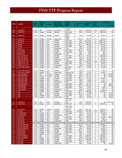|             |                                           |                            | <b>Budget</b>                  |                | <b>Historical</b>      | <b>DEEDS</b>             |                   |                                   | Cents                            |                      | <b>Total Cost</b> |
|-------------|-------------------------------------------|----------------------------|--------------------------------|----------------|------------------------|--------------------------|-------------------|-----------------------------------|----------------------------------|----------------------|-------------------|
| <b>FIPS</b> | <b>Locality</b>                           | Fiscal<br>Year             | / Mid-                         | <b>Vendor</b>  | (Back file) /          | Span of                  | Accuracy<br>Rate  | <b>Number of</b><br><b>Images</b> | per                              | \$4                  | \$1 Fund          |
|             |                                           |                            | Year                           |                | Day-Forward            | Years                    |                   |                                   | Image                            |                      |                   |
|             |                                           |                            |                                |                |                        | 10 years                 |                   |                                   |                                  |                      |                   |
| 085<br>085  | <b>HANOVER</b><br><b>HANOVER</b>          | <b>FY08</b><br><b>FY09</b> | Mid<br><b>Budget</b>           | AmCad<br>AmCad | dayforward<br>backfile | forward<br>1935-2008     | 95%<br>99%        | 1,893,988<br>2,576,978            | 1.69<br>3.7                      | \$12,000<br>\$95.348 | \$0<br>\$0        |
|             |                                           |                            |                                |                |                        | Apr-Aug                  |                   |                                   |                                  |                      |                   |
| 085         | <b>HANOVER</b>                            | <b>FY09</b>                | <b>Budget</b>                  | AmCad          | backfile               | 2008                     | 99%               | 42,230                            | 3.7                              | \$1,563              | \$0               |
| 085         | <b>HANOVER</b>                            | <b>FY09</b>                | <b>Budget</b>                  | AmCad          | dayforward             | Aug08-<br>May09          | 95.5%             | 105,735                           | 3.7                              | \$3,912              | \$0               |
| 087         | <b>HENRICO</b>                            | <b>FY08</b>                | <b>Budget</b>                  | <b>ILS</b>     | backfile               | 1935-2007                | 99%               | 8,123,613                         | 3                                | \$184,713            | \$0               |
| 087         | <b>HENRICO</b>                            | <b>FY09</b>                | <b>Budget</b>                  | ILS            | backfile               | 1970-2008                | 99%               | 7,623,804                         | 3.3                              | \$201,268            | \$0               |
| 089         | <b>HENRY</b>                              | <b>FY08</b>                | <b>Budget</b>                  | SCV            | backfile               | 2001-2007                | $95 + \%$         | 390,629                           | $\overline{4}$                   | \$15,626             | \$0               |
| 089         | <b>HENRY</b>                              | <b>FY09</b>                | <b>Budget</b>                  | SCV            | backfile               | 1997-2008                | 98%               | 33,304                            | 4                                | \$1,332              | \$0               |
| 089         | <b>HENRY</b>                              | <b>FY09</b>                | <b>Budget</b>                  | SCV            | dayforward             | <b>FY09</b>              | 98%               | 67,587                            | $\overline{4}$                   | \$2,704              | \$0               |
| 091         | <b>HIGHLAND</b>                           | <b>FY08</b>                | <b>Budget</b>                  | SCV            | backfile               | 1993-2007                | $95 + \%$         | 39,249                            | $\overline{4}$                   | \$1,570              | \$0               |
| 091         | <b>HIGHLAND</b>                           | <b>FY09</b><br><b>FY09</b> | <b>Budget</b>                  | SCV            | backfile               | 1993-2008<br><b>FY09</b> | 98%<br>98%        | 1,560                             | $\overline{4}$<br>$\overline{4}$ | \$62                 | \$0               |
| 091<br>093  | <b>HIGHLAND</b><br><b>ISLE OF WIGHT</b>   | <b>FY08</b>                | <b>Budget</b><br><b>Budget</b> | SCV<br>SCV     | dayforward<br>backfile | 1970-2007                | $95 + \%$         | 4,076<br>770,676                  | $\overline{4}$                   | \$163<br>\$30,828    | \$0<br>\$0        |
| 093         | <b>ISLE OF WIGHT</b>                      | <b>FY09</b>                | <b>Budget</b>                  | SCV            | backfile               | 1970-2008                | 98%               | 26,194                            | $\overline{4}$                   | \$1,048              | \$0               |
| 093         | <b>IISLE OF WIGHT</b>                     | <b>FY09</b>                | <b>Budget</b>                  | SCV            | dayforward             | <b>FY09</b>              | 98%               | 51,603                            | $\overline{4}$                   | \$2,064              | \$0               |
| 095         | <b>JAMES CITY CO</b>                      | <b>FY09</b>                | <b>Budget</b>                  | SCV            | backfile               | 1980-2008                | 98%               | 2,334,504                         | 3.35                             | \$78,206             | \$0               |
| 095         | <b>JAMES CITY CO</b>                      | <b>FY09</b>                | <b>Budget</b>                  | SCV            | backfile               | 1980-2008                | 98%               | 90.044                            | 4                                | \$3,602              | \$0               |
| 095         | <b>JAMES CITY CO</b>                      | <b>FY09</b>                | <b>Budget</b>                  | SCV            | dayforward             | <b>FY09</b>              | 98%               | 179,598                           | 4                                | \$7,184              | \$0               |
| 097         | <b>KING AND QUEEN</b>                     | <b>FY08</b>                | <b>Budget</b>                  | SCV            | backfile               | 2005-2007                | $95 + \%$         | 25,964                            | $\overline{4}$                   | \$1,039              | \$0               |
|             |                                           |                            |                                |                |                        | Apr-Aug                  |                   |                                   |                                  |                      |                   |
| 097         | <b>KING AND QUEEN</b>                     | <b>FY09</b>                | <b>Budget</b>                  | SCV            | backfile               | 2008                     | 98%               | 11,144                            | 4                                | \$446                | \$0               |
| 097         | <b>KING AND QUEEN</b>                     | <b>FY09</b>                | <b>Budget</b>                  | SCV            | dayforward             | Aug08-Jul-09             | 98%               | 27,434                            | $\overline{4}$                   | \$1.097              | \$0               |
| 099         | <b>KING GEORGE</b>                        | <b>FY07</b>                | Mid                            | AmCad          | backfile               | 1930-2006<br>1930-2006   | 96%               | 427,417                           | $\overline{4}$<br>$\overline{4}$ | \$0                  | \$17,097          |
| 099         | <b>KING GEORGE</b><br><b>KING WILLIAM</b> | <b>FY08</b><br><b>FY08</b> | <b>Budget</b>                  | AmCad<br>SCV   | backfile<br>backfile   |                          | 100%<br>$95 + \%$ | 247,700<br>26,212                 | $\overline{4}$                   | \$0<br>\$1,048       | \$9,908<br>\$0    |
| 101<br>101  | <b>KING WILLIAM</b>                       | <b>FY09</b>                | <b>Budget</b><br><b>Budget</b> | SCV            | backfile               | 1999-2007<br>1999-2008   | 98%               | 14,286                            | $\overline{4}$                   | \$571                | \$0               |
| 101         | <b>KING WILLIAM</b>                       | <b>FY09</b>                | <b>Budget</b>                  | SCV            | dayforward             | <b>FY09</b>              | 98%               | 27,063                            | $\overline{4}$                   | \$1,083              | \$0               |
| 101         | <b>KING WILLIAM</b>                       | <b>FY09</b>                | <b>Budget</b>                  | SCV            | backfile               | 1999-2008                | 98%               | 154,775                           | $\overline{4}$                   | \$0                  | \$6,191           |
| 103         | <b>LANCASTER</b>                          | <b>FY08</b>                | <b>Budget</b>                  | SCV            | backfile               | 1989-2007                | $95 + \%$         | 244,019                           | $\overline{4}$                   | \$0                  | \$9,761           |
| 103         | <b>LANCASTER</b>                          | <b>FY09</b>                | <b>Budget</b>                  | SCV            | backfile               | 1994-2008                | 98%               | 11,061                            | $\overline{4}$                   | \$442                | \$0               |
| 103         | <b>LANCASTER</b>                          | <b>FY09</b>                | <b>Budget</b>                  | SCV            | dayforward             | <b>FY09</b>              | 98%               | 22,837                            | $\overline{4}$                   | \$914                | \$0               |
| 105         | LEE                                       | <b>FY08</b>                | <b>Budget</b>                  | SCV            | backfile               | 1969-2007                | $95 + \%$         | 484,590                           | $\overline{4}$                   | \$19,384             | \$0               |
| 105         | LEE                                       | <b>FY08</b>                | Mid                            | SCV            | backfile               | 1966-2008                | $95 + \%$         | 37,964                            | $\overline{4}$                   | \$0                  | \$1,519           |
| 105         | LEE                                       | <b>FY09</b>                | <b>Budget</b>                  | SCV            | backfile               | 1954-2008                | 98%               | 49,717                            | $\overline{4}$                   | \$0                  | \$1,989           |
| 105         | LEE                                       | <b>FY09</b>                | <b>Budget</b>                  | SCV            | dayforward             | <b>FY09</b>              | 98%               | 97,066                            | $\overline{4}$                   | \$0                  | \$3,883           |
|             |                                           |                            |                                |                |                        | 1966-1986<br>Jan-June    |                   |                                   |                                  |                      |                   |
| 107         | <b>LOUDOUN</b>                            | <b>FY07</b>                | Mid                            | <b>DTS</b>     | backfile               | 2003                     | 99%               | 2,800,000                         | 4                                | \$0                  | \$112,000         |
| 107         | <b>LOUDOUN</b>                            | <b>FY09</b>                | <b>Budget</b>                  | <b>DTS</b>     | dayforward             | 2006-2007                | 99%               | 1,210,000                         | $\overline{4}$                   | \$48,400             | \$0               |
|             |                                           |                            |                                |                |                        | 1985-2000                |                   |                                   |                                  |                      |                   |
|             |                                           |                            |                                |                |                        | Court Case               |                   |                                   |                                  |                      |                   |
| 107         | <b>LOUDOUN</b>                            | FY09                       | <b>Budget</b>                  | AmCad          | backfile               | Files (F)                | 95%               | 1,641,791                         | 4                                | \$65,672             | \$0               |
| 109         | <b>LOUISA</b>                             | <b>FY08</b>                | Mid                            | Cott           | backfile               | 1984-2007                | 95-99%            | 815,939                           | 3.25                             | \$26,518             | \$0               |
| 111         | <b>LUNENBURG</b>                          | FY09                       | <b>Budget</b>                  | SCV            | backfile               | 1976-2008                | 98%               | 82,703                            | 4<br>$\overline{4}$              | \$3,308              | \$0               |
| 111<br>113  | <b>LUNENBURG</b><br><b>MADISON</b>        | <b>FY09</b><br><b>FY08</b> | <b>Budget</b><br><b>Budget</b> | SCV<br>SCV     | dayforward<br>backfile | <b>FY09</b><br>1993-2007 | 98%<br>$95 + \%$  | 22,433<br>168,640                 | 4                                | \$897<br>\$1,483     | \$0<br>\$5,263    |
| 113         | <b>MADISON</b>                            | <b>FY09</b>                | <b>Budget</b>                  | SCV            | backfile               | 1991-2008                | 98%               | 20,610                            | 4                                | \$824                | \$0               |
| $113$       | <b>MADISON</b>                            | <b>FY09</b>                | <b>Budget</b>                  | SCV            | dayforward             | <b>FY09</b>              | 98%               | 43,440                            | $\overline{4}$                   | \$1,738              | \$0               |
| 115         | <b>MATHEWS</b>                            |                            |                                |                |                        |                          |                   |                                   |                                  |                      |                   |
| 117         | <b>MECKLENBURG</b>                        | <b>FY08</b>                | <b>Budget</b>                  | SCV            | backfile               | 1993-2007                | $95 + \%$         | 524,148                           | 4                                | \$20,966             | \$0               |
| $117$       | <b>MECKLENBURG</b>                        | <b>FY09</b>                | <b>Budget</b>                  | SCV            | backfile               | 1993-2008                | 98%               | 23,933                            | 4                                | \$958                | \$0               |
| 117         | <b>MECKLENBURG</b>                        | FY09                       | <b>Budget</b>                  | SCV            | dayforward             | 2008-2009                | 98%               | 48,600                            | 4                                | \$1,944              | \$0               |
| 119         | <b>MIDDLESEX</b>                          | <b>FY08</b>                | <b>Budget</b>                  | SCV            | backfile               | 2006-2007                | $95 + \%$         | 40,226                            | 4                                | \$1,609              | \$0               |
| 119         | <b>MIDDLESEX</b>                          | <b>FY09</b>                | <b>Budget</b>                  | SCV            | backfile               | 2005-2008                | 98%               | 24,647                            | 4                                | \$986                | \$0               |
| 117         | <b>MIDDLESEX</b>                          | <b>FY09</b>                | <b>Budget</b>                  | SCV            | dayforward             | <b>FY09</b>              | 98%               | 62,139                            | 4                                | \$2,485              | \$0               |
| $121$       | <b>MONTGOMERY</b>                         | <b>FY07</b>                | Mid                            | ILS            | backfile               | 1976-2006                | 99%               | 1,388,857                         | 3                                | \$32,082             | \$0               |
| $121$       | <b>MONTGOMERY</b>                         | <b>FY08</b>                | <b>Budget</b>                  | <b>ILS</b>     | backfile               | 1976-2007                | 99%               | 1,622,500                         | 3                                | \$48,675             | \$0               |
| 125         | <b>NELSON</b>                             | <b>FY08</b>                | <b>Budget</b>                  | SCV            | backfile               | 1992-2007                | $95 + \%$         | 386,509                           | 4                                | \$15,460             | \$0               |
| 125         | <b>NELSON</b>                             | <b>FY09</b>                | <b>Budget</b>                  | SCV            | backfile               | 1990-2008                | 98%               | 26,777                            | 4<br>$\overline{4}$              | \$1,980              | \$0               |
| 125         | <b>NELSON</b>                             | <b>FY09</b>                | <b>Budget</b>                  | SCV            | dayforward             | <b>FY09</b>              | 98%               | 57,945                            |                                  | \$0                  | \$1,409           |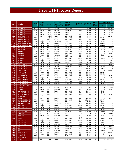|             |                                              | Fiscal                     | <b>Budget</b>                  |                          | <b>Historical</b>            | <b>DEEDS</b>           | <b>Accuracy</b> | Number of          | Cents          |                      | <b>Total Cost</b> |
|-------------|----------------------------------------------|----------------------------|--------------------------------|--------------------------|------------------------------|------------------------|-----------------|--------------------|----------------|----------------------|-------------------|
| <b>FIPS</b> | Locality                                     | Year                       | / Mid-<br>Year                 | Vendor                   | (Back file) /<br>Day-Forward | Span of<br>Years       | Rate            | <b>Images</b>      | per<br>Image   | \$4                  | \$1 Fund          |
| 127         | <b>NEW KENT</b>                              | <b>FY07</b>                | Mid                            | Logan                    | backfile                     | 1967-2007              | ??              | 436,000            | 4              | \$0                  | \$17,440          |
| 127         | <b>NEW KENT</b>                              | <b>FY08</b>                | <b>Budget</b>                  | Logan                    | backfile                     | 1935-1966              | 99%             | 48,000             | 4              | \$0                  | \$1,920           |
| 127         | <b>NEW KENT</b>                              | <b>FY08</b>                | <b>Budget</b>                  | Logan                    | dayforward                   | <b>FY08</b>            | 99%             | 46,000             | $\overline{4}$ | \$0                  | \$1,840           |
| 127         | <b>NEW KENT</b>                              | <b>FY09</b>                | <b>Budget</b>                  | Logan                    | dayforward                   | <b>FY09</b>            | 99%             | 30,400             | 4              | \$0                  | \$1,216           |
| 131         | <b>NORTHAMPTON</b>                           | <b>FY07</b>                | Mid                            | AmCad                    | backfile                     | 1997-2008              | 95%             | 490,909            | $\overline{4}$ | \$0                  | \$19,636          |
| 131         | <b>NORTHAMPTON</b>                           | <b>FY08</b>                | <b>Budget</b>                  | AmCad                    | backfile                     | 1997-2008              | 95%             | 490,909            | 4              | \$19,636             | \$0               |
| 131         | <b>NORTHAMPTON</b>                           | <b>FY09</b>                | <b>Budget</b>                  | SCV                      | backfile                     | 2007-2008              | 98%             | 11,920             | 4              | \$477                | \$0               |
| 131         | <b>NORTHAMPTON</b>                           | <b>FY09</b>                | <b>Budget</b>                  | SCV                      | dayforward                   | 2008                   | 98%             | 26,623             | $\overline{4}$ | \$1,065              | \$0               |
| 133         | NORTHUMBERLAND                               | <b>FY08</b><br><b>FY09</b> | <b>Budget</b>                  | <b>ILS</b><br><b>ILS</b> | backfile<br>backfile         | 1987-2007              | 99%<br>99%      | 337,460<br>350,322 | 3<br>3         | \$10,124<br>\$10,509 | \$0<br>\$0        |
| 133<br>135  | NORTHUMBERLAND<br><b>NOTTOWAY</b>            | <b>FY08</b>                | <b>Budget</b><br><b>Budget</b> | <b>ILS</b>               | backfile                     | 1987-2008<br>1975-2007 | 99%             | 208,700            | 3              | \$0                  | \$6.261           |
| 135         | <b>NOTTOWAY</b>                              | <b>FY09</b>                | <b>Budget</b>                  | <b>ILS</b>               | backfile                     | 1975-2008              | 98%             | 253,313            | 3              | \$7,600              | \$0               |
| 137         | <b>ORANGE</b>                                | <b>FY08</b>                | <b>Budget</b>                  | SCV                      | backfile                     | 1961-2007              | $95 + \%$       | 943,496            | 4              | \$0                  | \$37,740          |
| 137         | <b>ORANGE</b>                                | <b>FY09</b>                | <b>Budget</b>                  | SCV                      | backfile                     | 1983-2008              | 98%             | 215,858            | $\overline{4}$ | \$0                  | \$8,956           |
| 137         | <b>ORANGE</b>                                | <b>FY09</b>                | <b>Budget</b>                  | SCV                      | dayforward                   | <b>FY09</b>            | 98%             | 60,608             | $\overline{4}$ | \$2,103              | \$0               |
| 139         | <b>PAGE</b>                                  | <b>FY07</b>                | Mid                            | ILS                      | backfile                     | 1977-2006              | 99%             | 459,039            | 3              | \$0                  | \$12,271          |
| 141         | <b>PATRICK</b>                               | <b>FY08</b>                | <b>Budget</b>                  | SCV                      | backfile                     | 1999-2007              | $95 + \%$       | 163,278            | 4              | \$6,531              | \$0               |
| 141         | <b>PATRICK</b>                               | <b>FY09</b>                | <b>Budget</b>                  | SCV                      | backfile                     | 1968-2008              | 98%             | 11,800             | 4              | \$0                  | \$472             |
| 141         | <b>PATRICK</b>                               | <b>FY09</b>                | <b>Budget</b>                  | SCV                      | dayforward                   | <b>FY09</b>            | 98%             | 24,590             | 4              | \$0                  | \$984             |
| 143         | <b>PITTSYLVANIA</b>                          | <b>FY08</b>                | <b>Budget</b>                  | SCV                      | backfile                     | 2004-2007              | $95 + \%$       | 156,314            | $\overline{4}$ | \$0                  | \$6.253           |
| 143         | PITTSYLVANIA                                 | <b>FY09</b>                | <b>Budget</b>                  | SCV                      | backfile                     | 1995-2008              | 98%             | 54,512             | $\overline{4}$ | \$2,180              | \$0               |
| 143         | PITTSYLVANIA                                 | <b>FY09</b>                | <b>Budget</b>                  | SCV                      | dayforward                   | <b>FY09</b>            | 98%             | 165,359            | 4              | \$6,614              | \$0               |
| 145         | <b>POWHATAN</b>                              | <b>FY07</b>                | Mid                            | <b>ILS</b>               | backfile                     | 1976-2006              | 99%             | 553,631            | 3              | \$0                  | \$16,609          |
| 145         | <b>POWHATAN</b>                              | <b>FY08</b>                | <b>Budget</b>                  | <b>ILS</b><br><b>ILS</b> | backfile<br>backfile         | 1976-2007              | 99%             | 605,000            | 3              | \$18,150             | \$0               |
| 145         | <b>POWHATAN</b>                              | <b>FY09</b><br><b>FY07</b> | <b>Budget</b><br>Mid           | <b>ILS</b>               | backfile                     | 1976-2008              | 99%<br>99%      | 627,243<br>324,452 | 3<br>3         | \$18,818<br>\$0      | \$0<br>\$9,734    |
| 147<br>147  | <b>PRINCE EDWARD</b><br><b>PRINCE EDWARD</b> | <b>FY08</b>                | <b>Budget</b>                  | <b>ILS</b>               | dayforward                   | 1941-2006<br>2007      | 99%             | 23,700             | 3              | \$0                  | \$711             |
| 149         | <b>PRINCE GEORGE</b>                         | <b>FY08</b>                | <b>Budget</b>                  | SCV                      | backfile                     | 1996-2007              | $95 + \%$       | 395,299            | 4              | \$15,812             | \$0               |
| 149         | <b>PRINCE GEORGE</b>                         | <b>FY09</b>                | <b>Budget</b>                  | SCV                      | backfile                     | 1977-1995              | 98%             | 25,003             | 4              | \$1,000              | \$0               |
| 149         | <b>PRINCE GEORGE</b>                         | <b>FY09</b>                | <b>Budget</b>                  | SCV                      | dayforward                   | 2008-2009              | 98%             | 49,367             | 4              | \$1,975              | \$0               |
| 153         | <b>PRINCE WILLIAM</b>                        |                            |                                |                          |                              |                        |                 |                    |                |                      |                   |
| 155         | <b>PULASKI</b>                               | <b>FY09</b>                | <b>Budget</b>                  | SCV                      | backfile                     | 2007-2008              | 98%             | 15,852             | 4              | \$0                  | \$634             |
| 155         | <b>PULASKI</b>                               | <b>FY09</b>                | <b>Budget</b>                  | SCV                      | dayforward                   | <b>FY09</b>            | 98%             | 59,960             | $\overline{4}$ | \$0                  | \$2,399           |
| 157         | <b>RAPPAHANNOCK</b>                          | <b>FY08</b>                | <b>Budget</b>                  | SCV                      | backfile                     | 1987-2007              | $95 + \%$       | 201,724            | 4              | \$8,069              | \$0               |
| 157         | <b>RAPPAHANNOCK</b>                          | <b>FY09</b>                | <b>Budget</b>                  | SCV                      | backfile                     | 1935-1986              | 98%             | 143,058            | 4              | \$4,527              | \$0               |
| 157         | <b>RAPPAHANNOCK</b>                          | <b>FY09</b>                | <b>Budget</b>                  | SCV                      | dayforward                   | 2008-2009              | 98%             | 14,215             | 4              | \$0                  | \$1,764           |
| 159         | <b>RICHMOND</b><br><b>COUNTY</b>             | <b>FY07</b>                | Mid                            | <b>ILS</b>               | backfile                     | 1935-2006              | 99%             | 192,823            | 3              | \$0                  | \$5,785           |
| 161         | <b>ROANOKE COUNTY</b>                        | <b>FY08</b>                | <b>Budget</b>                  | SCV                      | backfile                     | 2001-2007              | $95 + \%$       | 1.019.239          | 4              | \$40,769             | \$0               |
| 161         | <b>ROANOKE COUNTY</b>                        | <b>FY09</b>                | <b>Budget</b>                  | SCV                      | backfile                     | ???                    | 98%             | 78,703             | $\overline{4}$ | \$3.148              | \$0               |
| 161         | <b>ROANOKE COUNTY</b>                        | <b>FY09</b>                | <b>Budget</b>                  | SCV                      | dayforward                   | <b>FY09</b>            | 98%             | 171,931            | 4              | \$6,877              | \$0               |
| 163         | <b>ROCKBRIDGE</b>                            | <b>FY08</b>                | <b>Budget</b>                  | SCV                      | backfile                     | 1992-2007              | $95 + \%$       | 436,773            | 4              | \$17,471             | \$0               |
| 163         | <b>ROCKBRIDGE</b>                            | <b>FY09</b>                | <b>Budget</b>                  | SCV                      | backfile                     | 1992-2008              | 98%             | 19,236             | 4              | \$770                | \$0               |
| 163         | <b>ROCK</b>                                  | <b>FY09</b>                | <b>Budget</b>                  | SCV                      | dayforward                   | <b>FY09</b>            | 98%             | 40,241             | $\overline{4}$ | \$1,610              | \$0               |
| 165         | <b>ROCKINGHAM</b>                            | <b>FY08</b>                | Mid                            | <b>ACS</b>               | backfile                     | 1944-2008              | 99%             | 2,649,374          | 3.53           | \$93,403             | \$0               |
| 167         | <b>RUSSELL</b>                               | <b>FY07</b>                | Mid                            | <b>ILS</b>               | backfile                     | ????                   | 99%             | 516,134            | 3              | \$0                  | \$15,484          |
| 167         | <b>RUSSELL</b>                               | FY09                       | <b>Budget</b>                  | SCV                      | dayforward                   | FY09                   | 98%             | 33,000             | 4              | \$1,320              | \$0               |
| 169         | <b>SCOTT</b>                                 | <b>FY08</b>                | <b>Budget</b>                  | <b>BIS</b>               | backfile                     | 1985-2007              | high<br>90s%    | 527,815            | 3              | \$7,535              | \$8,300           |
| 171         | <b>SHENANDOAH</b>                            | <b>FY08</b>                | <b>Budget</b>                  | SCV                      | backfile                     | 1999-2007              | $95 + \%$       | 579,338            | 4              | \$23,174             | \$0               |
| 171         | SHENANDOAH                                   | <b>FY09</b>                | <b>Budget</b>                  | SCV                      | backfile                     | 1975-2008              | 98%             | 52,870             | 4              | \$2,115              | \$0               |
| 171         | <b>SHENANDOAH</b>                            | <b>FY09</b>                | <b>Budget</b>                  | SCV                      | dayforward                   | <b>FY09</b>            | 98%             | 97,020             | 4              | \$3,881              | \$0               |
| 173         | <b>SMYTH</b>                                 | <b>FY08</b>                | <b>Budget</b>                  | SCV                      | backfile                     | 1990-2007              | $95 + \%$       | 153,369            | 4              | \$0                  | \$6,135           |
| 173         | <b>SMYTH</b>                                 | <b>FY09</b>                | <b>Budget</b>                  | SCV                      | backfile                     | 1990-2008              | 98%             | 82,838             | 4              | \$0                  | \$3,314           |
| 173         | <b>SMYTH</b>                                 | FY09                       | <b>Budget</b>                  | SCV                      | dayforward                   | <b>FY09</b>            | 98%             | 154,733            | 4              | \$6,189              | \$0               |
| 175         | <b>SOUTHAMPTON</b>                           | <b>FY08</b>                | Mid                            | SCV                      | backfile                     | 1953-2007              | $95 + \%$       | 631,236            | 4              | \$0                  | \$25,249          |
| 175         | <b>SOUTHAMPTON</b>                           | <b>FY09</b>                | <b>Budget</b>                  | SCV                      | backfile                     | 1953-2008              | 98%             | 20,038             | $\overline{4}$ | \$34                 | \$0               |
| 175         | <b>SOUTHAMPTON</b>                           | FY09                       | <b>Budget</b>                  | SCV                      | dayforward                   | <b>FY09</b>            | 98%             | 40,866             | 4              | \$0                  | \$2,402           |
| 177         | <b>SPOTSYLVANIA</b>                          |                            |                                |                          |                              |                        |                 |                    |                |                      |                   |
| 179         | <b>STAFFORD</b>                              | <b>FY07</b>                | Mid                            | Logan                    | backfile                     | 1996-2007              | 99%             | 3,418,000          | 4              | \$0                  | \$134,093         |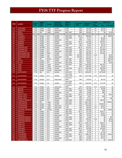|             |                                            | Fiscal                     | <b>Budget</b>                  |                    | <b>Historical</b>            | <b>DEEDS</b>             |                         | Number of          | Cents                 |                     | <b>Total Cost</b>   |
|-------------|--------------------------------------------|----------------------------|--------------------------------|--------------------|------------------------------|--------------------------|-------------------------|--------------------|-----------------------|---------------------|---------------------|
| <b>FIPS</b> | Locality                                   | Year                       | / Mid-<br>Year                 | Vendor             | (Back file) /<br>Day-Forward | Span of<br>Years         | <b>Accuracy</b><br>Rate | <b>Images</b>      | per<br>Image          | \$4                 | \$1 Fund            |
| 179         | <b>STAFFORD</b>                            | <b>FY09</b>                | <b>Budget</b>                  | Logan              | backfile                     | <b>FY08</b>              | 99%                     | 164,600            | 3.8                   | \$6,255             | \$0                 |
| 179         | <b>STAFFORD</b>                            | <b>FY09</b>                | <b>Budget</b>                  | Logan              | dayforward                   | <b>FY09</b>              | 99%                     | 187,700            | 3.8                   | \$7,132             | \$0                 |
| 181         | <b>SURRY</b>                               | <b>FY07</b>                | Mid                            | Logan              | backfile                     | 1967-2007                | 99%                     | 189,000            | $\overline{4}$        | \$0                 | \$7.560             |
| 183         | <b>SUSSEX</b>                              |                            |                                |                    |                              |                          |                         |                    |                       |                     |                     |
| 185         | <b>TAZEWELL</b>                            | <b>FY08</b>                | <b>Budget</b>                  | SCV                | backfile                     | 1984-2007                | $95 + \%$               | 808,892            | 4                     | \$0                 | \$32,355            |
| 185         | <b>TAZEWELL</b>                            | <b>FY09</b>                | <b>Budget</b>                  | SCV                | backfile                     | 1984-2008                | 98%                     | 37,077             | 4                     | \$1,483             | \$0                 |
| 185         | <b>TAZEWELL</b>                            | <b>FY09</b>                | <b>Budget</b>                  | SCV                | dayforward                   | <b>FY09</b>              | 98%                     | 73,051             | 4                     | \$2,922             | \$0                 |
| 187         | <b>WARREN</b>                              | <b>FY08</b>                | <b>Budget</b>                  | SCV                | backfile                     | 1994-2007                | $95 + \%$               | 812,655            | $\overline{4}$        | \$32,507            | \$0                 |
| 187         | <b>WARREN</b>                              | <b>FY09</b>                | <b>Budget</b>                  | SCV                | backfile                     | 1994-2008                | 98%                     | 37,805             | $\overline{4}$        | \$1,512             | \$0                 |
| 187         | <b>WARREN</b>                              | <b>FY09</b>                | <b>Budget</b>                  | SCV                | dayforward                   | <b>FY09</b>              | 98%                     | 79,397             | $\overline{4}$        | \$3,176             | \$0                 |
| 191         | <b>WASHINGTON</b>                          | <b>FY08</b>                | Bud/Mid                        | SCV                | backfile                     | 1984-2007                | $95 + \%$               | 679,325            | 4                     | \$27,173            | \$0                 |
| 191         | <b>WASHINGTON</b>                          | <b>FY09</b>                | <b>Budget</b>                  | SCV                | backfile                     | 1968-1983                | 98%                     | 376,717            | $\overline{4}$        | \$15,069            | \$0                 |
| 191         | <b>WASHINGTON</b>                          | <b>FY09</b>                | <b>Budget</b>                  | SCV                | dayforward                   | 2008-2009                | 98%                     | 427,546            | $\overline{4}$        | \$17,102            | \$0                 |
| 193         | <b>WESTMORELAND</b>                        | <b>FY08</b>                | <b>Budget</b>                  | M&W                | backfile                     | 1970-2007                | 98%                     | 390,000            | $\overline{4}$        | \$15,600            | \$0                 |
| 193         | <b>WESTMORELAND</b>                        | <b>FY09</b><br><b>FY09</b> | <b>Budget</b>                  | Cott<br><b>TBD</b> | backfile                     | 2002-2005<br><b>FY09</b> | 95-99%                  | 245,246            | 3.25<br>4             | \$0                 | \$7,970             |
| 193<br>195  | <b>WESTMORELAND</b><br><b>WISE</b>         | <b>FY07</b>                | <b>Budget</b><br>Mid           | Mixnet             | dayforward<br>backfile       | 1945-2007                | 95-99%<br>98%           | 140,144            | $\overline{4}$        | \$0<br>\$0          | \$5,606<br>\$34,180 |
| 197         | <b>WYTHE</b>                               | <b>FY09</b>                | <b>Budget</b>                  | SCV                | backfile                     | 1997-2007                | 98%                     | 854,501<br>418,422 | 4                     | \$0                 | \$16,737            |
| 197         | <b>WYTHE</b>                               | <b>FY09</b>                | <b>Budget</b>                  | SCV                | dayforward                   | 2008-2009                | 98%                     | 48,681             | 4                     | \$0                 | \$1,948             |
| 199         | <b>YORK</b>                                | <b>FY08</b>                | <b>Budget</b>                  | Logan              | backfile                     | 1935-2007                | 99%                     | 2,230,000          | $\overline{4}$        | \$87,970            | \$0                 |
| 199         | <b>YORK</b>                                | <b>FY08</b>                | <b>Budget</b>                  | Logan              | dayforward                   | <b>FY08</b>              | 99%                     | 280,000            | 2.5                   | \$7,000             | \$0                 |
| 199         | <b>YORK</b>                                | <b>FY09</b>                | <b>Budget</b>                  | County             | backfile                     | 1935-2008                | $95 + \%$               | 2,387,000          | 4                     | \$95,480            | \$0                 |
| 199         | <b>YORK</b>                                | <b>FY09</b>                | <b>Budget</b>                  | County             | dayforward                   | <b>FY09</b>              | $95 + \%$               | 147,750            | $\overline{4}$        | \$5,910             | \$0                 |
| 510         | <b>ALEXANDRIA</b>                          | <b>FY08</b>                | Mid                            | SCV                | backfile                     | 2003-2007                | $95 + \%$               | 4,400,687          | 4                     | \$176,028           | \$0                 |
|             |                                            |                            |                                |                    |                              | 1970-2008                |                         |                    |                       |                     |                     |
| 510         | <b>ALEXANDRIA</b>                          | <b>FY09</b>                | <b>Budget</b>                  | SCV                | backfile                     | (Wills Only)             | 98%                     | 3,617,690          | 3.35                  | \$121,193           | \$0                 |
| 510         | <b>ALEXANDRIA</b>                          | <b>FY09</b>                | <b>Budget</b>                  | SCV                | dayforward                   | FY09 (Not<br>Wills)      | 98%                     | 219,539            | 4                     | \$8,782             | \$0                 |
| 510         | <b>ALEXANDRIA</b>                          | <b>FY09</b>                | <b>Budget</b>                  | CSI                | backfile                     | 2003-2008<br>(Not Wills) | 99%                     | 2,000,000          | 3.55                  | \$71,000            | \$0                 |
| 510         | <b>ALEXANDRIA</b>                          | <b>FY09</b>                | <b>Budget</b>                  | CSI                | dayforward                   | FY09 (Not<br>Wills)      | 99%                     | 250,000            | 3.55                  | \$43,605            | \$0                 |
| 520         | <b>BRISTOL</b>                             | <b>FY08</b>                | <b>Budget</b>                  | SCV                | backfile                     | 1974-2007                | $95 + \%$               | 146,198            | $\overline{4}$        | \$5,848             | \$0                 |
| 520         | <b>BRISTOL</b>                             | <b>FY09</b>                | <b>Budget</b>                  | SCV                | backfile                     | 1974-2008                | 98%                     | 12,082             | 4                     | \$483               | \$0                 |
| 520         | <b>BRISTOL</b>                             | <b>FY09</b>                | <b>Budget</b>                  | SCV                | dayforward                   | <b>FY09</b>              | 98%                     | 24,658             | 4                     | \$987               | \$0                 |
| 530         | <b>BUENA VISTA</b>                         | <b>FY08</b>                | <b>Budget</b>                  | SCV                | backfile                     | 2001-2007                | $95 + \%$               | 55,226             | $\overline{4}$        | \$0                 | \$2,209             |
| 530         | <b>BUENA VISTA</b>                         | <b>FY09</b>                | <b>Budget</b>                  | SCV                | backfile                     | 1995-2008                | 98%                     | 8,057              | $\overline{4}$        | \$543               | \$0                 |
| 530         | <b>BUENA VISTA</b>                         | <b>FY09</b>                | <b>Budget</b>                  | SCV                | dayforward                   | <b>FY09</b>              | 98%                     | 21,191             | 4                     | \$0                 | \$627               |
| 540         | <b>CHARLOTTESVILLE</b>                     | <b>FY09</b>                | <b>Budget</b>                  | <b>ILS</b>         | backfile                     | 1965-2008                | 99%                     | 876.500            | 3                     | \$26,295            | \$0                 |
| 550         | <b>CHESAPEAKE</b>                          | <b>FY07</b>                | Mid                            | Logan              | backfile                     | 1935-2007                | 99%                     | 5,817,000          | $\overline{4}$        | \$0                 | \$226,425           |
| 550         | <b>CHESAPEAKE</b>                          | <b>FY08</b>                | <b>Budget</b>                  | Logan              | backfile                     | 1935-2007                | 99%                     | 5,817,000          | 4                     | \$226,425           | \$0                 |
| 550         | <b>CHESAPEAKE</b>                          | <b>FY08</b>                | <b>Budget</b>                  | Logan              | dayforward                   | <b>FY08</b>              | 99%                     | 540,000            | 1.5                   | \$8,100             | \$0                 |
| 550         | <b>CHESAPEAKE</b>                          | <b>FY09</b><br><b>FY07</b> | <b>Budget</b>                  | Logan              | dayforward                   | <b>FY09</b>              | 99%<br>96%              | 453,000            | 3.5<br>$\overline{4}$ | \$7,315<br>\$0      | \$0                 |
| 570         | <b>COLONIAL HEIGHTS</b><br><b>DANVILLE</b> | <b>FY08</b>                | Mid                            | AmCad<br>SCV       | backfile<br>backfile         | 1948-2007<br>1981-2007   |                         | 400,000<br>731,788 |                       |                     | \$16,000            |
| 590<br>590  | <b>DANVILLE</b>                            | <b>FY09</b>                | <b>Budget</b><br><b>Budget</b> | SCV                | backfile                     | 1993-2008                | $95 + \%$<br>98%        | 170,340            | 4<br>4                | \$29,271<br>\$6,814 | \$0<br>\$0          |
| 590         | <b>DANVILLE</b>                            | FY09                       | <b>Budget</b>                  | SCV                | dayforward                   | <b>FY09</b>              | 98%                     | 59,706             | 4                     | \$2,388             | \$0                 |
| 630         | <b>FREDERICKSBURG</b>                      | <b>FY09</b>                | <b>Budget</b>                  | SCV                | backfile                     | 1993-2008                | 98%                     | 12,805             | $\overline{4}$        | \$0                 | \$512               |
| 630         | <b>FREDERICKSBURG</b>                      | <b>FY09</b>                | <b>Budget</b>                  | SCV                | backfile                     | 1993-2008                | 98%                     | 250,291            | 3.35                  | \$0                 | \$8,385             |
| 630         | <b>FREDERICKSBURG</b>                      | FY09                       | <b>Budget</b>                  | SCV                | dayforward                   | FY09                     | 98%                     | 29,187             | 4                     | \$0                 | \$1,168             |
| 650         | <b>HAMPTON</b>                             | <b>FY08</b>                | <b>Budget</b>                  | SCV                | backfile                     | 1983-2007                | $95 + \%$               | 2,301,775          | 4                     | \$92,071            | \$0                 |
| 650         | <b>HAMPTON</b>                             | <b>FY09</b>                | <b>Budget</b>                  | SCV                | backfile                     | 1983-2008                | 98%                     | 125,377            | 4                     | \$5,015             | \$0                 |
| 650         | <b>HAMPTON</b>                             | <b>FY09</b>                | <b>Budget</b>                  | SCV                | dayforward                   | FY09                     | 98%                     | 240,145            | 4                     | \$9,606             | \$0                 |
| 670         | <b>HOPEWELL</b>                            | <b>FY08</b>                | <b>Budget</b>                  | SCV                | backfile                     | 1984-2007                | $95 + \%$               | 416,366            | 4                     | \$16,655            | \$0                 |
| 670         | <b>HOPEWELL</b>                            | <b>FY09</b>                | <b>Budget</b>                  | SCV                | backfile                     | 1984-2008                | 98%                     | 14,328             | 4                     | \$573               | \$0                 |
| 670         | <b>HOPEWELL</b>                            | FY09                       | <b>Budget</b>                  | SCV                | dayforward                   | <b>FY09</b>              | 98%                     | 29,738             | 4                     | \$1,190             | \$0                 |
| 680         | <b>LYNCHBURG</b>                           | <b>FY08</b>                | <b>Budget</b>                  | SCV                | backfile                     | 1985-2007                | $95 + \%$               | 1,288,718          | 4                     | \$41,280            | \$10,269            |
| 680         | <b>LYNCHBURG</b>                           | <b>FY09</b>                | <b>Budget</b>                  | SCV                | backfile                     | 1978-2008                | 98%                     | 52,564             | 4                     | \$2,103             | \$0                 |
| 680         | <b>LYNCHBURG</b>                           | <b>FY09</b>                | <b>Budget</b>                  | SCV                | dayforward                   | FY09                     | 98%                     | 117,862            | 4                     | \$4,714             | \$0                 |
| 690         | <b>MARTINSVILLE</b>                        | <b>FY08</b>                | <b>Budget</b>                  | City               | backfile                     | 1942-2007                | 99%                     | 757,331            | $\overline{4}$        | \$0                 | \$30,293            |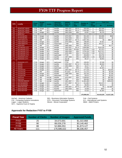|             |                       | <b>Fiscal</b> | <b>Budget</b>  |               | <b>DEEDS</b><br><b>Historical</b> | <b>Accura</b><br><b>Number of</b>  | <b>Cents</b> | <b>Total Cost</b> |                         |             |             |
|-------------|-----------------------|---------------|----------------|---------------|-----------------------------------|------------------------------------|--------------|-------------------|-------------------------|-------------|-------------|
| <b>FIPS</b> | Locality              | Year          | / Mid-<br>Year | <b>Vendor</b> | (Back file) /<br>Day-Forward      | Span of<br>Years                   | cy<br>Rate   | <b>Images</b>     | per<br>Image            | \$4         | \$1 Fund    |
| 700         | <b>NEWPORT NEWS</b>   | <b>FY08</b>   | <b>Budget</b>  | SCV           | backfile                          | 1985-2007                          | $95 + \%$    | 550,000           | $\overline{4}$          | \$22,000    | \$0         |
| 700         | <b>NEWPORT NEWS</b>   | <b>FY08</b>   | Mid            | SCV           | backfile                          | 1982-2007                          | $95 + \%$    | 2,926,080         | $\overline{2}$          | \$36,814    | \$0         |
| 700         | <b>NEWPORT NEWS</b>   | <b>FY09</b>   | <b>Budget</b>  | SCV           | backfile                          | 1982-2008                          | 98%          | 62,857            | 2.03                    | \$1,276     | \$0         |
| 710         | <b>NORFOLK</b>        |               |                |               |                                   |                                    |              |                   |                         |             |             |
| 730         | <b>PETERSBURG</b>     | <b>FY08</b>   | <b>Budget</b>  | <b>ILS</b>    | backfile                          | 1970-2007                          | 99%          | 551,440           | 3                       | \$15,895    | \$648       |
| 730         | <b>PETERSBURG</b>     | <b>FY09</b>   | <b>Budget</b>  | <b>ILS</b>    | backfile                          | 1970-2008                          | 99%          | 564,370           | 3                       | \$16,931    | \$0         |
| 740         | <b>PORTSMOUTH</b>     | <b>FY08</b>   | Mid            | SCV           | backfile                          | 1984-2007                          | $95 + \%$    | 2,067,766         | $\overline{4}$          | \$0         | \$82,711    |
| 740         | <b>PORTSMOUTH</b>     | <b>FY09</b>   | <b>Budget</b>  | SCV           | backfile                          | 1970-2008                          | 98%          | 198,005           | $\overline{4}$          | \$7,921     | \$0         |
| 740         | <b>PORTSMOUTH</b>     | <b>FY09</b>   | <b>Budget</b>  | SCV           | Dayforward                        | <b>FY09</b>                        | 98%          | 380,422           | $\overline{4}$          | \$15,217    | \$0         |
| 750         | <b>RADFORD</b>        | <b>FY07</b>   | Mid            | <b>ILS</b>    | backfile                          | 1985-2006                          | 99%          | 159,219           | 3                       | \$0         | \$4,777     |
| 760         | <b>RICHMOND CITY</b>  | <b>FY08</b>   | <b>Budget</b>  | SCV           | backfile                          | 1993-2007                          | $95 + \%$    | 3,580,688         | $\overline{4}$          | \$143,228   | \$0         |
| 760         | <b>RICHMOND CITY</b>  | <b>FY08</b>   | <b>Budget</b>  | Cott          | backfile                          | 1935-1993                          | 95-99%       | 2,214,555         | 3.25                    | \$71,973    | \$0         |
| 760         | <b>RICHMOND CITY</b>  | <b>FY09</b>   | <b>Budget</b>  | SCV           | backfile                          | 1993-2008                          | 98%          | 3,793,156         | 3.35                    | \$127,071   | \$0         |
| 760         | <b>RICHMOND CITY</b>  | <b>FY09</b>   | <b>Budget</b>  | Cott          | backfile                          | 1935-1993                          | 98%          | 2,214,555         | 3.36                    | \$74,473    | \$0         |
| 760         | <b>RICHMOND CITY</b>  | <b>FY09</b>   | <b>Budget</b>  | SCV           | dayforward                        | <b>FY09</b>                        | 98%          | 494,808           | 4                       | \$19,792    | \$0         |
| 770         | <b>ROANOKE CITY</b>   | <b>FY09</b>   | <b>Budget</b>  | SCV           | backfile                          | 1997-2008                          | 98%          | 1,685,008         | 3.35                    | \$56,448    | \$0         |
| 770         | <b>ROANOKE CITY</b>   | <b>FY09</b>   | <b>Budget</b>  | SCV           | backfile                          | Apr-08                             | 98%          | 96,317            | 4                       | \$3,853     | \$0         |
| 770         | <b>ROANOKE CITY</b>   | <b>FY09</b>   | <b>Budget</b>  | SCV           | dayforward                        | Apr <sub>08</sub> -<br><b>FY09</b> | 98%          | 190,953           | 4                       | \$7,638     | \$0         |
| 775         | <b>SALEM</b>          | <b>FY08</b>   | <b>Budget</b>  | SCV           | backfile                          | 2002-2007                          | $95 + \%$    | 223,481           | 4                       | \$8,940     | \$0         |
| 775         | <b>SALEM</b>          | <b>FY09</b>   | <b>Budget</b>  | SCV           | backfile                          | 1992-2008                          | 98%          | 18.417            | $\overline{4}$          | \$737       | \$0         |
| 775         | <b>SALEM</b>          | <b>FY09</b>   | <b>Budget</b>  | SCV           | davforward                        | <b>FY09</b>                        | 98%          | 37,602            | $\overline{4}$          | \$1.504     | \$0         |
| 790         | <b>STAUNTON</b>       | <b>FY08</b>   | <b>Budget</b>  | SCV           | backfile                          | 1954-2007                          | $95 + \%$    | 577,318           | $\overline{4}$          | \$0         | \$23,093    |
| 790         | <b>STAUNTON</b>       | <b>FY08</b>   | Mid            | SCV           | backfile                          | 50 years                           | $95 + \%$    | 111,213           | $\overline{4}$          | \$0         | \$4,449     |
| 790         | <b>STAUNTON</b>       | <b>FY09</b>   | <b>Budget</b>  | SCV           | backfile                          | 1986-2008                          | 98%          | 181,443           | $\overline{4}$          | \$0         | \$7,258     |
| 790         | <b>STAUNTON</b>       | <b>FY09</b>   | <b>Budget</b>  | SCV           | dayforward                        | <b>FY09</b>                        | 98%          | 83,072            | $\overline{4}$          | \$0         | \$3,323     |
| 800         | <b>SUFFOLK</b>        | <b>FY07</b>   | Mid            | AmCad         | backfile                          | 1974-2007                          | 96%          | 2,189,820         | $\overline{4}$          | \$0         | \$87,593    |
| 800         | <b>SUFFOLK</b>        | <b>FY08</b>   | Mid            | AmCad         | dayforward                        | <b>FY08</b>                        | 95%          | 300,000           | $\overline{4}$          | \$0         | \$12,000    |
| 810         | <b>VIRGINIA BEACH</b> | <b>FY07</b>   | Mid            | AmCad         | backfile                          | 1981-2007                          | 95%          | 11,381,468        | $\overline{4}$          | \$0         | \$455,259   |
| 820         | <b>WAYNESBORO</b>     | <b>FY08</b>   | <b>Budget</b>  | SCV           | backfile                          | 1977-2007                          | $95 + \%$    | 311.882           | $\overline{4}$          | \$12,475    | \$0         |
| 820         | <b>WAYNESBORO</b>     | <b>FY09</b>   | <b>Budget</b>  | SCV           | dayforward                        | <b>FY09</b>                        | 98%          | 80,055            | $\overline{4}$          | \$3,203     | \$0         |
| 840         | <b>WINCHESTER</b>     | <b>FY08</b>   | <b>Budget</b>  | SCV           | backfile                          | 1983-2007                          | $95 + \%$    | 447,355           | $\overline{4}$          | \$0         | \$17,8974   |
| 840         | <b>WINCHESTER</b>     | <b>FY09</b>   | <b>Budget</b>  | SCV           | <b>Backfile</b>                   | 1983-2008                          | 98%          | 19,999            | 4                       | \$800       | \$0         |
| 840         | <b>WINCHESTER</b>     | <b>FY09</b>   | <b>Budget</b>  | SCV           | dayforward                        | <b>FY09</b>                        | 98%          | 41,622            | $\overline{\mathbf{4}}$ | \$1,664     | \$0         |
|             |                       |               |                |               |                                   |                                    |              |                   |                         |             |             |
|             | <b>TOTAL</b>          |               |                |               |                                   |                                    |              | 176.586.022       |                         | \$4,419,229 | \$1,917,228 |

SCV – Supreme Court of Virginia

AmCad – American Cadastre **BIS – Busniness Information Systems** Cott – Cott Systems<br>CSI – Computing Systems Innovations DTS – Document Technology Systems ILS – International Land Systems<br>Logan – Logan Systems Mixnet – Mixn CSI – Computing Systems Innovations DTS – Document Technology Systems<br>
Logan – Logan Systems Mixnet – Mixnet Corporation Mixnet – Mixnet Corporation

## **Approvals for Redaction FY07 to FY09**

| <b>Number of Clerks</b><br><b>Fiscal Year</b> |     | <b>Number of Images</b> | <b>Approved Funds</b> |
|-----------------------------------------------|-----|-------------------------|-----------------------|
| FY07                                          | 25  | 34,673,691              | \$1,322,868           |
| FY <sub>08</sub>                              | 90  | 89,026,278              | \$3,140,462           |
| <b>FY09</b>                                   | 88  | 52,886,053              | \$1,873,127           |
| <b>All Years</b>                              | 111 | 176,586,022             | \$6,336,457           |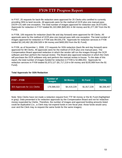In FY07, 25 requests for back-file redaction were approved for 25 Clerks who certified to currently providing SRA to land records. All approvals were for the method of OCR plus one manual pass (OCR+1X) with one exception. The total number of images approved for redaction was 34,673,691. Approvals for redaction in FY07 totaled \$1,322,868 (\$45,501 in \$4 money and \$1,277,367 from the \$1 Fund).

In FY08, 106 requests for redaction (back file and day forward) were approved for 90 Clerks. All approvals were for the method of OCR plus one manual pass with one exception. The total number of images approved for redaction in FY08 was 89,026,278. Approvals for redaction services in FY08 totaled \$3,140,462 (\$2,656,509 in \$4 money and \$483,953 from the \$1 Fund).

In FY09, as of November 1, 2008, 172 requests for SSN redaction (back file and day forward) were approved for 88 Clerks. All approvals were for the method of OCR plus one manual pass. The Compensation Board approved redaction in which the vendor will run the images through the OCR software and then perform the manual review. The Board also approved redaction in which the Clerk will purchase the OCR software only and perform the manual review in-house. To the date of this report, the total number of images funded for redaction in FY09 is 52,886,053. Approvals for redaction services in FY09 totaled \$1,873,127 (\$1,717,219 in \$4 money and \$155,908 from the \$1 Fund).

## **Total Approvals for SSN Redaction**

| $FY07 - FY09$                | Number of<br><b>Images</b> | \$4 Money   | \$1 Fund    | <b>TOTAL</b> |
|------------------------------|----------------------------|-------------|-------------|--------------|
| 303 Approvals for 111 Clerks | 176,586,022                | \$4,419,229 | \$1,917,228 | \$6,336,457  |

Note: Nine Clerks have not made a redaction request from TTF \$4 money or the \$1 Fund (highlighted in gray). Data presented is for redaction approvals by the Compensation Board and not for redaction money expended by Clerks. Therefore, the number of images and approved funding amounts listed could be duplicative (i.e., a Clerk may not expend funds in one fiscal year; those funds would carry over and the Clerk may re-request the same funds for the same images).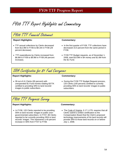FY08 TTF Report Highlights and Commentary

| F408 TTF Financial Statement                 |                                                      |
|----------------------------------------------|------------------------------------------------------|
| <b>Report Highlights:</b>                    | Commentary:                                          |
| • TTF annual collections by Clerks decreased | • In the first quarter of FY09, TTF collections have |
| from \$12.8M in FY06 to \$9.1M in FY08 (29   | decreased 15.5 percent from the same period in       |
| percent decrease).                           | FY08.                                                |
| • TTF expenditures by Clerks increased from  | • FY09 TTF Budget requests, as of November 1,        |
| \$6.8M in FY06 to \$9.9M in FY08 (46 percent | 2008, total \$10.8M in \$4 money and \$1.6M from     |
| increase).                                   | the \$1 Fund.                                        |

## SRA Certification for \$1 Fund Carryover

## **Report Highlights: Commentary:**

- 39 out of 41 Clerks (95 percent) with unexpended \$1 Fund monies totaling \$377K certified to providing SRA to land records' images to public subscribers.
- During the FY09 TTF Budget Request process, 120 Clerks (100 percent) certified to currently providing SRA to land records' images to public subscribers.

FY08 TTF Progress Survey

### **Report Highlights: Commentary:**

• In FY08, 120 Clerks reported to be providing SRA to land records' images to public (nongovernmental) subscribers. In FY07, 86 Clerks reported to be currently providing SRA to land records' images. This represents a 40 percent increase in SRA from FY07 to FY08.

• The Code of Virginia, § 17.1-279, requires that all Clerks submit a written certification to the Compensation Board that the Clerk's proposed technology improvements of his land records will provide SRA to those land records on or before July 1, 2008.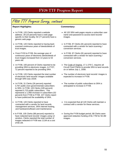# FY08 TTF Progress Survey, continued

### **Report Highlights: Commentary:**

- In FY08, 120 Clerks reported a website address. 28 (23 percent) have a web page specific to their locality; 92 (77 percent) have a generic web page.
- In FY08, 120 Clerks reported to having back scanned continuous years of deeds/deeds of trust images.
- From FY03 to FY08, the average year of continuous years of electronic deeds/deeds of trust images increased from 13 years to 53 years old.
- In FY08, 100 percent of Clerks reported to be providing SRA to electronic images. In FY07, 72 percent reported to be providing SRA.
- In FY08, 120 Clerks reported the total number of electronic land records' images available through SRA was 191M.
- In FY06, 31 Clerks (26 percent) reported 3,767 public (non-governmental) subscribers to SRA. In FY08, 120 Clerks (100 percent) reported 5,723 public subscribers. This represents a 1,956 increase in subscribers (52 percent) from FY06 to FY08. 107 Clerks report to have publicized the availability of SRA.
- In FY08, 120 Clerks reported to have contracted with a vendor for land records management services, SRA internet hosting, and hardware/software and maintenance.
- In FY08, 105 Clerks (88 percent) reported to have redacted land records' images using 12 vendors. Clerks reported the total number of images redacted in FY08 was 111M at a cost of \$4.1M.

- All 120 SRA web pages require a subscriber user name and password to access land records' images.
- In FY08, 97 Clerks (81 percent) reported to have contracted with a vendor for back scanning / conversion services.
- In FY08, 97 Clerks (81 percent) reported to have contracted with a vendor for back scanning / conversion services.
- The Code of Virginia, 17.1-279 C, requires all Circuit Court Clerks to provide SRA to land records on or before July 1, 2008.
- The number of electronic land records' images is expected to increase in FY09.
- The number of public subscribers to SRA is anticipated to increase in FY09.
- It is expected that all 120 Clerks will maintain a contract with a vendor for these services.
- During the FY09 budget period, 88 Clerks were approved redaction funding of \$1.77M for 50.3M images.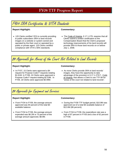## FY09 SRA Certification & VITA Standards

### **Report Highlight: Commentary:**

• 120 Clerks certified YES to currently providing to public subscribers SRA to land records' images on a website or system owned and operated by the their court or operated by a public or private agent. 120 Clerks certified compliance with VITA's SRA standards.

• The Code of Virginia, § 17.1-279, requires that all Clerks submit a written certification to the Compensation Board that the Clerk's proposed technology improvements of his land records will provide SRA to those land records on or before July 1, 2008.

\$4 Approvals for Areas of the Court Not Related to Land Records

### **Report Highlight: Commentary:**

• In FY07, 15 Clerks were approved a \$4 request for Purpose Code F requests totaling \$1.61M. In FY08, 24 Clerks were approved a Purpose Code F request totaling \$2.53M. In FY09, 18 Clerks were approved \$0.99M.

• As more Clerks provide SRA to land records' images, they have the opportunity to take advantage of the provision in § 17.1-279 F., Code of Virginia, that allows a Clerk to use TTF \$4 for "areas of the court not related to land records".

# \$4 Approvals for Equipment and Services

### **Report Highlight: Commentary:**

- From FY04 to FY09, the average amount approved was 84 percent of the total \$4 available balance.
- From FY04 to FY08, the average amount expended was \$6.2M or 70 percent of the average amount approved, \$8.9M.

- During the FY09 TTF budget period, \$10.9M was approved out of a total \$4 available balance of \$12.6M (86 percent).
- From FY04 to FY08, the expenditure rate was a high of 87 percent in FY05 and a low of 62 percent in FY08.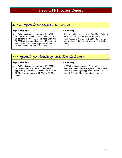\$1 Fund Approvals for Equipment and Services

### **Report Highlight: Commentary:**

• In FY06, 66 Clerks were approved \$1.48M from the \$1 Fund with an expenditure rate of 55 percent. In FY07, 60 Clerks were approved \$2.85M with an expenditure rate of 73 percent. In FY08, 69 Clerks were approved \$2.29M with an expenditure rate of 83 percent.

- The expenditure rate of the \$1 Fund from FY06 to FY08 has increased 28 percentage points.
- For FY09, as of November 1, 2008, \$1.64M was approved out of \$2.03M (81 percent of available funds).



### Report Highlight: **Commentary: Commentary:**

• In FY07, 25 Clerks were approved \$1.32M for 34.67M images. In FY08, 90 Clerks were approved \$3.14M for 89.02M images. In FY09, 88 Clerks were approved \$1.77M for 50.29M images.

• In FY09, the Compensation Board will seek to determine the number of images and TTF funding actually expended (not approved) from FY07 through FY09 by Clerks for redaction services.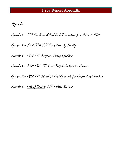Appendix

Appendix 2 – Total FY08 TTF Expenditures by Locality

Appendix 3 – FY08 TTF Progress Survey Questions

Appendix 4 – FY09 SRA, VITA, and Budget Certification Screens

Appendix 5 - F409 TTF 84 and 81 Fund Approvals for Equipment and Services

Appendix 6 - Code of Virginia: TTF Related Sections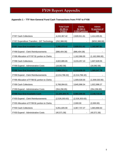|                                               | <b>Total Cash</b><br>$$3$ (\$5 in<br>FY05+) | <b>Clerks</b><br>\$2 (\$4 in)<br>FY05+) portion | <b>Admin</b><br>\$1 portion of<br>fee |
|-----------------------------------------------|---------------------------------------------|-------------------------------------------------|---------------------------------------|
| <b>FY97 Cash Collections</b>                  | 4,243,367.42                                | 2,828,911.61                                    | 1,414,455.81                          |
| FY97 Expenditure Transfers - DIT Technology   | (252, 388.00)                               |                                                 | (\$252,388.00)                        |
| <b>FY97 Year-End Available Cash</b>           | 3,990,979.42                                | 2,828,911.61                                    | 1,162,067.81                          |
| FY98 Expend - Clerk Reimbursements            | (886, 404.38)                               | (886, 404.38)                                   |                                       |
| FY98 Allocation of FY97 \$1 portion to Clerks |                                             | 1,162,066.00                                    | (1, 162, 066.00)                      |
| <b>FY98 Cash Collections</b>                  | 4,822,885.65                                | 3,215,257.10                                    | 1,607,628.55                          |
| FY98 Expend - Administrative Costs            | (18,082.58)                                 |                                                 | (18,082.58)                           |
| <b>FY98 Year-End Available Cash</b>           | 7,909,378.11                                | 6,319,830.33                                    | 1,589,547.78                          |
| FY99 Expend - Clerk Reimbursements            | (2,214,766.32)                              | (2,214,766.32)                                  |                                       |
| FY99 Allocation of FY98 \$1 portion to Clerks |                                             | 1,009,530.00                                    | (1,009,530.00)                        |
| <b>FY99 Cash Collections</b>                  | 5,768,994.81                                | 3,845,996.54                                    | 1,922,998.27                          |
| FY99 Expend - Administrative Costs            | (354, 296.85)                               |                                                 | (354, 296.85)                         |
| <b>FY99 Year-End Available Cash</b>           | 11,109,309.75                               | 8,960,590.55                                    | 2,148,719.20                          |
| FY00 Expend - Clerk Reimbursements            | (2,526,303.63)                              | (2,526,303.63)                                  |                                       |
| FY00 Allocation of FY99 \$1 portion to Clerks |                                             | 2,000.00                                        | (2,000.00)                            |
| <b>FY00 Cash Collections</b>                  | 5,051,605.90                                | 3,367,737.27                                    | 1,683,868.63                          |
| FY00 Expend - Administrative Costs            | (40, 571.58)                                |                                                 | (40, 571.58)                          |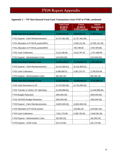|                                          | <b>Total Cash</b><br>\$3 (\$5 in<br>$FY05+)$ | <b>Clerks</b><br>\$2 (\$4 in<br>FY05+) portion | <b>Admin</b><br>\$1 portion of<br>fee |
|------------------------------------------|----------------------------------------------|------------------------------------------------|---------------------------------------|
| <b>FY00 Year-End Available Cash</b>      | 13,594,040.44                                | 9,804,024.19                                   | 3,790,016.25                          |
| FY01 Expend - Clerk Reimbursements       | (4,757,461.69)                               | (4,757,461.69)                                 | ۰                                     |
| FY01 Allocation of FY00 \$1 portion/RIF1 |                                              | 2,035,121.00                                   | (2,035,121.00)                        |
| FY01 Allocation of FY00 \$1 portion/RIF2 | -                                            | 749,799.69                                     | (749, 799.69)                         |
| FY01 Cash Collections                    | 5,122,196.96                                 | 3,414,797.97                                   | 1,707,398.99                          |
| FY01 Expend - Administrative Costs       | (124, 640.50)                                | $\blacksquare$                                 | (124, 640.50)                         |
| FY01 Year-End Available Cash             | 13,834,135.21                                | 11,246,281.16                                  | 2,587,854.05                          |
| FY02 Expend - Clerk Reimbursements       | (5, 141, 600.61)                             | (5, 141, 600.61)                               |                                       |
| <b>FY02 Cash Collections</b>             | 6,586,856.51                                 | 4,391,237.67                                   | 2,195,618.84                          |
| FY02 Expend - Administrative Costs       | (69, 184.15)                                 |                                                | (69, 184.15)                          |
| <b>FY02 Year-End Available Cash</b>      | 15,210,206.96                                | 10,495,918.22                                  | 4,714,288.74                          |
| FY02 Cash Reversion to GF                | (3,732,050.00)                               | (3,732,050.00)                                 |                                       |
| FY03 Transfer to Clerks' GF Operating    | (4,449,998.84)                               |                                                | (4,449,998.84)                        |
| FY03 Budget Reduction                    | (550,000.00)                                 | $\blacksquare$                                 | (550,000.00)                          |
| FY03 10/15/02 Budget Reduction           | (462, 640.00)                                |                                                | (462, 640.00)                         |
| FY03 Expend - Clerk Reimbursements       | (4,802,609.45)                               | (4,802,609.45)                                 |                                       |
| FY03 Allocation of FY03 \$1 portion      |                                              | 133,861.00                                     | (133, 861.00)                         |
| FY03 Cash Collections                    | 7,921,175.89                                 | 5,280,783.93                                   | 2,640,391.96                          |
| FY03 Expend - Administrative Costs       | (45, 200.23)                                 |                                                | (45, 200.23)                          |
| FY03 Expend - COIN Costs                 | (25, 175.50)                                 | $\overline{\phantom{a}}$                       | (25, 175.50)                          |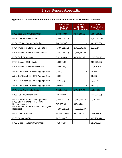|                                                        | <b>Total Cash</b><br>$$3$ (\$5 in<br>$FY05+)$ | <b>Clerks</b><br>\$2 (\$4 in)<br>FY05+) portion | <b>Admin</b><br>\$1 portion of<br>fee |
|--------------------------------------------------------|-----------------------------------------------|-------------------------------------------------|---------------------------------------|
| <b>FY03 Year-End Available Cash</b>                    | 9,063,708.83                                  | 7,375,903.70                                    | 1,687,805.13                          |
| FY03 Cash Reversion to GF                              | (3,500,000.00)                                |                                                 | (3,500,000.00)                        |
| FY04 10/15/02 Budget Reduction                         | (462, 787.00)                                 |                                                 | (462, 787.00)                         |
| FY04 Transfer to Clerks' GF Operating                  | (1,489,212.73)                                | (1,487,142.46)                                  | (2,070.27)                            |
| FY04 Expend - Clerk Reimbursements                     | (3,384,769.22)                                | (3,384,769.22)                                  |                                       |
| <b>FY04 Cash Collections</b>                           | 8,512,088.24                                  | 5,674,725.49                                    | 2,837,362.75                          |
| FY04 Expend - COIN Costs                               | (130, 901.00)                                 | $\blacksquare$                                  | (130, 901.00)                         |
| FY04 Expend - Administrative Costs                     | (23, 504.69)                                  |                                                 | (23, 504.69)                          |
| Adj to CARS cash bal - DPB Appropr Xfers               | (74.97)                                       |                                                 | (74.97)                               |
| Adj to CARS cash bal - DPB Appropr Xfers               | (83.00)                                       | $\overline{\phantom{a}}$                        | (83.00)                               |
| Adj to CARS cash bal - DPB Appropr Xfers               | (2,082.00)                                    |                                                 | (2,082.00)                            |
| Adj to CARS cash bal - DPB Appropr Xfers               | (669.00)                                      |                                                 | (669.00)                              |
| <b>FY04 Year-End Available Cash</b>                    | 8,584,622.43                                  | 8,178,717.51                                    | 405,904.92                            |
| FY05 Bud Red/Transfer to GF                            | (231, 393.00)                                 |                                                 | (231, 393.00)                         |
| FY05 Transfer to Clerks' GF Operating                  | (1,489,213.00)                                | (1,487,142.73)                                  | (2,070.27)                            |
| FY05 Offset of Transfer to GF w/GF<br>Reappropriation  | 543,385.00                                    | 543,385.00                                      |                                       |
| FY05 Expend - Clerk Reimbursements (incl.<br>Reapprop) | (4,385,882.67)                                | (4,385,882.67)                                  |                                       |
| FY05 Cash Collections                                  | 12,404,426.50                                 | 9,923,541.20                                    | 2,480,885.30                          |
| FY05 Expend - COIN                                     | (427, 254.47)                                 |                                                 | (427, 254.47)                         |
| FY05 Expend - Administrative Costs                     | (31, 846.09)                                  | $\blacksquare$                                  | (31, 846.09)                          |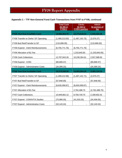|                                       | <b>Total Cash</b><br>$$3$ (\$5 in<br>$FY05+)$ | <b>Clerks</b><br>\$2 (\$4 in<br>FY05+) portion | <b>Admin</b><br>\$1 portion of<br><u>fee</u> |
|---------------------------------------|-----------------------------------------------|------------------------------------------------|----------------------------------------------|
| <b>FY05 Year-End Available Cash</b>   | 14,966,844.70                                 | 12,772,618.31                                  | 2,194,226.39                                 |
| FY06 Transfer to Clerks' GF Operating | (1,489,213.00)                                | (1,487,142.73)                                 | (2,070.27)                                   |
| FY06 Bud Red/Transfer to GF           | (115,696.00)                                  |                                                | (115,696.00)                                 |
| FY06 Expend - Clerk Reimbursements    | (6,755,771.76)                                | (6,755,771.76)                                 |                                              |
| FY06 Allocation of \$1 Fee            |                                               | 1,233,845.83                                   | (1,233,845.83)                               |
| FY06 Cash Collections                 | 12,787,943.26                                 | 10,230,354.61                                  | 2,557,588.65                                 |
| FY06 Expend - COIN                    | (80, 669.47)                                  |                                                | (80, 669.47)                                 |
| FY06 Expend - Administrative Costs    | (34, 399.23)                                  |                                                | (34, 399.23)                                 |
| <b>FY06 Year-End Available Cash</b>   | 19,279,038.50                                 | 15,993,904.26                                  | 3,285,134.24                                 |
| FY07 Transfer to Clerks' GF Operating | (1,489,212.98)                                | (1,487,142.71)                                 | (2,070.27)                                   |
| FY07 Bud Red/Transfer to GF           | (57, 848.00)                                  |                                                | (57, 848.00)                                 |
| FY07 Expend - Clerk Reimbursements    | (8,630,099.87)                                | (8,630,099.87)                                 |                                              |
| FY07 Allocation of \$1 Fee            |                                               | 2,762,488.70                                   | (2,762,488.70)                               |
| <b>FY07 Cash Collections</b>          | 10,949,662.12                                 | 8,759,729.70                                   | 2,189,932.42                                 |
| FY07 Expend - COIN/VITA Studies       | (75,989.25)                                   | (41, 533.25)                                   | (34, 456.00)                                 |
| FY07 Expend - Administrative Costs    | (32, 143.24)                                  | $\blacksquare$                                 | (32, 143.24)                                 |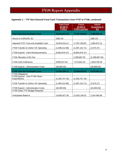|                                                | <b>Total Cash</b>        | <b>Clerks</b>                  | <b>Admin</b>                 |
|------------------------------------------------|--------------------------|--------------------------------|------------------------------|
|                                                | $$3$ (\$5 in<br>$FY05+)$ | \$2 (\$4 in)<br>FY05+) portion | \$1 portion of<br><u>fee</u> |
|                                                |                          |                                |                              |
| <b>FY07 Year-End Available Cash</b>            | 19,943,407.28            | 17,357,346.83                  | 2,586,060.45                 |
| Recon to CARS402, B1                           | (388.14)                 |                                | (388.14)                     |
| Adjusted FY07 Year-end Available Cash          | 19,943,019.14            | 17,357,346.83                  | 2,585,672.31                 |
| FY08 Transfer to Clerks' GF Operating          | (1,489,212.98)           | (1,487,142.71)                 | (2,070.27)                   |
| FY08 Expend - Clerk Reimbursements             | (9,864,876.47)           | (9,864,876.47)                 |                              |
| FY08 Allocation of \$1 Fee                     |                          | 2,288,887.00                   | (2,288,887.00)               |
| <b>FY08 Cash Collections</b>                   | 9,093,527.93             | 7,274,822.34                   | 1,818,705.59                 |
| FY08 Expend - Administrative Costs             | (36, 869.50)             |                                | (36,869.50)                  |
| <b>FY08 Year-End Available Cash</b>            | 17,645,588.12            | 15,569,036.99                  | 2,076,551.13                 |
| FY09 Obligations:                              |                          |                                |                              |
| FY09 Expend - June FY08 Clerks<br>Expenditures | (1,455,747.76)           | (1,455,747.76)                 |                              |
| FY09 Transfer to Clerks' GF Operating          | (1,489,212.98)           | (1,487,142.71)                 | (2,070.27)                   |
| FY09 Expend - Administrative Costs             | (40,000.00)              |                                | (40,000.00)                  |
| FY09 Clerks TTF Budget Requests                |                          |                                |                              |
| <b>Anticipated Balance</b>                     | 14,660,627.38            | 12,626,146.52                  | 2,034,480.86                 |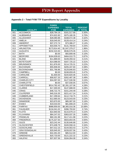## **Appendix 2 – Total FY08 TTF Expenditures by Locality**

| <b>FIPS</b> | <b>LOCALITY</b>      | <b>FUNDS</b><br><b>EXPENDED</b><br><b>FY08</b> | <b>TOTAL</b><br><b>EXPENDED</b> | <b>PERCENT</b><br>of TOTAL |
|-------------|----------------------|------------------------------------------------|---------------------------------|----------------------------|
| 001         | <b>ACCOMACK</b>      | \$28,784.19                                    | \$161,517.68                    | 0.30%                      |
| 003         | <b>ALBEMARLE</b>     | \$74,922.83                                    | \$375,180.35                    | 0.70%                      |
| 005         | <b>ALLEGHANY</b>     | \$28,080.88                                    | \$168,072.38                    | 0.32%                      |
| 007         | <b>AMELIA</b>        | \$18,045.00                                    | \$128,414.14                    | 0.24%                      |
| 009         | <b>AMHERST</b>       | \$37,272.74                                    | \$73,386.27                     | 0.14%                      |
| 011         | <b>APPOMATTOX</b>    | \$33,556.70                                    | \$131,769.64                    | 0.25%                      |
| 013         | <b>ARLINGTON</b>     | \$173,914.40                                   | \$1,047,379.27                  | 1.96%                      |
| 015         | <b>AUGUSTA</b>       | \$232,315.93                                   | \$536,579.35                    | 1.01%                      |
| 017         | <b>BATH</b>          | \$0.00                                         | \$55,809.46                     | 0.10%                      |
| 019         | <b>BEDFORD</b>       | \$184,639.63                                   | \$464,010.75                    | 0.87%                      |
| 021         | <b>BLAND</b>         | \$11,889.00                                    | \$109,459.42                    | 0.21%                      |
| 023         | <b>BOTETOURT</b>     | \$14,088.00                                    | \$167,725.22                    | 0.31%                      |
| 025         | <b>BRUNSWICK</b>     | \$11,876.00                                    | \$114,725.31                    | 0.22%                      |
| 027         | <b>BUCHANAN</b>      | \$55,908.00                                    | \$205,337.60                    | 0.38%                      |
| 029         | <b>BUCKINGHAM</b>    | \$31,766.86                                    | \$129,846.83                    | 0.24%                      |
| 031         | <b>CAMPBELL</b>      | \$0.00                                         | \$248,659.45                    | 0.47%                      |
| 033         | <b>CAROLINE</b>      | \$1,600.00                                     | \$220,820.06                    | 0.41%                      |
| 035         | CARROLL              | \$58,927.20                                    | \$262,487.38                    | 0.49%                      |
| 036         | <b>CHARLES CITY</b>  | \$34,097.00                                    | \$127,530.58                    | 0.24%                      |
| 037         | <b>CHARLOTTE</b>     | \$0.00                                         | \$37,030.05                     | 0.07%                      |
| 041         | <b>CHESTERFIELD</b>  | \$514,782.43                                   | \$2,281,107.06                  | 4.28%                      |
| 043         | <b>CLARKE</b>        | \$17,300.00                                    | \$147,688.00                    | 0.28%                      |
| 045         | <b>CRAIG</b>         | \$46,722.75                                    | \$151,244.49                    | 0.28%                      |
| 047         | <b>CULPEPER</b>      | \$40,316.35                                    | \$221,417.24                    | 0.41%                      |
| 049         | <b>CUMBERLAND</b>    | \$17,299.64                                    | \$112,718.75                    | 0.21%                      |
| 051         | <b>DICKENSON</b>     | \$12,685.00                                    | \$123,543.00                    | 0.23%                      |
| 053         | <b>DINWIDDIE</b>     | \$23,870.00                                    | \$85,087.00                     | 0.16%                      |
| 057         | <b>ESSEX</b>         | \$19,033.00                                    | \$81,808.20                     | 0.15%                      |
| 059         | <b>FAIRFAX</b>       | \$988,959.00                                   | \$8,365,016.36                  | 15.68%                     |
| 061         | <b>FAUQUIER</b>      | \$134,041.02                                   | \$396,793.82                    | 0.74%                      |
| 063         | <b>FLOYD</b>         | \$22,693.56                                    | \$115,679.14                    | 0.22%                      |
| 065         | <b>FLUVANNA</b>      | \$84,247.02                                    | \$363,037.35                    | 0.68%                      |
| 067         | <b>FRANKLIN</b>      | \$60,191.98                                    | \$117,411.98                    | 0.22%                      |
| 069         | <b>FREDERICK</b>     | \$175,327.50                                   | \$503,654.05                    | 0.94%                      |
| 071         | <b>GILES</b>         | \$23,242.44                                    | \$130,646.68                    | 0.24%                      |
| 073         | <b>GLOUCESTER</b>    | \$74,408.79                                    | \$183,558.16                    | 0.34%                      |
| 075         | <b>GOOCHLAND</b>     | \$47,012.15                                    | \$144,563.43                    | 0.27%                      |
| 077         | <b>GRAYSON/GALAX</b> | \$29,945.00                                    | \$228,937.56                    | 0.43%                      |
| 079         | <b>GREENE</b>        | \$42,491.00                                    | \$85,512.00                     | 0.16%                      |
| 081         | <b>GREENSVILLE</b>   | \$20,733.00                                    | \$121,222.32                    | 0.23%                      |
| 083         | <b>HALIFAX</b>       | \$37,837.56                                    | \$184,064.08                    | 0.34%                      |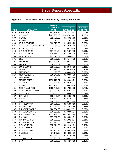| Appendix 2 - Total FY08 TTF Expenditures by Locality, continued |
|-----------------------------------------------------------------|
|-----------------------------------------------------------------|

|             |                                   | <b>FUNDS</b><br><b>EXPENDED</b> | <b>TOTAL</b>                   | <b>PERCENT</b>    |
|-------------|-----------------------------------|---------------------------------|--------------------------------|-------------------|
| <b>FIPS</b> | <b>LOCALITY</b><br><b>HANOVER</b> | <b>FY08</b>                     | <b>EXPENDED</b>                | of TOTAL<br>1.10% |
| 085<br>087  | <b>HENRICO</b>                    | \$41,758.45<br>\$145,937.98     | \$588,789.31<br>\$1,097,453.21 | 2.06%             |
| 089         | <b>HENRY</b>                      | \$12,726.00                     | \$166,621.65                   | 0.31%             |
| 091         | <b>HIGHLAND</b>                   | \$0.00                          | \$41,924.00                    | 0.08%             |
| 093         | <b>ISLE OF WIGHT</b>              | \$63,979.78                     | \$205,950.23                   | 0.39%             |
| 095         | <b>WILLIAMSBG/JAMES CITY</b>      | \$0.00                          | \$710,294.60                   | 1.33%             |
| 097         | <b>KING &amp; QUEEN</b>           | \$36,863.00                     | \$100,330.48                   | 0.19%             |
| 099         | <b>KING GEORGE</b>                | \$57,004.68                     | \$271,277.79                   | 0.51%             |
| 101         | <b>KING WILLIAM</b>               | \$20,548.00                     | \$147,992.16                   | 0.28%             |
| 103         | <b>LANCASTER</b>                  | \$21,520.64                     | \$143,604.51                   | 0.27%             |
| 105         | <b>LEE</b>                        | \$30,033.10                     | \$171,749.28                   | 0.32%             |
| 107         | <b>LOUDOUN</b>                    | \$103,799.70                    | \$1,209,241.37                 | 2.27%             |
| 109         | <b>LOUISA</b>                     | \$38,400.89                     | \$176,031.11                   | 0.33%             |
| 111         | <b>LUNENBURG</b>                  | \$33,580.00                     | \$220,787.00                   | 0.41%             |
| 113         | <b>MADISON</b>                    | \$11,363.00                     | \$109,190.05                   | 0.20%             |
| 115         | <b>MATHEWS</b>                    | \$0.00                          | \$39,068.00                    | 0.07%             |
| 117         | <b>MECKLENBURG</b>                | \$15,847.42                     | \$200,867.38                   | 0.38%             |
| 119         | <b>MIDDLESEX</b>                  | \$0.00                          | \$39,549.45                    | 0.07%             |
| 121         | <b>MONTGOMERY</b>                 | \$139,176.71                    | \$354,664.21                   | 0.66%             |
| 125         | <b>NELSON</b>                     | \$37,409.19                     | \$188,404.14                   | 0.35%             |
| 127         | <b>NEW KENT</b>                   | \$133,158.00                    | \$300,670.26                   | 0.56%             |
| 131         | <b>NORTHAMPTON</b>                | \$260,488.00                    | \$397,595.58                   | 0.75%             |
| 133         | NORTHUMBERLAND                    | \$17,923.73                     | \$107,877.61                   | 0.20%             |
| 135         | <b>NOTTOWAY</b>                   | \$342.50                        | \$103,603.33                   | 0.19%             |
| 137         | ORANGE                            | \$95,645.34                     | \$324,580.13                   | 0.61%             |
| 139         | <b>PAGE</b>                       | \$39,817.00                     | \$191,767.71                   | 0.36%             |
| 141         | <b>PATRICK</b>                    | \$26,869.70                     | \$85,953.44                    | 0.16%             |
| 143         | PITTSYLVANIA                      | \$56,966.66                     | \$205,938.16                   | 0.39%             |
| 145         | <b>POWHATAN</b>                   | \$27,040.94                     | \$148,935.49                   | 0.28%             |
| 147         | PRINCE EDWARD                     | \$20,254.58                     | \$146,397.91                   | 0.27%             |
| 149         | PRINCE GEORGE                     | \$30,937.12                     | \$189,801.27                   | 0.36%             |
| 153         | PRINCE WILLIAM                    | \$523,124.00                    | \$3,819,527.80                 | 7.16%             |
| 155         | <b>PULASKI</b>                    | \$57,226.00                     | \$309,060.54                   | 0.58%             |
| 157         | <b>RAPPAHANNOCK</b>               | \$25,231.00                     | \$110,622.34                   | 0.21%             |
| 159         | RICHMOND CO.                      | \$23,831.00                     | \$99,920.18                    | 0.19%             |
| 161         | ROANOKE CO.                       | \$75,674.00                     | \$514,482.74                   | 0.96%             |
| 163         | <b>ROCKBRIDGE</b>                 | \$10,022.00                     | \$122,165.85                   | 0.23%             |
| 165         | <b>ROCKINGHAM</b>                 | \$91,785.93                     | \$438,650.86                   | 0.82%             |
| 167         | <b>RUSSELL</b>                    | \$7,148.00                      | \$343,635.81                   | 0.64%             |
| 169         | <b>SCOTT</b>                      | \$97,919.00                     | \$391,766.55                   | 0.73%             |
| 171         | SHENANDOAH                        | \$35,931.02                     | \$349,099.13                   | 0.65%             |
| 173         | <b>SMYTH</b>                      | \$35,356.98                     | \$254,260.85                   | 0.48%             |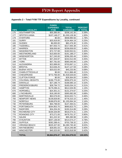## **Appendix 2 – Total FY08 TTF Expenditures by Locality, continued**

|             |                         | <b>FUNDS</b>                   |                                 |                            |  |
|-------------|-------------------------|--------------------------------|---------------------------------|----------------------------|--|
| <b>FIPS</b> | <b>LOCALITY</b>         | <b>EXPENDED</b><br><b>FY08</b> | <b>TOTAL</b><br><b>EXPENDED</b> | <b>PERCENT</b><br>of TOTAL |  |
| 175         | SOUTHAMPTON             | \$55,385.00                    | \$208,142.30                    | 0.39%                      |  |
| 177         | <b>SPOTSYLVANIA</b>     | \$107,148.27                   | \$1,030,128.36                  | 1.93%                      |  |
| 179         | <b>STAFFORD</b>         | \$0.00                         | \$948,990.56                    | 1.78%                      |  |
| 181         | <b>SURRY</b>            | \$25,919.00                    | \$134,464.19                    | 0.25%                      |  |
| 183         | <b>SUSSEX</b>           | \$6,000.00                     | \$82,476.30                     |                            |  |
| 185         | <b>TAZEWELL</b>         | \$47,053.72                    | \$217,935.38                    | 0.15%<br>0.41%             |  |
| 187         | <b>WARREN</b>           | \$38,656.66                    | \$258,658.83<br>0.48%           |                            |  |
| 191         | <b>WASHINGTON</b>       | \$72,727.69                    | \$160,552.61                    | 0.30%                      |  |
| 193         | WESTMORELAND            | \$15,600.00                    | 0.36%<br>\$191,188.27           |                            |  |
| 195         | <b>WISE/NORTON</b>      | \$17,245.00                    | \$296,265.49<br>0.56%           |                            |  |
| 197         | <b>WYTHE</b>            | \$47,204.97                    | \$242,012.09                    | 0.45%                      |  |
| 199         | <b>YORK</b>             | \$57,781.83                    | \$585,040.06                    | 1.10%                      |  |
| 510         | <b>ALEXANDRIA</b>       | \$22,899.00                    | \$703,067.11                    | 1.32%                      |  |
| 520         | <b>BRISTOL</b>          | \$13,636.25                    | \$147,127.59                    | 0.28%                      |  |
| 530         | <b>BUENA VISTA</b>      | \$20,022.00                    | \$45,233.95                     | 0.08%                      |  |
| 540         | <b>CHARLOTTESVILLE</b>  | \$0.00                         | \$111,966.48                    | 0.21%                      |  |
| 550         | <b>CHESAPEAKE</b>       | \$772,766.00                   | \$1,918,526.83                  | 3.60%                      |  |
| 560         | <b>CLIFTON FORGE</b>    | \$0.00                         | \$29,364.00                     | 0.06%                      |  |
| 570         | <b>COLONIAL HEIGHTS</b> | \$196,775.00                   | \$356,975.34                    | 0.67%                      |  |
| 590         | <b>DANVILLE</b>         | \$27,186.74                    | \$168,585.10                    | 0.32%                      |  |
| 630         | <b>FREDERICKSBURG</b>   | \$28,794.72                    | \$165,034.15                    | 0.31%                      |  |
| 650         | <b>HAMPTON</b>          | \$179,296.41                   | \$612,026.95                    | 1.15%                      |  |
| 670         | <b>HOPEWELL</b>         | \$24,301.21                    | \$131,374.67<br>0.25%           |                            |  |
| 680         | <b>LYNCHBURG</b>        | \$18,190.00                    | \$365,082.08<br>0.68%           |                            |  |
| 690         | <b>MARTINSVILLE</b>     | \$63,576.00                    | \$244,022.71                    | 0.46%                      |  |
| 700         | <b>NEWPORT NEWS</b>     | \$138,828.80                   | \$778,310.10                    | 1.46%                      |  |
| 710         | <b>NORFOLK</b>          | \$188,876.00                   | \$1,155,064.34                  | 2.16%                      |  |
| 730         | <b>PETERSBURG</b>       | \$64,798.00                    | \$147,494.01                    | 0.28%                      |  |
| 740         | PORTSMOUTH              | \$264,953.70                   | \$690,823.75                    | 1.29%                      |  |
| 750         | <b>RADFORD</b>          | \$34,204.26                    | \$150,314.89                    | 0.28%                      |  |
| 760         | <b>RICHMOND CITY</b>    | \$169,326.89                   | \$616,074.31                    | 1.15%                      |  |
| 770         | <b>ROANOKE CITY</b>     | \$73,271.00                    | \$479,701.37                    | 0.90%                      |  |
| 775         | <b>SALEM</b>            | \$21,222.32                    | \$95,390.98                     | 0.18%                      |  |
| 790         | <b>STAUNTON</b>         | \$207,136.00                   | \$414,574.27                    | 0.78%                      |  |
| 800         | <b>SUFFOLK</b>          | \$282,288.41                   | \$703,738.32                    | 1.32%                      |  |
| 810         | VIRGINIA BEACH          | \$525,327.00                   | \$4,280,730.40                  | 8.02%                      |  |
| 820         | WAYNESBORO              | \$28,691.03                    | \$214,246.98                    | 0.40%                      |  |
| 840         | <b>WINCHESTER</b>       | \$40,323.00                    | \$222,818.58                    | 0.42%                      |  |
|             | <b>TOTAL</b>            | \$9,864,876.47                 | \$53,354,079.03                 | 100.00%                    |  |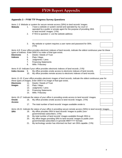## **FY08 Report Appendix**

## **Appendix 3 – FY08 TTF Progress Survey Questions**

*Items 1-3: Website or system for secure remote access (SRA) to land records' images.* 

**Website** 1. I have a website or system owned and operated by my court or operated by a public or private agent for the purpose of providing SRA to land records' images. (Y/N)

\_\_\_\_\_\_\_\_\_\_\_\_\_\_\_\_\_\_\_\_\_\_\_\_\_\_\_\_\_\_\_\_\_\_\_\_\_\_\_\_\_\_\_\_\_\_\_\_\_\_\_\_\_\_\_\_\_\_\_\_\_\_\_\_\_\_\_\_\_\_\_

- 2. If YES to question 1: List the website address:
- 3. My website or system requires a user name and password for SRA. (Y/N)

*Items 4-8: If your office provides electronic indexes of land records, indicate the oldest continuous year for these types of indexes. Enter 0000 if no index of that type exists.* 

- **Electronic** 4. Deeds / Deeds of Trust
- **Indexes** 5. Plats / Maps
	- 6. Judgments / Liens
	- 7. Financing Statements
	- 8. Wills / Fiduciary

*Items 9-10: Indicate if your office provides electronic indexes of land records. (Y/N)* 

- **Index Access** 9. My office provides onsite access to electronic indexes of land records.
	- 10. My office provides remote access to electronic indexes of land records.

*Items 11-15: If your office provides electronic images of land records, indicate the oldest continuous these types of images. Enter 0000 if no image of that type exists.* 

- **Electronic** 11. Deeds / Deeds of Trust
- **Images 12.** Plats / Maps
	- 13. Judgments / Liens
	- 14. Financing Statements
	- 15. Wills / Fiduciary

*Items 16-17: Indicate the status of your office in providing onsite access to land records' images.* 

- **Onsite Access**  16. My office provides onsite access to land records' images. (Y/N)
	- 17. The total number of land records' images available onsite is:

*Items 18-21: Indicate the status of your office in providing secure remote access (SRA) to land records*.

- **SRA** 18. My office provides SRA to land records' images to public (nongovernmental) subscribers. (Y/N)
	- 19. My total number of land records' images available through SRA is:
	- 20. My office began providing SRA to land records' images to public (nongovernmental) subscribers in (provide MM/YYYY format):
	- 21. My technology vendor has informed me that I am SRA capable. (Y/N)

| year for |
|----------|
|          |
|          |
|          |

| rds' images. |  |  |  |  |  |
|--------------|--|--|--|--|--|
|              |  |  |  |  |  |
|              |  |  |  |  |  |
|              |  |  |  |  |  |
|              |  |  |  |  |  |
|              |  |  |  |  |  |
|              |  |  |  |  |  |
|              |  |  |  |  |  |



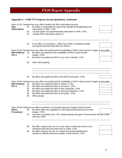# **FY08 Report Appendix**

## **Appendix 3 – FY08 TTF Progress Survey Questions, continued**

| <b>SRA</b><br><b>Subscription</b> | 22.<br>23.<br>24. | Items 22-25: Indicate how your office handles the SRA subscription process.<br>My office is responsible for approving / disapproving applications for<br>subscription to SRA. (Y/N)<br>I accept public (non-governmental) subscribers to SRA. (Y/N)<br>I charge SRA subscription fee(s) of: |
|-----------------------------------|-------------------|---------------------------------------------------------------------------------------------------------------------------------------------------------------------------------------------------------------------------------------------------------------------------------------------|
|                                   | 25.               | In my office, as of August 1, 2008, the number of registered public<br>(non-governmental) subscribers for SRA is:                                                                                                                                                                           |
| <b>SRA Publicity</b>              | 26.               | Items 26-29: Indicate how your office has publicized the availability of SRA to land records' images to the public.<br>My office has publicized the availability of SRA to land records'                                                                                                    |
| Part 1                            |                   | images. (Y/N)                                                                                                                                                                                                                                                                               |
|                                   | 27.               | My office has publicized SRA on my court's website. (Y/N)                                                                                                                                                                                                                                   |
|                                   | 28.               | Other SRA publicity:                                                                                                                                                                                                                                                                        |
|                                   | 29.               | My office has publicized SRA to the BAR Association. (Y/N)                                                                                                                                                                                                                                  |
|                                   |                   |                                                                                                                                                                                                                                                                                             |
|                                   |                   | Items 30-35: Indicate how your office has publicized the availability of SRA to land records' images to the public.                                                                                                                                                                         |
| <b>SRA Publicity</b>              | 30.               | My office has publicized SRA to realtors. (Y/N)                                                                                                                                                                                                                                             |
| Part 2                            | 31.               | My office has publicized SRA to surveyors. (Y/N)                                                                                                                                                                                                                                            |
|                                   | 32.               | My office has publicized SRA to title companies. (Y/N)                                                                                                                                                                                                                                      |
|                                   | 33.               | My office has publicized SRA to financial institutions. (Y/N)                                                                                                                                                                                                                               |
|                                   | 34.               | My office has publicized SRA to the public. (Y/N)                                                                                                                                                                                                                                           |
|                                   | 35.               | Other groups:                                                                                                                                                                                                                                                                               |
|                                   |                   |                                                                                                                                                                                                                                                                                             |
|                                   |                   | Items 36-39: Indicate your office procedures in providing electronic images of land records.                                                                                                                                                                                                |
| <b>Office</b>                     | 36.               | My office offers the capability to e-file (electronically file) land records'                                                                                                                                                                                                               |
| <b>Procedures</b>                 |                   | images. (Y/N)                                                                                                                                                                                                                                                                               |
|                                   | 37.               | If answer to question 36 is YES, please identify the types of land records that are e-filed<br>with your office.                                                                                                                                                                            |

38. My office requires the use of a cover sheet in electronic format to be submitted with each document that is e-filed. (Y/N)

 $\overline{\phantom{a}}$  ,  $\overline{\phantom{a}}$  ,  $\overline{\phantom{a}}$  ,  $\overline{\phantom{a}}$  ,  $\overline{\phantom{a}}$  ,  $\overline{\phantom{a}}$  ,  $\overline{\phantom{a}}$  ,  $\overline{\phantom{a}}$  ,  $\overline{\phantom{a}}$  ,  $\overline{\phantom{a}}$  ,  $\overline{\phantom{a}}$  ,  $\overline{\phantom{a}}$  ,  $\overline{\phantom{a}}$  ,  $\overline{\phantom{a}}$  ,  $\overline{\phantom{a}}$  ,  $\overline{\phantom{a}}$ 

 39. My office requires the use of a unique PIN (parcel identification number) to identify electronic images of land records. (Y/N)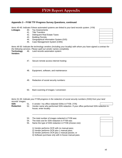## **FY08 Report Appendix**

### **Appendix 3 – FY08 TTF Progress Survey Questions, continued**

*Items 40-45: Indicate if these automated systems are linked to your land records system. (Y/N)* 

- **Linkages** 40. Tax Assessments
	- 41. Title Transfers
	- 42. Delinquent Real Estate Taxes
	- 43. Building Permits
	- 44. Geographical Information System (GIS)
	- 45. Case Management System (CMS)

*Items 46-50: Indicate the technology vendors (including your locality) with whom you have signed a contract for the following services. Please spell out vendor names completely.*  **Technology**  46. Land records automation system:

\_\_\_\_\_\_\_\_\_\_\_\_\_\_\_\_\_\_\_\_\_\_\_\_\_\_\_\_\_\_\_\_\_\_\_\_\_\_\_\_\_\_\_\_\_\_\_\_\_\_\_\_\_\_\_\_\_\_\_\_\_\_\_\_\_\_\_\_\_\_\_

 $\overline{\phantom{a}}$  , and the set of the set of the set of the set of the set of the set of the set of the set of the set of the set of the set of the set of the set of the set of the set of the set of the set of the set of the s

\_\_\_\_\_\_\_\_\_\_\_\_\_\_\_\_\_\_\_\_\_\_\_\_\_\_\_\_\_\_\_\_\_\_\_\_\_\_\_\_\_\_\_\_\_\_\_\_\_\_\_\_\_\_\_\_\_\_\_\_\_\_\_\_\_\_\_\_\_\_\_

\_\_\_\_\_\_\_\_\_\_\_\_\_\_\_\_\_\_\_\_\_\_\_\_\_\_\_\_\_\_\_\_\_\_\_\_\_\_\_\_\_\_\_\_\_\_\_\_\_\_\_\_\_\_\_\_\_\_\_\_\_\_\_\_\_\_\_\_\_\_\_

 $\overline{\phantom{a}}$  , and the set of the set of the set of the set of the set of the set of the set of the set of the set of the set of the set of the set of the set of the set of the set of the set of the set of the set of the s

\_\_\_\_\_\_\_\_\_\_\_\_\_\_\_\_\_\_\_\_\_\_\_\_\_\_\_\_\_\_\_\_\_\_\_\_\_\_\_\_\_\_\_\_\_\_\_\_\_\_\_\_\_\_\_\_\_\_\_\_\_\_\_\_\_\_\_\_\_\_

**Vendors** 

- 47. Secure remote access internet hosting:
- 48. Equipment, software, and maintenance:
- 49. Redaction of social security numbers:
- 50. Back scanning of images / conversion:

*Items 51-55: Indicate your FY08 progress in the redaction of social security numbers (SSN) from your land records' images.* 

**SSN** 51. A vendor / my office redacted SSNs in FY08. (Y/N)

**Redaction** 52. Vendor name who performed SSN redaction. If your office performed SSN redaction inhouse, enter locality:

- 53. The total number of images redacted in FY08 was:
- 54. The total cost for SSN redaction in FY08 was:
- 55. Name the type of SSN redaction in FY08 (choose one):
	- 1) Vendor performs OCR with no manual pass;
	- 2) Vendor performs OCR plus 1 manual pass;
	- 3) Vendor performs OCR plus 2 manual passes; or
	- 4) Software purchase only with in-house manual pass.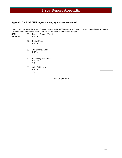# **FY08 Report Appendix**

#### **Appendix 3 – FY08 TTF Progress Survey Questions, continued**

*Items 56-60: Indicate the span of years for your redacted land records' images. List month and year (Example: For May 2000, Enter 050. Enter 0000 for no redacted land records' images.* 

| <b>SSN</b><br><b>Redaction</b> | 56. | Deeds / Deeds of Trust<br>FROM:<br>TO:      |  |
|--------------------------------|-----|---------------------------------------------|--|
|                                | 57. | Plats / Maps<br>FROM:<br>TO:                |  |
|                                | 58. | Judgments / Liens<br>FROM:<br>TO:           |  |
|                                | 59. | <b>Financing Statements</b><br>FROM:<br>TO: |  |
|                                | 60. | Wills / Fiduciary<br>FROM:<br>TO:           |  |

**END OF SURVEY**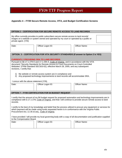# **Appendix 4 – FY09 Secure Remote Access, VITA, and Budget Certification Screens**

|                                                                                                                                                                                                                                                                                                         |  | <b>OPTION 2 - CERTIFICATION FOR SECURE REMOTE ACCESS TO LAND RECORDS</b>                                                                     |  |                      |  |  |  |
|---------------------------------------------------------------------------------------------------------------------------------------------------------------------------------------------------------------------------------------------------------------------------------------------------------|--|----------------------------------------------------------------------------------------------------------------------------------------------|--|----------------------|--|--|--|
| My office currently provides to public subscribers secure remote access to land records'<br>images on a website or system owned and operated by my court or operated by a public or<br>private agent. (Y/N)                                                                                             |  |                                                                                                                                              |  |                      |  |  |  |
| Date:                                                                                                                                                                                                                                                                                                   |  | Officer Logon ID:                                                                                                                            |  | <b>Officer Name:</b> |  |  |  |
| <b>OPTION 3- CERTIFICATION FOR VITA SECURITY STANDARDS (If answer to Option 2 is YES)</b><br><b>CURRENTLY PROVIDING SRA TO LAND RECORDS.</b>                                                                                                                                                            |  |                                                                                                                                              |  |                      |  |  |  |
| Pursuant to §§ 17.1-279 D and 17.1-294 A, Code of Virginia, and in accordance with the VITA<br>document "Security Standards for Remote Access to Court Documents on Court-Controlled<br>Websites" (ITRM Standard SEC503-02), effective March 28, 2005, and any subsequent<br>revisions, I certify that: |  |                                                                                                                                              |  |                      |  |  |  |
| I concur with the above statement (Y/N).                                                                                                                                                                                                                                                                |  | 1) My website or remote access system are in compliance and<br>2) Any proposed technology improvements to land records will accommodate SRA. |  |                      |  |  |  |
| Date:                                                                                                                                                                                                                                                                                                   |  | Officer Logon ID:                                                                                                                            |  | Officer Name:        |  |  |  |
|                                                                                                                                                                                                                                                                                                         |  |                                                                                                                                              |  |                      |  |  |  |
|                                                                                                                                                                                                                                                                                                         |  | <b>OPTION 7 - FY09 CERTIFICATION FOR \$4 BUDGET REQUEST</b>                                                                                  |  |                      |  |  |  |
| I certify that the amount of my \$4 budget request for proposed automation and technology improvements are in<br>compliance with § 17.1-279, Code of Virginia, and that I will continue to provide secure remote access to land<br>records.                                                             |  |                                                                                                                                              |  |                      |  |  |  |
| I certify to the best of my knowledge and belief that the process utilized to procure any equipment or services for<br>which payment will be made using funds requested herein is in conformance with the Virginia Public<br>Procurement Act, 11-35 et.seq., Code of Virginia.                          |  |                                                                                                                                              |  |                      |  |  |  |
| I have provided / will provide my local governing body with a copy of all documentation and justification supplied<br>to the Compensation Board.                                                                                                                                                        |  |                                                                                                                                              |  |                      |  |  |  |
| Date:                                                                                                                                                                                                                                                                                                   |  | Officer Logon ID:                                                                                                                            |  | Officer Name:        |  |  |  |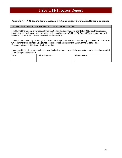#### **Appendix 4 – FY09 Secure Remote Access, VITA, and Budget Certification Screens, continued**

#### **OPTION 10 – FY09 CERTIFICATION FOR \$1 FUND BUDGET REQUEST**

I certify that the amount of my request from the \$1 Fund is based upon a shortfall of \$4 funds, that proposed automation and technology improvements are in compliance with § 17.1-279, Code of Virginia, and that I will continue to provide secure remote access to land records.

I certify to the best of my knowledge and belief that the process utilized to procure any equipment or services for which payment will be made using funds requested herein is in conformance with the Virginia Public Procurement Act, 11-35 et.seq., Code of Virginia.

I have provided / will provide my local governing body with a copy of all documentation and justification supplied to the Compensation Board.

| Date: | Officer Logon ID: | Officer Name: |
|-------|-------------------|---------------|
|       |                   |               |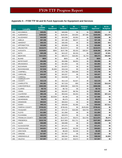| <b>FIPS</b> | <b>Locality</b>                      | \$4<br><b>Available</b><br><b>Balance</b> | \$4<br><b>Equipment</b> | \$4<br><b>Services</b> | \$4<br><b>Redaction</b> | <b>Purpose</b><br><b>Code F</b> | \$4<br><b>Approved</b> | \$4 Un-<br><b>Budgeted</b> |
|-------------|--------------------------------------|-------------------------------------------|-------------------------|------------------------|-------------------------|---------------------------------|------------------------|----------------------------|
| 001         | <b>ACCOMACK</b>                      | \$49,091                                  | \$0                     | \$49,084               | \$0                     | \$0                             | \$49,084               | \$7                        |
| 003         | ALBEMARLE                            | \$196,920                                 | \$0                     | \$165,845              | \$44,859                | \$47,896                        | \$165,845              | \$31,075                   |
| 005         | <b>ALLEGHANY</b>                     | \$24,508                                  | \$0                     | \$24,508               | \$2,953                 | \$0                             | \$24,508               | \$0                        |
| 007         | <b>AMELIA</b>                        | \$37,196                                  | \$0                     | \$37,196               | \$6,977                 | \$0                             | \$37,196               | \$0                        |
| 009         | <b>AMHERST</b>                       | \$36,433                                  | \$0                     | \$36,400               | \$0                     | \$0                             | \$36,400               | \$33                       |
| 011         | <b>APPOMATTOX</b>                    | \$23,806                                  | \$0                     | \$23,806               | \$0                     | \$0                             | \$23,806               | \$0                        |
| 013         | <b>ARLINGTON</b>                     | \$110,574                                 | \$0                     | \$110,574              | \$0                     | \$0                             | \$110,574              | \$0                        |
| 015         | <b>AUGUSTA</b>                       | \$129,653                                 | \$560                   | \$107,798              | \$5,433                 | \$36,507                        | \$108,358              | \$21,295                   |
| 017         | <b>BATH</b>                          | \$20,198                                  | \$0                     | \$13,137               | \$2,153                 | \$0                             | \$13,137               | \$7,061                    |
| 019         | <b>BEDFORD</b>                       | \$121,933                                 | \$0                     | \$66,373               | \$18,482                | \$1,703                         | \$66,373               | \$55,560                   |
| 021         | <b>BLAND</b>                         | \$820                                     | \$0                     | \$820                  | \$0                     | \$0                             | \$820                  | \$0                        |
| 023         | <b>BOTETOURT</b>                     | \$54,996                                  | \$0                     | \$54,996               | \$4,053                 | \$0                             | \$54,996               | \$0                        |
| 025         | <b>BRUNSWICK</b>                     | \$21,963                                  | \$0                     | \$21,963               | \$0                     | \$0                             | \$21,963               | \$0                        |
| 027         | <b>BUCHANAN</b>                      | \$14,872                                  | \$0                     | \$14,872               | \$0                     | \$0                             | \$14,872               | \$0                        |
| 029         | <b>BUCKINGHAM</b>                    | \$17,818                                  | \$1,600                 | \$16,218               | \$0                     | \$0                             | \$17,818               | \$0                        |
| 031         | <b>CAMPBELL</b>                      | \$72,799                                  | \$0                     | \$72,799               | \$40,408                | \$0                             | \$72,799               | \$0                        |
| 033         | CAROLINE                             | \$24,327                                  | \$0                     | \$24,327               | \$0                     | \$0                             | \$24,327               | \$0                        |
| 035         | CARROLL                              | \$18,598                                  | \$0                     | \$18,598               | \$0                     | \$0                             | \$18,598               | \$0                        |
| 036         | <b>CHARLES CITY</b><br><b>COUNTY</b> | \$12.119                                  | \$0                     | \$12,119               | \$1,627                 | \$0                             | \$12,119               | \$0                        |
| 037         | <b>CHARLOTTE</b>                     | \$31,361                                  | \$0                     | \$17,219               | \$59                    | \$0                             | \$17,219               | \$14,142                   |
| 041         | <b>CHESTERFIELD</b>                  | \$369,598                                 | \$0                     | \$369,598              | \$19,705                | \$0                             | \$369,598              | \$0                        |
| 043         | <b>CLARKE</b>                        | \$8,732                                   | \$0                     | \$8,732                | \$0                     | \$0                             | \$8,732                | \$0                        |
| 045         | <b>CRAIG</b>                         | \$16,407                                  | \$0                     | \$16,407               | \$6,784                 | \$0                             | \$16,407               | \$0                        |
| 047         | <b>CULPEPER</b>                      | \$80,159                                  | \$0                     | \$53,044               | \$4,453                 | \$0                             | \$50,581               | \$27,115                   |
| 049         | <b>CUMBERLAND</b>                    | \$17,666                                  | \$13,500                | \$4,166                | \$0                     | \$0                             | \$17,666               | \$0                        |
| 051         | <b>DICKENSON</b>                     | \$5,273                                   | \$0                     | \$5,273                | \$0                     | \$0                             | \$5,273                | \$0                        |
| 053         | <b>DINWIDDIE</b>                     | \$50,824                                  | \$0                     | \$50,824               | \$0                     | \$0                             | \$50,824               | \$0                        |
| 057         | <b>ESSEX</b>                         | \$48,141                                  | \$0                     | \$30,630               | \$1,490                 | \$0                             | \$30,630               | \$17,511                   |
| 059         | <b>FAIRFAX COUNTY</b>                | \$739,431                                 | \$0                     | \$739,431              | \$0                     | \$125,000                       | \$739,431              | \$0                        |
| 061         | <b>FAUQUIER</b>                      | \$74,737                                  | \$0                     | \$74,737               | \$18,306                | \$18,703                        | \$74,737               | \$0                        |
| 063         | <b>FLOYD</b>                         | \$11,984                                  | \$0                     | \$11,984               | \$0                     | \$0                             | \$11,984               | \$0                        |
| 065         | <b>FLUVANNA</b>                      | \$20,570                                  | \$0                     | \$20,570               | \$0                     | \$0                             | \$20,570               | \$0                        |
| 067         | <b>FRANKLIN COUNTY</b>               | \$117,348                                 | \$0                     | \$111,874              | \$5,673                 | \$14,765                        | \$111,874              | \$5,474                    |
| 069         | <b>FREDERICK</b>                     | \$133,742                                 | \$0                     | \$107,903              | \$11,711                | \$0                             | \$107,903              | \$25,839                   |
| 071         | <b>GILES</b>                         | \$58,989                                  | \$0                     | \$58,989               | \$0                     | \$0                             | \$58,989               | \$0                        |
| 073         | <b>GLOUCESTER</b>                    | \$71,471                                  | \$0                     | \$71,471               | \$0                     | \$0                             | \$71,471               | \$0                        |
| 075         | <b>GOOCHLAND</b>                     | \$44,821                                  | \$0                     | \$44,821               | \$2,230                 | \$0                             | \$44,821               | \$0                        |
| 077         | <b>GRAYSON</b>                       | \$8,429                                   | \$0                     | \$8,429                | \$1,538                 | \$0                             | \$8,429                | \$0                        |
| 079         | GREENE                               | \$17,957                                  | \$0                     | \$17,957               | \$0                     | \$0                             | \$17,957               | \$0                        |
| 081         | <b>GREENSVILLE</b>                   | \$39,999                                  | \$0                     | \$38,344               | \$5,562                 | \$0                             | \$38,344               | \$1,655                    |
| 083         | <b>HALIFAX</b>                       | \$17,057                                  | \$0                     | \$17,057               | \$3,673                 | \$0                             | \$17,057               | \$0                        |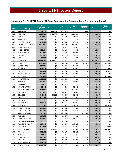| <b>FIPS</b> | <b>Locality</b>          | \$4<br><b>Available</b><br><b>Balance</b> | \$4<br><b>Equipment</b> | \$4<br><b>Services</b> | \$4<br><b>Redaction</b> | <b>Purpose</b><br><b>Code F</b> | \$4<br><b>Approved</b> | $$4$ Un-<br><b>Budgeted</b> |
|-------------|--------------------------|-------------------------------------------|-------------------------|------------------------|-------------------------|---------------------------------|------------------------|-----------------------------|
| 085         | <b>HANOVER</b>           | \$221,773                                 | \$39,563                | \$182,210              | \$100,823               | \$900                           | \$221,773              | \$0                         |
| 087         | <b>HENRICO</b>           | \$800,131                                 | \$440,206               | \$359,925              | \$201,268               | \$0                             | \$800,131              | \$0                         |
| 089         | <b>HENRY</b>             | \$74,096                                  | \$0                     | \$74,096               | \$4,036                 | \$0                             | \$74,096               | \$0                         |
| 091         | <b>HIGHLAND</b>          | \$31,176                                  | \$0                     | \$31,176               | \$225                   | \$0                             | \$31,176               | \$0                         |
| 093         | <b>ISLE OF WIGHT</b>     | \$46,083                                  | \$0                     | \$46,083               | \$3,112                 | \$0                             | \$46,083               | \$0                         |
| 095         | <b>JAMES CITY COUNTY</b> | \$283.993                                 | \$0                     | \$283,993              | \$88,992                | \$0                             | \$283,993              | \$0                         |
| 097         | KING AND QUEEN           | \$3,311                                   | \$0                     | \$3,311                | \$1.543                 | \$0                             | \$3,311                | \$0                         |
| 099         | KING GEORGE              | \$25,184                                  | \$0                     | \$25,184               | \$0                     | \$0                             | \$25,184               | \$0                         |
| 101         | <b>KING WILLIAM</b>      | \$29,581                                  | \$0                     | \$29,581               | \$1,654                 | \$0                             | \$29,581               | \$0                         |
| 103         | LANCASTER                | \$10,225                                  | \$0                     | \$10,225               | \$1,356                 | \$0                             | \$10,225               | \$0                         |
| 105         | LEE                      | \$7,511                                   | \$0                     | \$7,511                | \$0                     | \$0                             | \$7,511                | \$0                         |
| 107         | <b>LOUDOUN</b>           | \$1,851,341                               | \$426,500               | \$1,422,913            | \$114,072               | \$320,172                       | \$1,849,413            | \$1,928                     |
| 109         | <b>LOUISA</b>            | \$100,546                                 | \$0                     | \$82,154               | \$0                     | \$51,914                        | \$82,154               | \$18,392                    |
| 111         | <b>LUNENBURG</b>         | \$14,554                                  | \$0                     | \$14,554               | \$4,205                 | \$0                             | \$14,554               | \$0                         |
| 113         | <b>MADISON</b>           | \$15,878                                  | \$0                     | \$15,821               | \$2,562                 | \$0                             | \$15,821               | \$57                        |
| 115         | <b>MATHEWS</b>           | \$20,877                                  | \$0                     | \$12,760               | \$0                     | \$0                             | \$12,760               | \$8,117                     |
| 117         | <b>MECKLENBURG</b>       | \$29,698                                  | \$0                     | \$29,698               | \$2,902                 | \$2,550                         | \$29,698               | \$0                         |
| 119         | <b>MIDDLESEX</b>         | \$35,007                                  | \$0                     | \$13,111               | \$3,471                 | \$0                             | \$13,111               | \$21,896                    |
| 121         | <b>MONTGOMERY</b>        | \$122,502                                 | \$0                     | \$122,502              | \$0                     | \$0                             | \$122,502              | \$0                         |
| 125         | <b>NELSON</b>            | \$13,948                                  | \$0                     | \$13,948               | \$1.980                 | \$0                             | \$13,948               | \$0                         |
| 127         | <b>NEW KENT</b>          | \$14,818                                  | \$0                     | \$14,818               | \$0                     | \$0                             | \$14,818               | \$0                         |
| 131         | <b>NORTHAMPTON</b>       | \$9,443                                   | \$0                     | \$9,443                | \$1,542                 | \$0                             | \$9,443                | \$0                         |
| 133         | NORTHUMBERLAND           | \$65,901                                  | \$0                     | \$60,218               | \$10,509                | \$0                             | \$60,218               | \$5,683                     |
| 135         | <b>NOTTOWAY</b>          | \$33,479                                  | \$0                     | \$33,479               | \$7,600                 | \$0                             | \$33,479               | \$0                         |
| 137         | ORANGE                   | \$40,847                                  | \$3,250                 | \$37,597               | \$2,103                 | \$0                             | \$40,847               | \$0                         |
| 139         | <b>PAGE</b>              | \$20,384                                  | \$0                     | \$20,384               | \$0                     | \$0                             | \$20,384               | \$0                         |
| 141         | <b>PATRICK</b>           | \$8,193                                   | \$0                     | \$8,193                | \$0                     | \$0                             | \$8,193                | \$0                         |
| 143         | PITTSYLVANIA             | \$35,143                                  | \$0                     | \$35,143               | \$8,794                 | \$0                             | \$35,143               | \$0                         |
| 145         | <b>POWHATAN</b>          | \$104,257                                 | \$0                     | \$48,418               | \$18,818                | \$0                             | \$48,418               | \$55,839                    |
| 147         | PRINCE EDWARD            | \$12,684                                  | \$0                     | \$12,684               | \$0                     | \$0                             | \$12,684               | \$0                         |
| 149         | PRINCE GEORGE            | \$68,706                                  | \$0                     | \$68,706               | \$2,975                 | \$0                             | \$68,706               | \$0                         |
| 153         | PRINCE WILLIAM           | \$370,296                                 | \$0                     | \$370,296              | \$0                     | \$183,893                       | \$370,296              | \$0                         |
| 155         | <b>PULASKI</b>           | \$17,272                                  | \$0                     | \$17,272               | \$0                     | \$0                             | \$17,272               | \$0                         |
| 157         | <b>RAPPAHANNOCK</b>      | \$16,860                                  | \$0                     | \$16,860               | \$4,527                 | \$0                             | \$16,860               | \$0                         |
| 159         | RICHMOND COUNTY          | \$13,530                                  | \$0                     | \$13,530               | \$0                     | \$0                             | \$13,530               | \$0                         |
| 161         | ROANOKE COUNTY           | \$67,646                                  | \$0                     | \$67,646               | \$10,025                | \$0                             | \$67,646               | \$0                         |
| 163         | <b>ROCKBRIDGE</b>        | \$22,004                                  | \$0                     | \$21,562               | \$2,380                 | \$0                             | \$21,562               | \$442                       |
| 165         | <b>ROCKINGHAM</b>        | \$657,176                                 | \$23,942                | \$172,827              | \$86,902                | \$15,809                        | \$196,769              | \$460,407                   |
| 167         | <b>RUSSELL</b>           | \$12,179                                  | \$0                     | \$12,179               | \$1,320                 | \$0                             | \$12,179               | \$0                         |
| 169         | <b>SCOTT</b>             | \$5,571                                   | \$0                     | \$5,571                | \$0                     | \$0                             | \$5,571                | \$0                         |
| 171         | SHENANDOAH               | \$48,741                                  | \$0                     | \$48,741               | \$5,996                 | \$0                             | \$48,741               | \$0                         |
| 173         | <b>SMYTH</b>             | \$24,382                                  | \$0                     | \$24,382               | \$6,189                 | \$0                             | \$24,382               | \$0                         |
| 175         | SOUTHAMPTON              | \$13,126                                  | \$0                     | \$13,126               | \$34                    | \$0                             | \$13,126               | \$0                         |
| 177         | <b>SPOTSYLVANIA</b>      | \$112,777                                 | \$0                     | \$112,777              | \$0                     | \$14,100                        | \$112,777              | \$0                         |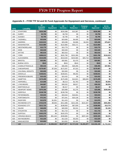| <b>FIPS</b> | <b>Locality</b>         | \$4<br><b>Available</b><br><b>Balance</b> | \$4<br><b>Equipment</b> | \$4<br><b>Services</b> | \$4<br><b>Redaction</b> | <b>Purpose</b><br><b>Code F</b> | \$4<br><b>Approved</b> | \$4 Un-<br><b>Budgeted</b> |
|-------------|-------------------------|-------------------------------------------|-------------------------|------------------------|-------------------------|---------------------------------|------------------------|----------------------------|
| 179         | <b>STAFFORD</b>         | \$226.388                                 | \$0                     | \$226,388              | \$13,387                | \$0                             | \$226,388              | \$0                        |
| 181         | <b>SURRY</b>            | \$3,759                                   | \$0                     | \$3,759                | \$0                     | \$0                             | \$3,759                | \$0                        |
| 183         | <b>SUSSEX</b>           | \$2,795                                   | \$0                     | \$2,795                | \$0                     | \$0                             | \$2,795                | \$0                        |
| 185         | <b>TAZEWELL</b>         | \$23,836                                  | \$0                     | \$23,836               | \$4,405                 | \$0                             | \$23,836               | \$0                        |
| 187         | <b>WARREN</b>           | \$104,915                                 | \$0                     | \$29,288               | \$4,688                 | \$4,000                         | \$29,288               | \$75,627                   |
| 191         | <b>WASHINGTON</b>       | \$122,880                                 | \$0                     | \$122,880              | \$32,171                | \$0                             | \$122,880              | \$0                        |
| 193         | WESTMORELAND            | \$15,779                                  | \$0                     | \$15,779               | \$0                     | \$0                             | \$15,779               | \$0                        |
| 195         | <b>WISE</b>             | \$32,028                                  | \$0                     | \$32,028               | \$0                     | \$0                             | \$32,028               | \$0                        |
| 197         | <b>WYTHE</b>            | \$62,616                                  | \$0                     | \$62,616               | \$0                     | \$0                             | \$62,616               | \$0                        |
| 199         | <b>YORK</b>             | \$298,013                                 | \$0                     | \$181,790              | \$101,390               | \$0                             | \$181,790              | \$116,223                  |
| 510         | ALEXANDRIA              | \$319,058                                 | \$0                     | \$319,040              | \$244,580               | \$25,718                        | \$319,040              | \$18                       |
| 520         | <b>BRISTOL</b>          | \$20,981                                  | \$0                     | \$20,981               | \$1,470                 | \$0                             | \$20,981               | \$0                        |
| 530         | <b>BUENA VISTA</b>      | \$543                                     | \$0                     | \$543                  | \$543                   | \$0                             | \$543                  | \$0                        |
| 540         | <b>CHARLOTTESVILLE</b>  | \$94,316                                  | \$0                     | \$46,355               | \$26,295                | \$0                             | \$46,355               | \$47,961                   |
| 550         | <b>CHESAPEAKE</b>       | \$179,467                                 | \$7,200                 | \$172,267              | \$7,315                 | \$0                             | \$179,467              | \$0                        |
| 570         | <b>COLONIAL HEIGHTS</b> | \$32,600                                  | \$0                     | \$32,600               | \$0                     | \$0                             | \$32,600               | \$0                        |
| 590         | <b>DANVILLE</b>         | \$158,641                                 | \$0                     | \$158,641              | \$9,202                 | \$0                             | \$158,641              | \$0                        |
| 630         | <b>FREDERICKSBURG</b>   | \$10,432                                  | \$0                     | \$10,432               | \$0                     | \$0                             | \$10,432               | \$0                        |
| 650         | <b>HAMPTON</b>          | \$170,499                                 | \$0                     | \$170,499              | \$14,621                | \$39,400                        | \$170,499              | \$0                        |
| 670         | <b>HOPEWELL</b>         | \$14.068                                  | \$0                     | \$8,213                | \$1,763                 | \$0                             | \$8,213                | \$5.855                    |
| 680         | <b>LYNCHBURG</b>        | \$44,887                                  | \$0                     | \$36,532               | \$6,817                 | \$0                             | \$36,532               | \$8,355                    |
| 690         | <b>MARTINSVILLE</b>     | \$6,317                                   | \$0                     | \$6,317                | \$0                     | \$0                             | \$6,317                | \$0                        |
| 700         | <b>NEWPORT NEWS</b>     | \$375,306                                 | \$0                     | \$25,898               | \$1,276                 | \$0                             | \$25,898               | \$349,408                  |
| 710         | <b>NORFOLK</b>          | \$138,708                                 | \$0                     | \$138,708              | \$0                     | \$0                             | \$138,708              | \$0                        |
| 730         | <b>PETERSBURG</b>       | \$34,044                                  | \$0                     | \$34,044               | \$16,931                | \$0                             | \$34,044               | \$0                        |
| 740         | <b>PORTSMOUTH</b>       | \$72,341                                  | \$0                     | \$72,341               | \$23,138                | \$0                             | \$72,341               | \$0                        |
| 750         | <b>RADFORD</b>          | \$12,976                                  | \$1,561                 | \$11,415               | \$0                     | \$0                             | \$12,976               | \$0                        |
| 760         | RICHMOND CITY           | \$722,578                                 | \$9,000                 | \$411,686              | \$221,336               | \$101,507                       | \$420,686              | \$301,892                  |
| 770         | ROANOKE CITY            | \$212,720                                 | \$0                     | \$198,950              | \$67,939                | \$0                             | \$198,950              | \$13,770                   |
| 775         | <b>SALEM</b>            | \$46,659                                  | \$0                     | \$45,509               | \$2,241                 | \$0                             | \$45,509               | \$1,150                    |
| 790         | <b>STAUNTON</b>         | \$11,710                                  | \$0                     | \$11,710               | \$0                     | \$0                             | \$11,710               | \$0                        |
| 800         | <b>SUFFOLK</b>          | \$102,379                                 | \$0                     | \$102,379              | \$0                     | \$0                             | \$102,379              | \$0                        |
| 810         | <b>VIRGINIA BEACH</b>   | \$434,476                                 | \$91,440                | \$338,885              | \$0                     | \$287,440                       | \$430,325              | \$4,151                    |
| 820         | WAYNESBORO              | \$12,220                                  | \$0                     | \$12,220               | \$3,203                 | \$0                             | \$12,220               | \$0                        |
| 840         | <b>WINCHESTER</b>       | \$13,052                                  | \$0                     | \$13,052               | \$2,464                 | \$0                             | \$13,052               | \$0                        |
|             | 120                     | \$12,640,137                              | \$1,058,322             | \$9,877,877            | \$1,717,219             | \$1,291,977                     | \$10,936,199           | \$1,703,938                |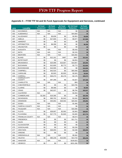| <b>FIPS</b> | <b>Locality</b>                      | \$1 Fund<br><b>Equipment</b> | \$1 Fund<br><b>Services</b> | \$1 Fund<br><b>Redaction</b> | \$4 / \$1 Fund<br><b>Redaction</b> | \$1 Fund<br><b>Approved</b> |
|-------------|--------------------------------------|------------------------------|-----------------------------|------------------------------|------------------------------------|-----------------------------|
| 001         | <b>ACCOMACK</b>                      | N/A                          | N/A                         | N/A                          | \$0                                | \$0                         |
| 003         | ALBEMARLE                            | N/A                          | N/A                         | N/A                          | \$44,859                           | \$0                         |
| 005         | ALLEGHANY                            | \$0                          | \$5,839                     | \$0                          | \$2,953                            | \$5,839                     |
| 007         | AMELIA                               | \$0                          | \$17,600                    | \$0                          | \$6,977                            | \$17,600                    |
| 009         | AMHERST                              | \$0                          | \$0                         | \$0                          | \$0                                | \$0                         |
| 011         | <b>APPOMATTOX</b>                    | \$0                          | \$6,358                     | \$0                          | \$0                                | \$6,358                     |
| 013         | <b>ARLINGTON</b>                     | \$0                          | \$0                         | \$0                          | \$0                                | \$0                         |
| 015         | <b>AUGUSTA</b>                       | N/A                          | N/A                         | N/A                          | \$5,433                            | \$0                         |
| 017         | BATH                                 | N/A                          | N/A                         | N/A                          | \$2,153                            | \$0                         |
| 019         | <b>BEDFORD</b>                       | N/A                          | N/A                         | N/A                          | \$18,482                           | \$0                         |
| 021         | <b>BLAND</b>                         | \$0                          | \$12,161                    | \$487                        | \$487                              | \$12,161                    |
| 023         | <b>BOTETOURT</b>                     | \$0                          | \$0                         | \$0                          | \$4,053                            | \$0                         |
| 025         | <b>BRUNSWICK</b>                     | \$0                          | \$25,999                    | \$16,807                     | \$16,807                           | \$25,999                    |
| 027         | <b>BUCHANAN</b>                      | \$0                          | \$12,600                    | \$2,773                      | \$2,773                            | \$12,600                    |
| 029         | <b>BUCKINGHAM</b>                    | \$0                          | \$10,595                    | \$0                          | \$0                                | \$10,595                    |
| 031         | CAMPBELL                             | \$0                          | \$42,520                    | \$0                          | \$40,408                           | \$42,520                    |
| 033         | CAROLINE                             | \$0                          | \$2,920                     | \$2,920                      | \$2,920                            | \$2,920                     |
| 035         | CARROLL                              | \$0                          | \$30,273                    | \$2,176                      | \$2,176                            | \$30,273                    |
| 036         | <b>CHARLES CITY</b><br><b>COUNTY</b> | \$0                          | \$47,268                    | \$0                          | \$1,627                            | \$47,268                    |
| 037         | <b>CHARLOTTE</b>                     | N/A                          | N/A                         | N/A                          | \$59                               | \$0                         |
| 041         | CHESTERFIELD                         | \$0                          | \$0                         | \$0                          | \$19,705                           | \$0                         |
| 043         | <b>CLARKE</b>                        | \$0                          | \$9,468                     | \$0                          | \$0                                | \$9,468                     |
| 045         | <b>CRAIG</b>                         | \$0                          | \$42,037                    | \$0                          | \$6,784                            | \$42,037                    |
| 047         | <b>CULPEPER</b>                      | N/A                          | N/A                         | N/A                          | \$4,453                            | \$0                         |
| 049         | CUMBERLAND                           | \$1,000                      | \$19,395                    | \$0                          | \$0                                | \$20,395                    |
| 051         | <b>DICKENSON</b>                     | \$0                          | \$83,702                    | \$1,042                      | \$1,042                            | \$83,702                    |
| 053         | <b>DINWIDDIE</b>                     | \$0                          | \$45,892                    | \$26,592                     | \$26,592                           | \$45,892                    |
| 057         | <b>ESSEX</b>                         | N/A                          | N/A                         | N/A                          | \$1,490                            | \$0                         |
| 059         | <b>FAIRFAX COUNTY</b>                | N/A                          | N/A                         | N/A                          | \$0                                | \$0                         |
| 061         | <b>FAUQUIER</b>                      | N/A                          | N/A                         | N/A                          | \$18,306                           | \$0                         |
| 063         | FLOYD                                | \$0                          | \$28,697                    | \$2,063                      | \$2,063                            | \$28,697                    |
| 065         | <b>FLUVANNA</b>                      | \$0                          | \$17,770                    | \$1,840                      | \$1,840                            | \$17,770                    |
| 067         | FRANKLIN COUNTY                      | N/A                          | N/A                         | N/A                          | \$5,673                            | \$0                         |
| 069         | <b>FREDERICK</b>                     | \$0                          | \$0                         | \$0                          | \$11,711                           | \$0                         |
| 071         | <b>GILES</b>                         | \$0                          | \$0                         | \$0                          | \$0                                | \$0                         |
| 073         | <b>GLOUCESTER</b>                    | \$0                          | \$0                         | \$0                          | \$0                                | \$0                         |
| 075         | <b>GOOCHLAND</b>                     | \$0                          | \$0                         | \$0                          | \$2,230                            | \$0                         |
| 077         | <b>GRAYSON</b>                       | \$0                          | \$26,055                    | \$0                          | \$1,538                            | \$26,055                    |
| 079         | <b>GREENE</b>                        | \$0                          | \$0                         | \$0                          | \$0                                | \$0                         |
| 081         | <b>GREENSVILLE</b>                   | N/A                          | N/A                         | N/A                          | \$5,562                            | \$0                         |
| 083         | HALIFAX                              | \$0                          | \$65,236                    | \$10,060                     | \$13,733                           | \$65,236                    |
| 085         | <b>HANOVER</b>                       | N/A                          | N/A                         | N/A                          | \$100,823                          | \$0                         |
| 087         | <b>HENRICO</b>                       | \$0                          | \$0                         | \$0                          | \$201,268                          | \$0                         |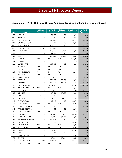| <b>FIPS</b> | <b>Locality</b>          | \$1 Fund<br><b>Equipment</b> | \$1 Fund<br><b>Services</b> | \$1 Fund<br><b>Redaction</b> | \$4 / \$1 Fund<br><b>Redaction</b> | \$1 Fund<br><b>Approved</b> |
|-------------|--------------------------|------------------------------|-----------------------------|------------------------------|------------------------------------|-----------------------------|
| 089         | <b>HENRY</b>             | \$0                          | \$3,500                     | \$0                          | \$4,036                            | \$3,500                     |
| 091         | HIGHLAND                 | \$0                          | \$0                         | \$0                          | \$225                              | \$0                         |
| 093         | <b>ISLE OF WIGHT</b>     | \$0                          | \$40,000                    | \$0                          | \$3,112                            | \$40,000                    |
| 095         | <b>JAMES CITY COUNTY</b> | \$0                          | \$0                         | \$0                          | \$88,992                           | \$0                         |
| 097         | KING AND QUEEN           | \$0                          | \$37,323                    | \$0                          | \$1,543                            | \$37,323                    |
| 099         | KING GEORGE              | \$22,000                     | \$12,500                    | \$0                          | \$0                                | \$34,500                    |
| 101         | <b>KING WILLIAM</b>      | \$0                          | \$46,645                    | \$6,191                      | \$7,845                            | \$46,645                    |
| 103         | LANCASTER                | \$0                          | \$3,709                     | \$0                          | \$1,356                            | \$3,709                     |
| 105         | LEE                      | \$0                          | \$10,329                    | \$5,872                      | \$5,872                            | \$10,329                    |
| 107         | <b>LOUDOUN</b>           | N/A                          | N/A                         | N/A                          | \$114,072                          | \$0                         |
| 109         | <b>LOUISA</b>            | \$0                          | \$0                         | \$0                          | \$0                                | \$0                         |
| 111         | <b>LUNENBURG</b>         | \$0                          | \$67,900                    | \$0                          | \$4,205                            | \$67,900                    |
| 113         | <b>MADISON</b>           | N/A                          | N/A                         | N/A                          | \$2,562                            | \$0                         |
| 115         | <b>MATHEWS</b>           | N/A                          | N/A                         | N/A                          | \$0                                | \$0                         |
| 117         | <b>MECKLENBURG</b>       | N/A                          | N/A                         | N/A                          | \$2,902                            | \$0                         |
| 119         | <b>MIDDLESEX</b>         | N/A                          | N/A                         | N/A                          | \$3,471                            | \$0                         |
| 121         | <b>MONTGOMERY</b>        | \$0                          | \$5,430                     | \$0                          | \$0                                | \$5,430                     |
| 125         | <b>NELSON</b>            | \$0                          | \$24,569                    | \$1,409                      | \$3,389                            | \$24,569                    |
| 127         | <b>NEW KENT</b>          | \$0                          | \$30,179                    | \$1,216                      | \$1,216                            | \$30,179                    |
| 131         | <b>NORTHAMPTON</b>       | \$0                          | \$111,900                   | \$0                          | \$1,542                            | \$111,900                   |
| 133         | NORTHUMBERLAND           | N/A                          | N/A                         | N/A                          | \$10,509                           | \$0                         |
| 135         | <b>NOTTOWAY</b>          | \$0                          | \$24,017                    | \$0                          | \$7,600                            | \$24,017                    |
| 137         | ORANGE                   | \$0                          | \$8,956                     | \$8,956                      | \$11,059                           | \$8,956                     |
| 139         | PAGE                     | \$4,448                      | \$0                         | \$0                          | \$0                                | \$4,448                     |
| 141         | <b>PATRICK</b>           | \$0                          | \$7,771                     | \$1,456                      | \$1,456                            | \$7,771                     |
| 143         | PITTSYLVANIA             | \$0                          | \$7,649                     | \$0                          | \$8,794                            | \$7,649                     |
| 145         | <b>POWHATAN</b>          | N/A                          | N/A                         | N/A                          | \$18,818                           | \$0                         |
| 147         | PRINCE EDWARD            | \$0                          | \$13,500                    | \$0                          | \$0                                | \$13,500                    |
| 149         | PRINCE GEORGE            | \$0                          | \$0                         | \$0                          | \$2,975                            | \$0                         |
| 153         | PRINCE WILLIAM           | N/A                          | N/A                         | N/A                          | \$0                                | \$0                         |
| 155         | <b>PULASKI</b>           | \$0                          | \$25,423                    | \$3,033                      | \$3,033                            | \$25,423                    |
| 157         | <b>RAPPAHANNOCK</b>      | \$0                          | \$8,264                     | \$1,764                      | \$6,291                            | \$8,264                     |
| 159         | RICHMOND COUNTY          | \$0                          | \$30,575                    | \$0                          | \$0                                | \$30,575                    |
| 161         | ROANOKE COUNTY           | \$0                          | \$0                         | \$0                          | \$10,025                           | \$0                         |
| 163         | <b>ROCKBRIDGE</b>        | N/A                          | N/A                         | N/A                          | \$2,380                            | \$0                         |
| 165         | <b>ROCKINGHAM</b>        | N/A                          | N/A                         | N/A                          | \$86,902                           | \$0                         |
| 167         | <b>RUSSELL</b>           | \$0                          | \$766                       | \$0                          | \$1,320                            | \$766                       |
| 169         | <b>SCOTT</b>             | \$0                          | \$0                         | \$0                          | \$0                                | \$0                         |
| 171         | SHENANDOAH               | \$0                          | \$0                         | \$0                          | \$5,996                            | \$0                         |
| 173         | <b>SMYTH</b>             | \$0                          | \$3,314                     | \$3,314                      | \$9,503                            | \$3,314                     |
| 175         | SOUTHAMPTON              | \$980                        | \$84,244                    | \$2,402                      | \$2,436                            | \$85,224                    |
| 177         | <b>SPOTSYLVANIA</b>      | N/A                          | N/A                         | N/A                          | \$0                                | \$0                         |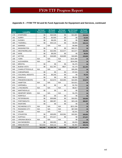| <b>FIPS</b> | <b>Locality</b>         | \$1 Fund<br><b>Equipment</b> | \$1 Fund<br><b>Services</b> | $$1$ Fund<br><b>Redaction</b> | \$4 / \$1 Fund<br><b>Redaction</b> | \$1 Fund<br><b>Approved</b> |
|-------------|-------------------------|------------------------------|-----------------------------|-------------------------------|------------------------------------|-----------------------------|
| 179         | <b>STAFFORD</b>         | \$0                          | \$34,546                    | \$0                           | \$13,387                           | \$34,546                    |
| 181         | <b>SURRY</b>            | \$0                          | \$2,500                     | \$0                           | \$0                                | \$2,500                     |
| 183         | <b>SUSSEX</b>           | \$0                          | \$9,205                     | \$0                           | \$0                                | \$9,205                     |
| 185         | <b>TAZEWELL</b>         | \$0                          | \$42,115                    | \$0                           | \$4,405                            | \$42,115                    |
| 187         | <b>WARREN</b>           | N/A                          | N/A                         | N/A                           | \$4,688                            | \$0                         |
| 191         | <b>WASHINGTON</b>       | \$0                          | \$0                         | \$0                           | \$32,171                           | \$0                         |
| 193         | WESTMORELAND            | \$0                          | \$22,056                    | \$13,577                      | \$13,577                           | \$22,056                    |
| 195         | <b>WISE</b>             | \$0                          | \$9,200                     | \$0                           | \$0                                | \$9,200                     |
| 197         | <b>WYTHE</b>            | \$0                          | \$18,685                    | \$18,685                      | \$18,685                           | \$18,685                    |
| 199         | YORK                    | N/A                          | N/A                         | N/A                           | \$101,390                          | \$0                         |
| 510         | ALEXANDRIA              | N/A                          | N/A                         | N/A                           | \$244,580                          | \$0                         |
| 520         | <b>BRISTOL</b>          | \$0                          | \$0                         | \$0                           | \$1,470                            | \$0                         |
| 530         | <b>BUENA VISTA</b>      | \$0                          | \$11,787                    | \$627                         | \$1,170                            | \$11,787                    |
| 540         | <b>CHARLOTTESVILLE</b>  | N/A                          | N/A                         | N/A                           | \$26,295                           | \$0                         |
| 550         | <b>CHESAPEAKE</b>       | \$0                          | \$0                         | \$0                           | \$7,315                            | \$0                         |
| 570         | <b>COLONIAL HEIGHTS</b> | \$0                          | \$5,245                     | \$0                           | \$0                                | \$5,245                     |
| 590         | DANVILLE                | \$0                          | \$0                         | \$0                           | \$9,202                            | \$0                         |
| 630         | <b>FREDERICKSBURG</b>   | \$0                          | \$13,673                    | \$10,065                      | \$10,065                           | \$13,673                    |
| 650         | <b>HAMPTON</b>          | N/A                          | N/A                         | N/A                           | \$14,621                           | \$0                         |
| 670         | <b>HOPEWELL</b>         | \$0                          | \$0                         | \$0                           | \$1,763                            | \$0                         |
| 680         | <b>LYNCHBURG</b>        | N/A                          | N/A                         | N/A                           | \$6,817                            | \$0                         |
| 690         | <b>MARTINSVILLE</b>     | \$0                          | \$0                         | \$0                           | \$0                                | \$0                         |
| 700         | <b>NEWPORT NEWS</b>     | N/A                          | N/A                         | N/A                           | \$1,276                            | \$0                         |
| 710         | <b>NORFOLK</b>          | \$0                          | \$0                         | \$0                           | \$0                                | \$0                         |
| 730         | PETERSBURG              | \$0                          | \$30,868                    | \$0                           | \$16,931                           | \$30,868                    |
| 740         | <b>PORTSMOUTH</b>       | \$0                          | \$66,087                    | \$0                           | \$23,138                           | \$66,087                    |
| 750         | <b>RADFORD</b>          | \$0                          | \$0                         | \$0                           | \$0                                | \$0                         |
| 760         | RICHMOND CITY           | N/A                          | N/A                         | N/A                           | \$221,336                          | \$0                         |
| 770         | ROANOKE CITY            | N/A                          | N/A                         | N/A                           | \$67,939                           | \$0                         |
| 775         | SALEM                   | N/A                          | N/A                         | N/A                           | \$2,241                            | \$0                         |
| 790         | <b>STAUNTON</b>         | \$0                          | \$35,855                    | \$10,581                      | \$10,581                           | \$35,855                    |
| 800         | <b>SUFFOLK</b>          | \$0                          | \$71,017                    | \$0                           | \$0                                | \$71,017                    |
| 810         | <b>VIRGINIA BEACH</b>   | N/A                          | N/A                         | N/A                           | \$0                                | \$0                         |
| 820         | WAYNESBORO              | \$0                          | \$50,000                    | \$0                           | \$3,203                            | \$50,000                    |
| 840         | <b>WINCHESTER</b>       | \$13,618                     | \$16,112                    | \$0                           | \$2,464                            | \$29,730                    |
|             | 120                     | \$42,046                     | \$1,599,799                 | \$155,908                     | \$1,873,127                        | \$1,641,845                 |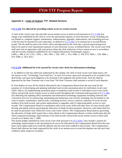### **Appendix 6 – Code of Virginia: TTF- Related Sections**

#### **§ [17.1-276](http://leg1.state.va.us/cgi-bin/legp504.exe?000+cod+17.1-276). Fee allowed for providing remote access to certain records.**

A clerk of the circuit court who provides secure remote access to land records pursuant to § [17.1-294](http://leg1.state.va.us/cgi-bin/legp524.exe?000+cod+17.1-294) may charge a fee established by the clerk to cover the operational expenses of such electronic access, including, but not limited to, computer support, maintenance, enhancements, upgrades, replacements, and consulting services. A flat fee may be assessed for each subscriber, as defined in § [17.1-295,](http://leg1.state.va.us/cgi-bin/legp524.exe?000+cod+17.1-295) in an amount not to exceed \$50 per month. The fee shall be paid to the clerk's office and deposited by the clerk into a special nonreverting local fund to be used to cover operational expenses of such electronic access, as defined herein. The circuit court clerk shall enter into an agreement with each person whom the clerk authorizes to have remote access, in accordance with the security standards established by the Virginia Information Technologies Agency. (1985, c. 489, § 14.1-118.1; 1993, c. 445; 1995, c. 592; 1997, c. 413; 1998, cc. 650, 872; 2004, c. 230; 2006, c. 474; 2008, cc. 823, 833.)

#### **§ [17.1-279](http://leg1.state.va.us/cgi-bin/legp504.exe?000+cod+17.1-279). Additional fee to be assessed by circuit court clerks for information technology.**

A. In addition to the fees otherwise authorized by this chapter, the clerk of each circuit court shall assess a \$5 fee, known as the "Technology Trust Fund Fee," in each civil action, upon each instrument to be recorded in the deed books, and upon each judgment to be docketed in the judgment lien docket book. Such fee shall be deposited by the State Treasurer into a trust fund. The State Treasurer shall maintain a record of such deposits.

B. Four dollars of every \$5 fee shall be allocated by the Compensation Board from the trust fund for the purposes of: (i) developing and updating individual land records automation plans for individual circuit court clerks' offices; (ii) implementing automation plans to modernize land records in individual circuit court clerks' offices and provide secure remote access to land records throughout the Commonwealth pursuant to § [17.1-294](http://leg1.state.va.us/cgi-bin/legp504.exe?000+cod+17.1-294); (iii) obtaining and updating office automation and information technology equipment including software and conversion services; (iv) preserving, maintaining and enhancing court records, including, but not limited to, the costs of repairs, maintenance, land records, consulting services, service contracts, redaction of social security numbers from land records, and system replacements or upgrades; and (v) improving public access to court records. The Compensation Board in consultation with circuit court clerks and other users of court records shall develop and update policies governing the allocation of funds for these purposes. However, such funds shall not be used for personnel costs within the circuit court clerks' offices. The Compensation Board policies governing the allocation of funds shall require that a clerk submit to the Compensation Board a written certification that the clerk's proposed technology improvements of his land records will provide secure remote access to those land records on or before July 1, 2008.

The annual budget submitted by each circuit court clerk pursuant to § [15.2-1636.7](http://leg1.state.va.us/cgi-bin/legp504.exe?000+cod+15.2-1636.7) may include a request for technology improvements in the upcoming fiscal year to be allocated by the Compensation Board from the trust fund. Such request shall not exceed the deposits into the trust fund credited to that locality. The Compensation Board shall allocate the funds requested by the clerks in an amount not to exceed the deposits into the trust fund credited to their respective localities.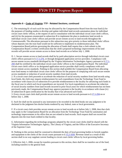### **Appendix 6 – Code of Virginia: TTF - Related Sections, continued**

C. The remaining \$1 of each such fee may be allocated by the Compensation Board from the trust fund (i) for the purposes of funding studies to develop and update individual land-records automation plans for individual circuit court clerks' offices, at the request of and in consultation with the individual circuit court clerk's offices, and (ii) for the purposes enumerated in subsection B to implement the plan to modernize land records in individual circuit court clerks' offices and provide secure remote access to land records throughout the Commonwealth. The allocations pursuant to this subsection may give priority to those individual clerks' offices whose deposits into the trust fund would not be sufficient to implement its modernization plan. The Compensation Board policies governing the allocation of funds shall require that a clerk submit to the Compensation Board a written certification that the clerk's proposed technology improvements of his land records will provide secure remote access to those land records on or before July 1, 2008.

D. 1. Secure remote access to land records shall be by paid subscription service through individual circuit court clerk's offices pursuant to § [17.1-276,](http://leg1.state.va.us/cgi-bin/legp504.exe?000+cod+17.1-276) or through designated application service providers. Compliance with secure remote access standards developed by the Virginia Information Technologies Agency pursuant to § [17.1-](http://leg1.state.va.us/cgi-bin/legp504.exe?000+cod+17.1-294) [294](http://leg1.state.va.us/cgi-bin/legp504.exe?000+cod+17.1-294) shall be certified by the individual circuit court clerks' offices to the Compensation Board. The individual circuit court clerk's office or its designated application service provider shall certify compliance with such secure remote access standards. Nothing in this section shall prohibit the Compensation Board from allocating trust fund money to individual circuit court clerks' offices for the purpose of complying with such secure remote access standards or redaction of social security numbers from land records.

2. If a circuit court clerk proceeds to accelerate the redaction of social security numbers from land records using local funds, the clerk may request reimbursement for such expenditures from the Technology Trust Fund in accordance with clause (iv) of subsection B to provide reimbursement to the locality for advancing such funds in the fiscal year in which such local expenditures are incurred. For local expenditures to accelerate the redaction of social security numbers from land records incurred in prior fiscal years for which reimbursement has not been previously made, the Compensation Board may approve payment to the locality in accordance with clause (iv) of subsection B upon certification by the locality that it has advanced such funds.

3. Every circuit court clerk shall provide secure remote access to land records pursuant to § [17.1-294](http://leg1.state.va.us/cgi-bin/legp504.exe?000+cod+17.1-294) on or before July 1, 2008.

E. Such fee shall not be assessed to any instrument to be recorded in the deed books nor any judgment to be docketed in the judgment lien docket books tendered by any federal, state or local government.

F. If a circuit court clerk provides secure remote access to land records on or before July 1, 2008, then that clerk may apply to the Compensation Board for an allocation from the Technology Trust Fund for automation and technology improvements in his office that are not related to land records. Such request shall not exceed the deposits into the trust fund credited to that locality.

G. Information regarding the technology programs adopted by the circuit court clerks shall be shared with the Virginia Information Technologies Agency, The Library of Virginia, and the Office of the Executive Secretary of the Supreme Court.

H. Nothing in this section shall be construed to diminish the duty of local governing bodies to furnish supplies and equipment to the clerks of the circuit courts pursuant to § [15.2-1656.](http://leg1.state.va.us/cgi-bin/legp504.exe?000+cod+15.2-1656) Revenue raised as a result of this section shall in no way supplant current funding to circuit court clerks' offices by local governing bodies.

I. Effective July 1, 2006, except for transfers pursuant to this section, there shall be no transfers out of the fund, including transfers to the general fund.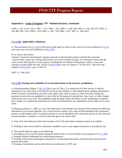#### **Appendix 6 – Code of Virginia: TTF - Related Sections, continued**

(1996, c. 431, § 14.1-125.2; 1997, c. 675; 1998, c. 872; 2000, cc. 440, 446; 2002, cc. 140, 250, 637; 2003, cc. 205, 865, 981, 1021; 2004, c. 676; 2005, cc. 681, 738; 2006, c. 647; 2007, cc. 548, 626.)

#### **§ [17.1-292](http://leg1.state.va.us/cgi-bin/legp504.exe?000+cod+17.1-292). Applicability; definitions.**

A. The provisions of § [17.1-293](http://leg1.state.va.us/cgi-bin/legp504.exe?000+cod+17.1-293) of this article shall apply to clerks of the courts of record as defined in § [1-212](http://leg1.state.va.us/cgi-bin/legp504.exe?000+cod+1-212) and courts not of record as defined in § [16.1-69.5.](http://leg1.state.va.us/cgi-bin/legp504.exe?000+cod+16.1-69.5)

#### B. As used in this article:

"Internet" means the international computer network of interoperable packet-switched data networks. "Land records" means any writing authorized by law to be recorded on paper or in electronic format that the clerk records affecting title to real property, including but not limited to instruments, orders, or any other writings recorded under this title, Article 5 (§ [8.01-446](http://leg1.state.va.us/cgi-bin/legp504.exe?000+cod+8.01-446) et seq.) of Chapter 17 of Title 8.01, Title 8.9A and Chapter 6 (§ [55-106](http://leg1.state.va.us/cgi-bin/legp504.exe?000+cod+55-106) et seq.) of Title 55.

(2007, cc. 548, 626.)

#### **§ [17.1-293](http://leg1.state.va.us/cgi-bin/legp504.exe?000+cod+17.1-293). Posting and availability of certain information on the Internet; prohibitions.**

A. Notwithstanding Chapter 37 (§ [2.2-3700](http://leg1.state.va.us/cgi-bin/legp504.exe?000+cod+2.2-3700) et seq.) of Title 2.2 or subsection B of this section, it shall be unlawful for any court clerk to disclose the social security number or other identification numbers appearing on driver's licenses or information on credit cards, debit cards, bank accounts, or other electronic billing and payment systems that was supplied to a court clerk for the purpose of paying fees, fines, taxes, or other charges collected by such court clerk. The prohibition shall not apply where disclosure of such information is required (i) to conduct or complete the transaction for which such information was submitted or (ii) by other law or court order.

B. Beginning January 1, 2004, no court clerk shall post on the Internet any document that contains the following information: (i) an actual signature, (ii) a social security number, (iii) a date of birth identified with a particular person, (iv) the maiden name of a person's parent so as to be identified with a particular person, (v) any financial account number or numbers, or (vi) the name and age of any minor child.

C. Each such clerk shall post notice that includes a list of the documents routinely posted on its website.

D. Nothing in this section shall be construed to prohibit access to any original document as provided by law.

- E. This section shall not apply to the following:
- 1. Providing access to any document among the land records via secure remote access pursuant to § [17.1-294](http://leg1.state.va.us/cgi-bin/legp504.exe?000+cod+17.1-294);
- 2. Postings related to legitimate law-enforcement purposes;
- 3. Postings of historical, genealogical, interpretive, or educational documents and information about historic persons and events;

4. Postings of instruments and records filed or recorded prior to 1907; and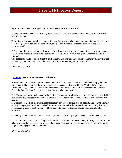### **Appendix 6 – Code of Virginia: TTF - Related Sections, continued**

5. Providing secure remote access to any person and his counsel to documents filed in matters to which such person is a party.

F. Nothing in this section shall prohibit the Supreme Court or any other court from providing online access to a case management system that may include abstracts of case filings and proceedings in the courts of the Commonwealth.

G. The court clerk shall be immune from suit arising from any acts or omissions relating to providing remote access on the Internet pursuant to this section unless the clerk was grossly negligent or engaged in willful misconduct.

This subsection shall not be construed to limit, withdraw, or overturn any defense or immunity already existing in statutory or common law, or to affect any cause of action accruing prior to July 1, 2005.

(2007, cc. 548, 626.)

#### **§ [17.1-294](http://leg1.state.va.us/cgi-bin/legp504.exe?000+cod+17.1-294). Secure remote access to land records.**

A. No circuit court clerk shall provide secure remote access to any land record that does not comply with the provisions of this section and the secure remote access standards developed by the Virginia Information Technologies Agency in consultation with the circuit court clerks, the Executive Secretary of the Supreme Court, the Compensation Board, and users of land and other court records.

B. 1. The original record maintained by the clerk may contain a social security number if otherwise provided by law, but that original record shall not be made available via secure remote access unless it complies with this section.

2. Except in cases where the original record is required by law to contain a social security number, the attorney or party who prepares or submits the land record for recordation has the responsibility for ensuring that the social security number has been removed from the writing prior to the instrument's being submitted for recordation.

C. Nothing in this section shall be construed to prohibit access to any original document as provided by law.

D. The clerk of the circuit court of any jurisdiction shall be immune from suit arising from any acts or omissions relating to providing secure remote access to land records pursuant to this section unless the clerk was grossly negligent or engaged in willful misconduct.

(2007, cc. 548, 626.)